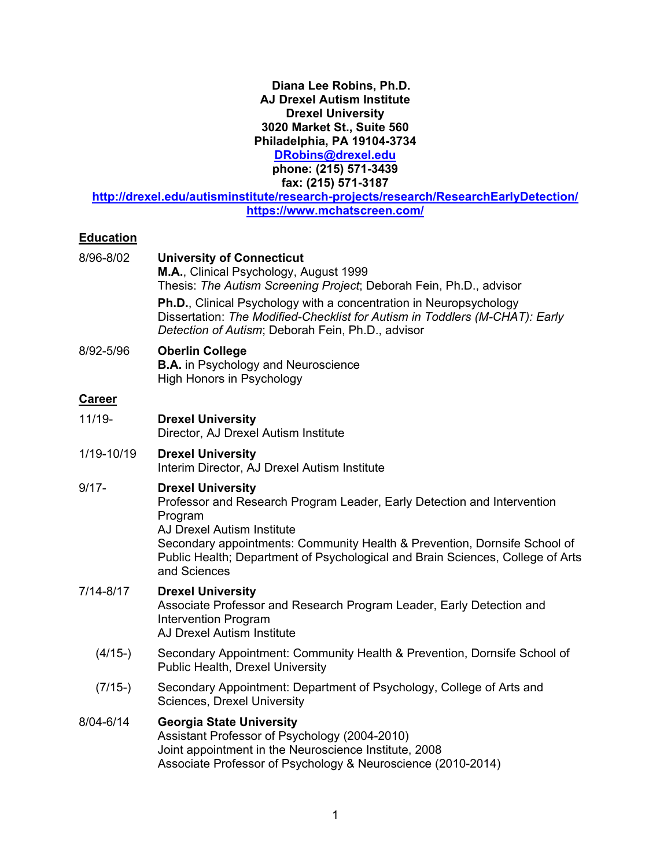## **Diana Lee Robins, Ph.D. AJ Drexel Autism Institute Drexel University 3020 Market St., Suite 560 Philadelphia, PA 19104-3734**

**[DRobins@drexel.edu](mailto:DRobins@drexel.edu)**

**phone: (215) 571-3439 fax: (215) 571-3187**

**<http://drexel.edu/autisminstitute/research-projects/research/ResearchEarlyDetection/> https://www.mchatscreen.com/**

# **Education**

| 8/96-8/02     | <b>University of Connecticut</b><br>M.A., Clinical Psychology, August 1999<br>Thesis: The Autism Screening Project; Deborah Fein, Ph.D., advisor<br>Ph.D., Clinical Psychology with a concentration in Neuropsychology<br>Dissertation: The Modified-Checklist for Autism in Toddlers (M-CHAT): Early<br>Detection of Autism; Deborah Fein, Ph.D., advisor |  |
|---------------|------------------------------------------------------------------------------------------------------------------------------------------------------------------------------------------------------------------------------------------------------------------------------------------------------------------------------------------------------------|--|
| 8/92-5/96     | <b>Oberlin College</b><br><b>B.A.</b> in Psychology and Neuroscience<br><b>High Honors in Psychology</b>                                                                                                                                                                                                                                                   |  |
| <b>Career</b> |                                                                                                                                                                                                                                                                                                                                                            |  |
| $11/19 -$     | <b>Drexel University</b><br>Director, AJ Drexel Autism Institute                                                                                                                                                                                                                                                                                           |  |
| 1/19-10/19    | <b>Drexel University</b><br>Interim Director, AJ Drexel Autism Institute                                                                                                                                                                                                                                                                                   |  |
| $9/17 -$      | <b>Drexel University</b><br>Professor and Research Program Leader, Early Detection and Intervention<br>Program<br>AJ Drexel Autism Institute<br>Secondary appointments: Community Health & Prevention, Dornsife School of<br>Public Health; Department of Psychological and Brain Sciences, College of Arts<br>and Sciences                                |  |
| $7/14 - 8/17$ | <b>Drexel University</b><br>Associate Professor and Research Program Leader, Early Detection and<br><b>Intervention Program</b><br><b>AJ Drexel Autism Institute</b>                                                                                                                                                                                       |  |
| $(4/15-)$     | Secondary Appointment: Community Health & Prevention, Dornsife School of<br><b>Public Health, Drexel University</b>                                                                                                                                                                                                                                        |  |
| $(7/15-)$     | Secondary Appointment: Department of Psychology, College of Arts and<br>Sciences, Drexel University                                                                                                                                                                                                                                                        |  |
| 8/04-6/14     | <b>Georgia State University</b><br>Assistant Professor of Psychology (2004-2010)<br>Joint appointment in the Neuroscience Institute, 2008<br>Associate Professor of Psychology & Neuroscience (2010-2014)                                                                                                                                                  |  |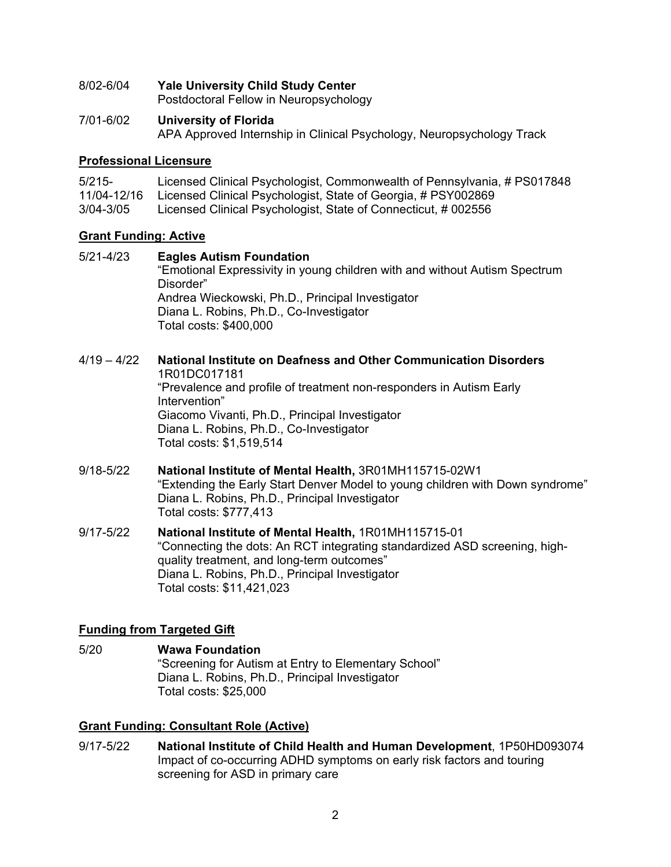8/02-6/04 **Yale University Child Study Center**

Postdoctoral Fellow in Neuropsychology

7/01-6/02 **University of Florida** APA Approved Internship in Clinical Psychology, Neuropsychology Track

## **Professional Licensure**

| $5/215-$      | Licensed Clinical Psychologist, Commonwealth of Pennsylvania, # PS017848 |
|---------------|--------------------------------------------------------------------------|
| 11/04-12/16   | Licensed Clinical Psychologist, State of Georgia, # PSY002869            |
| $3/04 - 3/05$ | Licensed Clinical Psychologist, State of Connecticut, #002556            |

## **Grant Funding: Active**

- 5/21-4/23 **Eagles Autism Foundation** "Emotional Expressivity in young children with and without Autism Spectrum Disorder" Andrea Wieckowski, Ph.D., Principal Investigator Diana L. Robins, Ph.D., Co-Investigator Total costs: \$400,000
- 4/19 4/22 **National Institute on Deafness and Other Communication Disorders** 1R01DC017181 "Prevalence and profile of treatment non-responders in Autism Early Intervention" Giacomo Vivanti, Ph.D., Principal Investigator Diana L. Robins, Ph.D., Co-Investigator Total costs: \$1,519,514
- 9/18-5/22 **National Institute of Mental Health,** 3R01MH115715-02W1 "Extending the Early Start Denver Model to young children with Down syndrome" Diana L. Robins, Ph.D., Principal Investigator Total costs: \$777,413
- 9/17-5/22 **National Institute of Mental Health,** 1R01MH115715-01 "Connecting the dots: An RCT integrating standardized ASD screening, highquality treatment, and long-term outcomes" Diana L. Robins, Ph.D., Principal Investigator Total costs: \$11,421,023

# **Funding from Targeted Gift**

5/20 **Wawa Foundation** "Screening for Autism at Entry to Elementary School" Diana L. Robins, Ph.D., Principal Investigator Total costs: \$25,000

# **Grant Funding: Consultant Role (Active)**

9/17-5/22 **National Institute of Child Health and Human Development**, 1P50HD093074 Impact of co-occurring ADHD symptoms on early risk factors and touring screening for ASD in primary care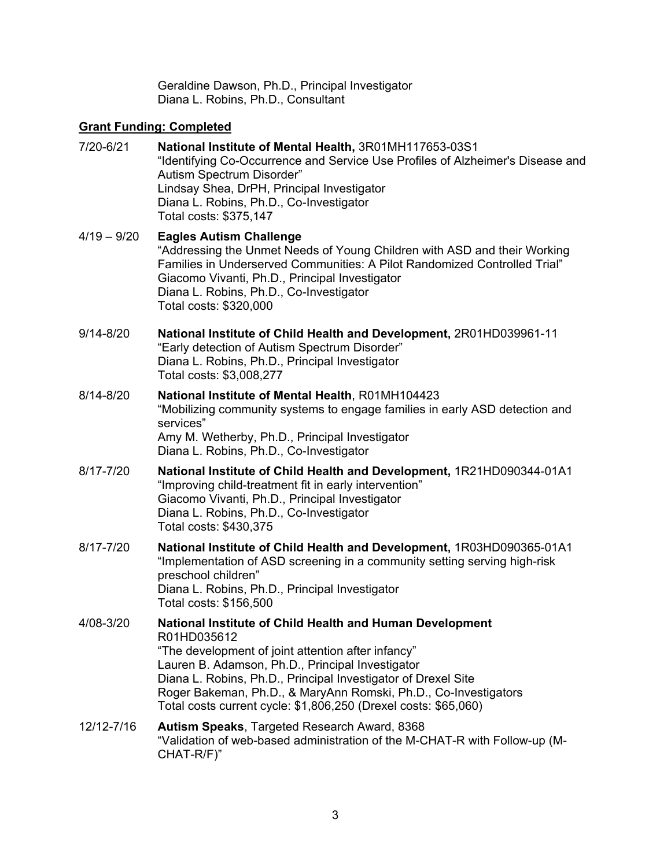Geraldine Dawson, Ph.D., Principal Investigator Diana L. Robins, Ph.D., Consultant

# **Grant Funding: Completed**

| 7/20-6/21     | National Institute of Mental Health, 3R01MH117653-03S1<br>"Identifying Co-Occurrence and Service Use Profiles of Alzheimer's Disease and<br>Autism Spectrum Disorder"<br>Lindsay Shea, DrPH, Principal Investigator<br>Diana L. Robins, Ph.D., Co-Investigator<br>Total costs: \$375,147                                                                                                 |
|---------------|------------------------------------------------------------------------------------------------------------------------------------------------------------------------------------------------------------------------------------------------------------------------------------------------------------------------------------------------------------------------------------------|
| $4/19 - 9/20$ | <b>Eagles Autism Challenge</b><br>"Addressing the Unmet Needs of Young Children with ASD and their Working<br>Families in Underserved Communities: A Pilot Randomized Controlled Trial"<br>Giacomo Vivanti, Ph.D., Principal Investigator<br>Diana L. Robins, Ph.D., Co-Investigator<br>Total costs: \$320,000                                                                           |
| $9/14 - 8/20$ | National Institute of Child Health and Development, 2R01HD039961-11<br>"Early detection of Autism Spectrum Disorder"<br>Diana L. Robins, Ph.D., Principal Investigator<br>Total costs: \$3,008,277                                                                                                                                                                                       |
| 8/14-8/20     | National Institute of Mental Health, R01MH104423<br>"Mobilizing community systems to engage families in early ASD detection and<br>services"<br>Amy M. Wetherby, Ph.D., Principal Investigator<br>Diana L. Robins, Ph.D., Co-Investigator                                                                                                                                                |
| 8/17-7/20     | National Institute of Child Health and Development, 1R21HD090344-01A1<br>"Improving child-treatment fit in early intervention"<br>Giacomo Vivanti, Ph.D., Principal Investigator<br>Diana L. Robins, Ph.D., Co-Investigator<br>Total costs: \$430,375                                                                                                                                    |
| 8/17-7/20     | National Institute of Child Health and Development, 1R03HD090365-01A1<br>"Implementation of ASD screening in a community setting serving high-risk<br>preschool children"<br>Diana L. Robins, Ph.D., Principal Investigator<br>Total costs: \$156,500                                                                                                                                    |
| 4/08-3/20     | National Institute of Child Health and Human Development<br>R01HD035612<br>"The development of joint attention after infancy"<br>Lauren B. Adamson, Ph.D., Principal Investigator<br>Diana L. Robins, Ph.D., Principal Investigator of Drexel Site<br>Roger Bakeman, Ph.D., & MaryAnn Romski, Ph.D., Co-Investigators<br>Total costs current cycle: \$1,806,250 (Drexel costs: \$65,060) |
| 12/12-7/16    | Autism Speaks, Targeted Research Award, 8368<br>"Validation of web-based administration of the M-CHAT-R with Follow-up (M-<br>CHAT-R/F)"                                                                                                                                                                                                                                                 |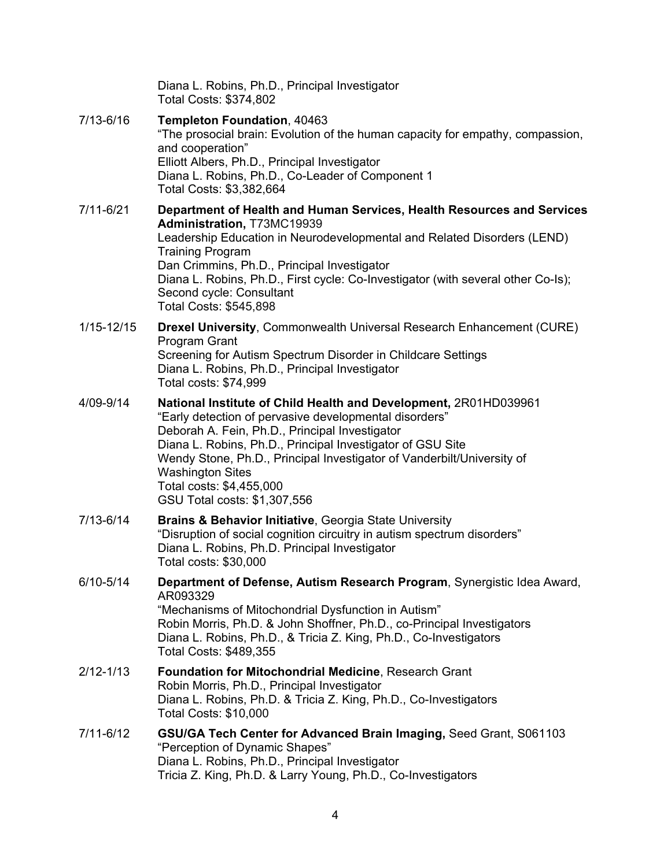|                | Diana L. Robins, Ph.D., Principal Investigator<br>Total Costs: \$374,802                                                                                                                                                                                                                                                                                                                                    |
|----------------|-------------------------------------------------------------------------------------------------------------------------------------------------------------------------------------------------------------------------------------------------------------------------------------------------------------------------------------------------------------------------------------------------------------|
| 7/13-6/16      | Templeton Foundation, 40463<br>"The prosocial brain: Evolution of the human capacity for empathy, compassion,<br>and cooperation"<br>Elliott Albers, Ph.D., Principal Investigator<br>Diana L. Robins, Ph.D., Co-Leader of Component 1<br>Total Costs: \$3,382,664                                                                                                                                          |
| 7/11-6/21      | Department of Health and Human Services, Health Resources and Services<br>Administration, T73MC19939<br>Leadership Education in Neurodevelopmental and Related Disorders (LEND)<br><b>Training Program</b><br>Dan Crimmins, Ph.D., Principal Investigator<br>Diana L. Robins, Ph.D., First cycle: Co-Investigator (with several other Co-Is);<br>Second cycle: Consultant<br>Total Costs: \$545,898         |
| $1/15 - 12/15$ | Drexel University, Commonwealth Universal Research Enhancement (CURE)<br><b>Program Grant</b><br>Screening for Autism Spectrum Disorder in Childcare Settings<br>Diana L. Robins, Ph.D., Principal Investigator<br>Total costs: \$74,999                                                                                                                                                                    |
| 4/09-9/14      | National Institute of Child Health and Development, 2R01HD039961<br>"Early detection of pervasive developmental disorders"<br>Deborah A. Fein, Ph.D., Principal Investigator<br>Diana L. Robins, Ph.D., Principal Investigator of GSU Site<br>Wendy Stone, Ph.D., Principal Investigator of Vanderbilt/University of<br><b>Washington Sites</b><br>Total costs: \$4,455,000<br>GSU Total costs: \$1,307,556 |
| 7/13-6/14      | <b>Brains &amp; Behavior Initiative, Georgia State University</b><br>"Disruption of social cognition circuitry in autism spectrum disorders"<br>Diana L. Robins, Ph.D. Principal Investigator<br>Total costs: \$30,000                                                                                                                                                                                      |
| 6/10-5/14      | Department of Defense, Autism Research Program, Synergistic Idea Award,<br>AR093329<br>"Mechanisms of Mitochondrial Dysfunction in Autism"<br>Robin Morris, Ph.D. & John Shoffner, Ph.D., co-Principal Investigators<br>Diana L. Robins, Ph.D., & Tricia Z. King, Ph.D., Co-Investigators<br>Total Costs: \$489,355                                                                                         |
| $2/12 - 1/13$  | <b>Foundation for Mitochondrial Medicine, Research Grant</b><br>Robin Morris, Ph.D., Principal Investigator<br>Diana L. Robins, Ph.D. & Tricia Z. King, Ph.D., Co-Investigators<br><b>Total Costs: \$10,000</b>                                                                                                                                                                                             |
| 7/11-6/12      | GSU/GA Tech Center for Advanced Brain Imaging, Seed Grant, S061103<br>"Perception of Dynamic Shapes"<br>Diana L. Robins, Ph.D., Principal Investigator<br>Tricia Z. King, Ph.D. & Larry Young, Ph.D., Co-Investigators                                                                                                                                                                                      |
|                |                                                                                                                                                                                                                                                                                                                                                                                                             |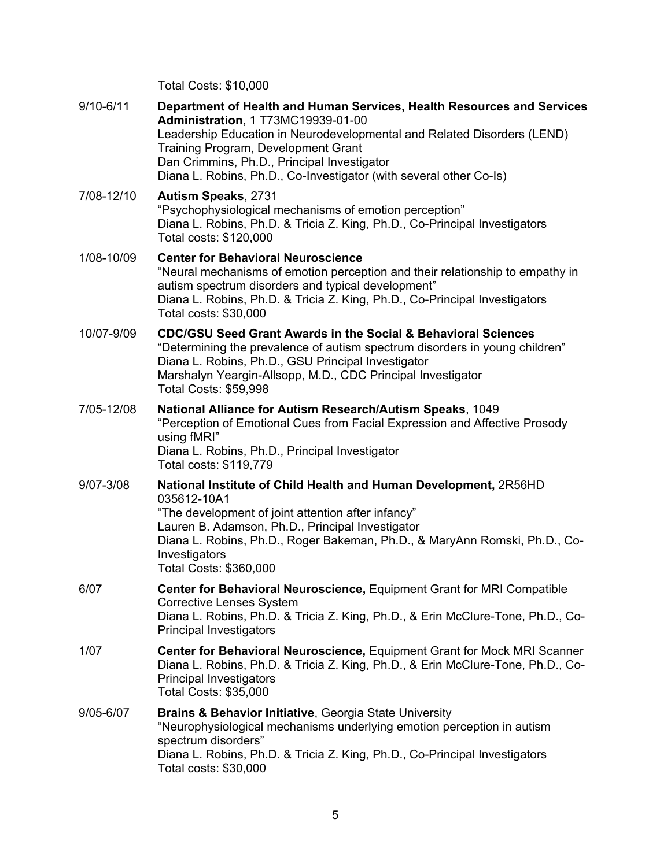Total Costs: \$10,000

| $9/10 - 6/11$ | Department of Health and Human Services, Health Resources and Services<br>Administration, 1 T73MC19939-01-00<br>Leadership Education in Neurodevelopmental and Related Disorders (LEND)<br>Training Program, Development Grant<br>Dan Crimmins, Ph.D., Principal Investigator<br>Diana L. Robins, Ph.D., Co-Investigator (with several other Co-Is) |
|---------------|-----------------------------------------------------------------------------------------------------------------------------------------------------------------------------------------------------------------------------------------------------------------------------------------------------------------------------------------------------|
| 7/08-12/10    | <b>Autism Speaks, 2731</b><br>"Psychophysiological mechanisms of emotion perception"<br>Diana L. Robins, Ph.D. & Tricia Z. King, Ph.D., Co-Principal Investigators<br>Total costs: \$120,000                                                                                                                                                        |
| 1/08-10/09    | <b>Center for Behavioral Neuroscience</b><br>"Neural mechanisms of emotion perception and their relationship to empathy in<br>autism spectrum disorders and typical development"<br>Diana L. Robins, Ph.D. & Tricia Z. King, Ph.D., Co-Principal Investigators<br>Total costs: \$30,000                                                             |
| 10/07-9/09    | <b>CDC/GSU Seed Grant Awards in the Social &amp; Behavioral Sciences</b><br>"Determining the prevalence of autism spectrum disorders in young children"<br>Diana L. Robins, Ph.D., GSU Principal Investigator<br>Marshalyn Yeargin-Allsopp, M.D., CDC Principal Investigator<br><b>Total Costs: \$59,998</b>                                        |
| 7/05-12/08    | National Alliance for Autism Research/Autism Speaks, 1049<br>"Perception of Emotional Cues from Facial Expression and Affective Prosody<br>using fMRI"<br>Diana L. Robins, Ph.D., Principal Investigator<br>Total costs: \$119,779                                                                                                                  |
| 9/07-3/08     | National Institute of Child Health and Human Development, 2R56HD<br>035612-10A1<br>"The development of joint attention after infancy"<br>Lauren B. Adamson, Ph.D., Principal Investigator<br>Diana L. Robins, Ph.D., Roger Bakeman, Ph.D., & MaryAnn Romski, Ph.D., Co-<br>Investigators<br>Total Costs: \$360,000                                  |
| 6/07          | Center for Behavioral Neuroscience, Equipment Grant for MRI Compatible<br><b>Corrective Lenses System</b><br>Diana L. Robins, Ph.D. & Tricia Z. King, Ph.D., & Erin McClure-Tone, Ph.D., Co-<br><b>Principal Investigators</b>                                                                                                                      |
| 1/07          | <b>Center for Behavioral Neuroscience, Equipment Grant for Mock MRI Scanner</b><br>Diana L. Robins, Ph.D. & Tricia Z. King, Ph.D., & Erin McClure-Tone, Ph.D., Co-<br><b>Principal Investigators</b><br><b>Total Costs: \$35,000</b>                                                                                                                |
| 9/05-6/07     | <b>Brains &amp; Behavior Initiative, Georgia State University</b><br>"Neurophysiological mechanisms underlying emotion perception in autism<br>spectrum disorders"<br>Diana L. Robins, Ph.D. & Tricia Z. King, Ph.D., Co-Principal Investigators<br>Total costs: \$30,000                                                                           |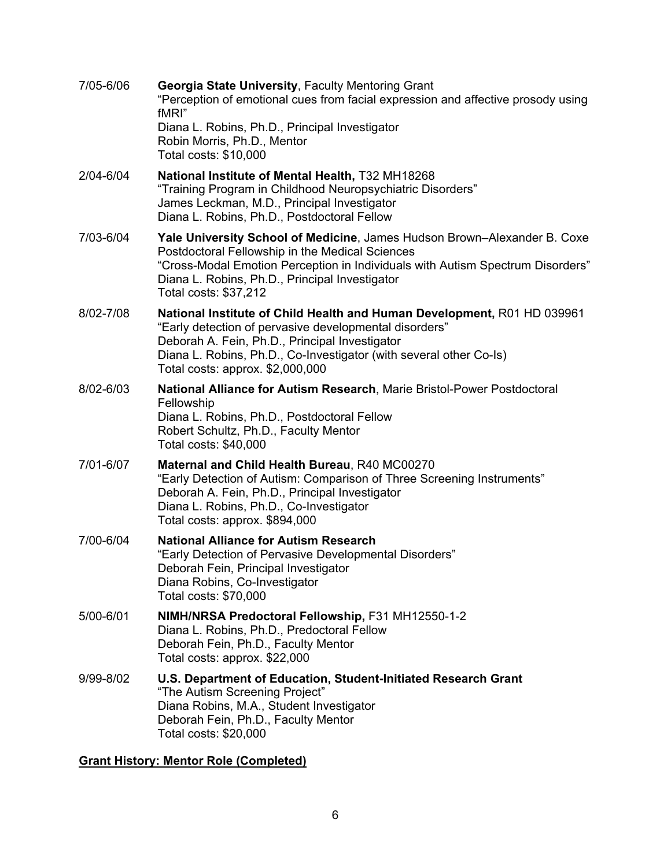| 7/05-6/06 | <b>Georgia State University, Faculty Mentoring Grant</b><br>"Perception of emotional cues from facial expression and affective prosody using<br>fMRI"                                                                                                                                         |
|-----------|-----------------------------------------------------------------------------------------------------------------------------------------------------------------------------------------------------------------------------------------------------------------------------------------------|
|           | Diana L. Robins, Ph.D., Principal Investigator<br>Robin Morris, Ph.D., Mentor<br>Total costs: \$10,000                                                                                                                                                                                        |
| 2/04-6/04 | National Institute of Mental Health, T32 MH18268<br>"Training Program in Childhood Neuropsychiatric Disorders"<br>James Leckman, M.D., Principal Investigator<br>Diana L. Robins, Ph.D., Postdoctoral Fellow                                                                                  |
| 7/03-6/04 | Yale University School of Medicine, James Hudson Brown-Alexander B. Coxe<br>Postdoctoral Fellowship in the Medical Sciences<br>"Cross-Modal Emotion Perception in Individuals with Autism Spectrum Disorders"<br>Diana L. Robins, Ph.D., Principal Investigator<br>Total costs: \$37,212      |
| 8/02-7/08 | National Institute of Child Health and Human Development, R01 HD 039961<br>"Early detection of pervasive developmental disorders"<br>Deborah A. Fein, Ph.D., Principal Investigator<br>Diana L. Robins, Ph.D., Co-Investigator (with several other Co-Is)<br>Total costs: approx. \$2,000,000 |
| 8/02-6/03 | National Alliance for Autism Research, Marie Bristol-Power Postdoctoral<br>Fellowship<br>Diana L. Robins, Ph.D., Postdoctoral Fellow<br>Robert Schultz, Ph.D., Faculty Mentor<br>Total costs: \$40,000                                                                                        |
| 7/01-6/07 | Maternal and Child Health Bureau, R40 MC00270<br>"Early Detection of Autism: Comparison of Three Screening Instruments"<br>Deborah A. Fein, Ph.D., Principal Investigator<br>Diana L. Robins, Ph.D., Co-Investigator<br>Total costs: approx. \$894,000                                        |
| 7/00-6/04 | <b>National Alliance for Autism Research</b><br>"Early Detection of Pervasive Developmental Disorders"<br>Deborah Fein, Principal Investigator<br>Diana Robins, Co-Investigator<br>Total costs: \$70,000                                                                                      |
| 5/00-6/01 | NIMH/NRSA Predoctoral Fellowship, F31 MH12550-1-2<br>Diana L. Robins, Ph.D., Predoctoral Fellow<br>Deborah Fein, Ph.D., Faculty Mentor<br>Total costs: approx. \$22,000                                                                                                                       |
| 9/99-8/02 | U.S. Department of Education, Student-Initiated Research Grant<br>"The Autism Screening Project"<br>Diana Robins, M.A., Student Investigator<br>Deborah Fein, Ph.D., Faculty Mentor<br>Total costs: \$20,000                                                                                  |

# **Grant History: Mentor Role (Completed)**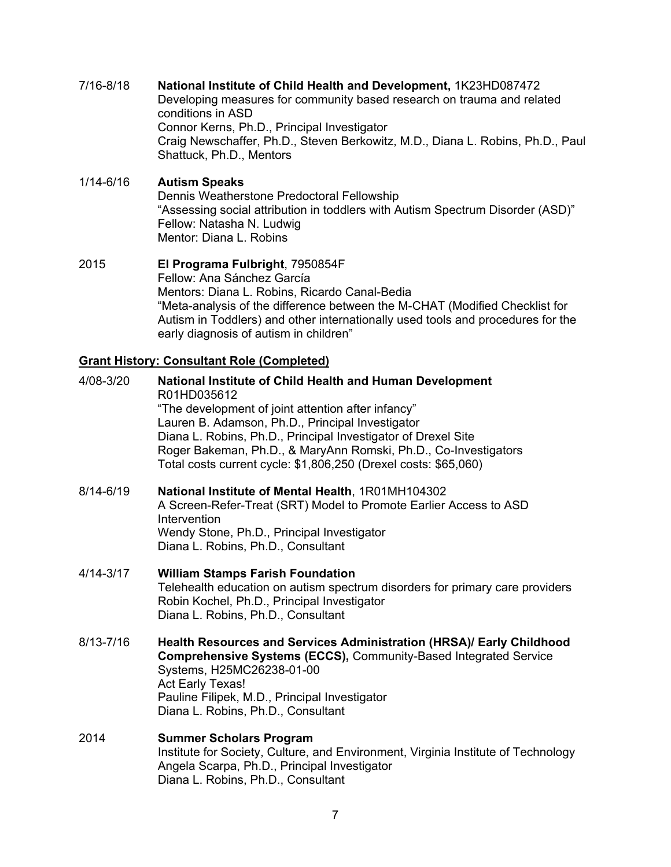## 7/16-8/18 **National Institute of Child Health and Development,** 1K23HD087472

Developing measures for community based research on trauma and related conditions in ASD Connor Kerns, Ph.D., Principal Investigator Craig Newschaffer, Ph.D., Steven Berkowitz, M.D., Diana L. Robins, Ph.D., Paul Shattuck, Ph.D., Mentors

#### 1/14-6/16 **Autism Speaks**

Dennis Weatherstone Predoctoral Fellowship "Assessing social attribution in toddlers with Autism Spectrum Disorder (ASD)" Fellow: Natasha N. Ludwig Mentor: Diana L. Robins

#### 2015 **El Programa Fulbright**, 7950854F Fellow: Ana Sánchez García Mentors: Diana L. Robins, Ricardo Canal-Bedia "Meta-analysis of the difference between the M-CHAT (Modified Checklist for Autism in Toddlers) and other internationally used tools and procedures for the early diagnosis of autism in children"

### **Grant History: Consultant Role (Completed)**

- 4/08-3/20 **National Institute of Child Health and Human Development** R01HD035612 "The development of joint attention after infancy" Lauren B. Adamson, Ph.D., Principal Investigator Diana L. Robins, Ph.D., Principal Investigator of Drexel Site Roger Bakeman, Ph.D., & MaryAnn Romski, Ph.D., Co-Investigators Total costs current cycle: \$1,806,250 (Drexel costs: \$65,060) 8/14-6/19 **National Institute of Mental Health**, 1R01MH104302 A Screen-Refer-Treat (SRT) Model to Promote Earlier Access to ASD Intervention Wendy Stone, Ph.D., Principal Investigator Diana L. Robins, Ph.D., Consultant 4/14-3/17 **William Stamps Farish Foundation** Telehealth education on autism spectrum disorders for primary care providers Robin Kochel, Ph.D., Principal Investigator Diana L. Robins, Ph.D., Consultant
- 8/13-7/16 **Health Resources and Services Administration (HRSA)/ Early Childhood Comprehensive Systems (ECCS),** Community-Based Integrated Service Systems, H25MC26238-01-00 Act Early Texas! Pauline Filipek, M.D., Principal Investigator Diana L. Robins, Ph.D., Consultant
- 2014 **Summer Scholars Program** Institute for Society, Culture, and Environment, Virginia Institute of Technology Angela Scarpa, Ph.D., Principal Investigator Diana L. Robins, Ph.D., Consultant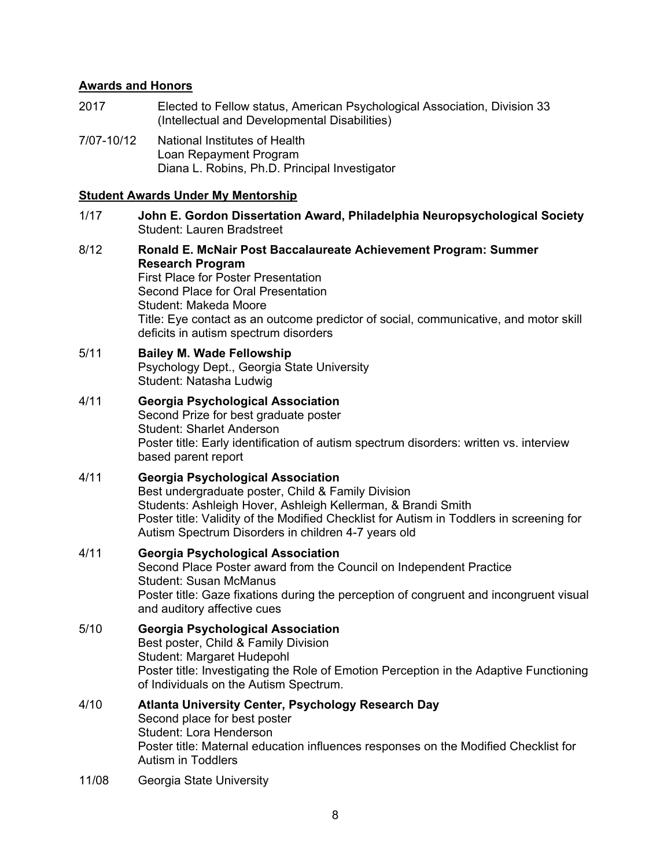#### **Awards and Honors**

- 2017 Elected to Fellow status, American Psychological Association, Division 33 (Intellectual and Developmental Disabilities)
- 7/07-10/12 National Institutes of Health Loan Repayment Program Diana L. Robins, Ph.D. Principal Investigator

#### **Student Awards Under My Mentorship**

- 1/17 **John E. Gordon Dissertation Award, Philadelphia Neuropsychological Society** Student: Lauren Bradstreet
- 8/12 **Ronald E. McNair Post Baccalaureate Achievement Program: Summer Research Program** First Place for Poster Presentation Second Place for Oral Presentation Student: Makeda Moore Title: Eye contact as an outcome predictor of social, communicative, and motor skill deficits in autism spectrum disorders

#### 5/11 **Bailey M. Wade Fellowship** Psychology Dept., Georgia State University

Student: Natasha Ludwig

4/11 **Georgia Psychological Association** Second Prize for best graduate poster Student: Sharlet Anderson Poster title: Early identification of autism spectrum disorders: written vs. interview based parent report

### 4/11 **Georgia Psychological Association** Best undergraduate poster, Child & Family Division Students: Ashleigh Hover, Ashleigh Kellerman, & Brandi Smith Poster title: Validity of the Modified Checklist for Autism in Toddlers in screening for Autism Spectrum Disorders in children 4-7 years old

4/11 **Georgia Psychological Association** Second Place Poster award from the Council on Independent Practice Student: Susan McManus Poster title: Gaze fixations during the perception of congruent and incongruent visual and auditory affective cues 5/10 **Georgia Psychological Association** Best poster, Child & Family Division Student: Margaret Hudepohl Poster title: Investigating the Role of Emotion Perception in the Adaptive Functioning of Individuals on the Autism Spectrum.

#### 4/10 **Atlanta University Center, Psychology Research Day** Second place for best poster Student: Lora Henderson Poster title: Maternal education influences responses on the Modified Checklist for Autism in Toddlers

11/08 Georgia State University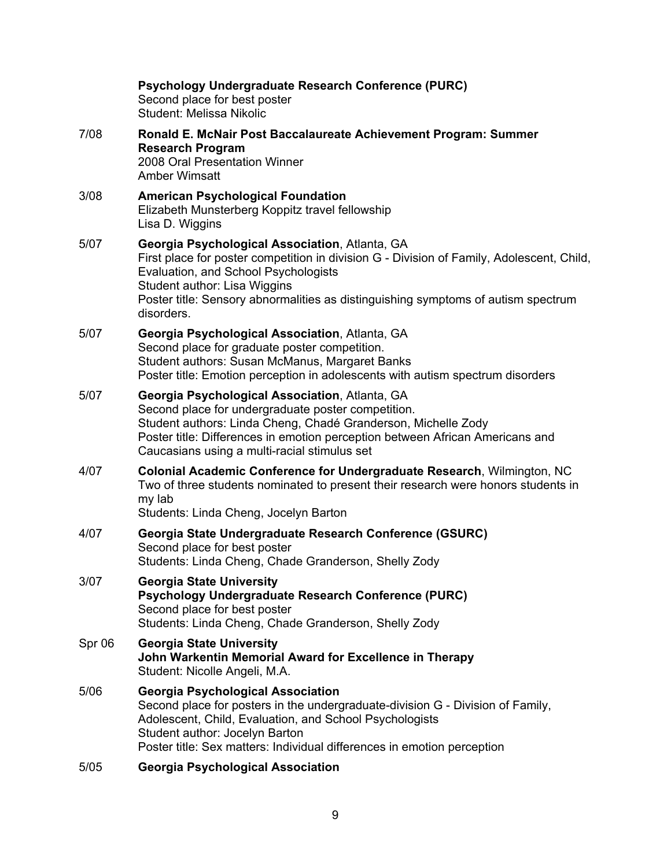|        | Psychology Undergraduate Research Conference (PURC)<br>Second place for best poster<br><b>Student: Melissa Nikolic</b>                                                                                                                                                                                                 |
|--------|------------------------------------------------------------------------------------------------------------------------------------------------------------------------------------------------------------------------------------------------------------------------------------------------------------------------|
| 7/08   | Ronald E. McNair Post Baccalaureate Achievement Program: Summer<br><b>Research Program</b><br>2008 Oral Presentation Winner<br><b>Amber Wimsatt</b>                                                                                                                                                                    |
| 3/08   | <b>American Psychological Foundation</b><br>Elizabeth Munsterberg Koppitz travel fellowship<br>Lisa D. Wiggins                                                                                                                                                                                                         |
| 5/07   | Georgia Psychological Association, Atlanta, GA<br>First place for poster competition in division G - Division of Family, Adolescent, Child,<br>Evaluation, and School Psychologists<br>Student author: Lisa Wiggins<br>Poster title: Sensory abnormalities as distinguishing symptoms of autism spectrum<br>disorders. |
| 5/07   | Georgia Psychological Association, Atlanta, GA<br>Second place for graduate poster competition.<br>Student authors: Susan McManus, Margaret Banks<br>Poster title: Emotion perception in adolescents with autism spectrum disorders                                                                                    |
| 5/07   | Georgia Psychological Association, Atlanta, GA<br>Second place for undergraduate poster competition.<br>Student authors: Linda Cheng, Chadé Granderson, Michelle Zody<br>Poster title: Differences in emotion perception between African Americans and<br>Caucasians using a multi-racial stimulus set                 |
| 4/07   | Colonial Academic Conference for Undergraduate Research, Wilmington, NC<br>Two of three students nominated to present their research were honors students in<br>my lab<br>Students: Linda Cheng, Jocelyn Barton                                                                                                        |
| 4/07   | Georgia State Undergraduate Research Conference (GSURC)<br>Second place for best poster<br>Students: Linda Cheng, Chade Granderson, Shelly Zody                                                                                                                                                                        |
| 3/07   | <b>Georgia State University</b><br>Psychology Undergraduate Research Conference (PURC)<br>Second place for best poster<br>Students: Linda Cheng, Chade Granderson, Shelly Zody                                                                                                                                         |
| Spr 06 | <b>Georgia State University</b><br>John Warkentin Memorial Award for Excellence in Therapy<br>Student: Nicolle Angeli, M.A.                                                                                                                                                                                            |
| 5/06   | <b>Georgia Psychological Association</b><br>Second place for posters in the undergraduate-division G - Division of Family,<br>Adolescent, Child, Evaluation, and School Psychologists<br>Student author: Jocelyn Barton<br>Poster title: Sex matters: Individual differences in emotion perception                     |
| F/NE   | Coorgia Peychological Accociation                                                                                                                                                                                                                                                                                      |

5/05 **Georgia Psychological Association**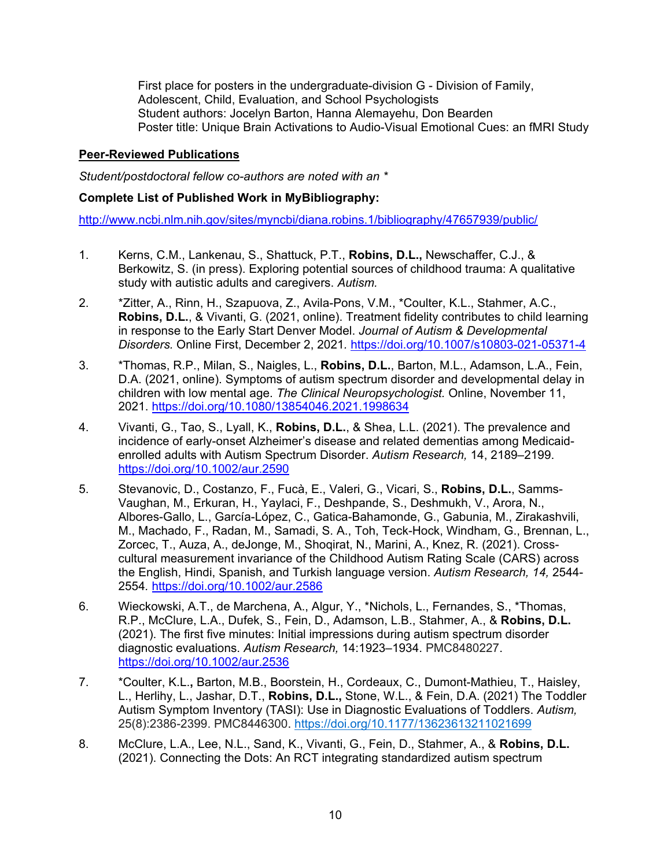First place for posters in the undergraduate-division G - Division of Family, Adolescent, Child, Evaluation, and School Psychologists Student authors: Jocelyn Barton, Hanna Alemayehu, Don Bearden Poster title: Unique Brain Activations to Audio-Visual Emotional Cues: an fMRI Study

## **Peer-Reviewed Publications**

*Student/postdoctoral fellow co-authors are noted with an \**

### **Complete List of Published Work in MyBibliography:**

<http://www.ncbi.nlm.nih.gov/sites/myncbi/diana.robins.1/bibliography/47657939/public/>

- 1. Kerns, C.M., Lankenau, S., Shattuck, P.T., **Robins, D.L.,** Newschaffer, C.J., & Berkowitz, S. (in press). Exploring potential sources of childhood trauma: A qualitative study with autistic adults and caregivers. *Autism.*
- 2. \*Zitter, A., Rinn, H., Szapuova, Z., Avila-Pons, V.M., \*Coulter, K.L., Stahmer, A.C., **Robins, D.L.**, & Vivanti, G. (2021, online). Treatment fidelity contributes to child learning in response to the Early Start Denver Model. *Journal of Autism & Developmental Disorders.* Online First, December 2, 2021*.* <https://doi.org/10.1007/s10803-021-05371-4>
- 3. \*Thomas, R.P., Milan, S., Naigles, L., **Robins, D.L.**, Barton, M.L., Adamson, L.A., Fein, D.A. (2021, online). Symptoms of autism spectrum disorder and developmental delay in children with low mental age. *The Clinical Neuropsychologist.* Online, November 11, 2021.<https://doi.org/10.1080/13854046.2021.1998634>
- 4. Vivanti, G., Tao, S., Lyall, K., **Robins, D.L.**, & Shea, L.L. (2021). The prevalence and incidence of early-onset Alzheimer's disease and related dementias among Medicaidenrolled adults with Autism Spectrum Disorder. *Autism Research,* 14, 2189–2199. <https://doi.org/10.1002/aur.2590>
- 5. Stevanovic, D., Costanzo, F., Fucà, E., Valeri, G., Vicari, S., **Robins, D.L.**, Samms-Vaughan, M., Erkuran, H., Yaylaci, F., Deshpande, S., Deshmukh, V., Arora, N., Albores-Gallo, L., García-López, C., Gatica-Bahamonde, G., Gabunia, M., Zirakashvili, M., Machado, F., Radan, M., Samadi, S. A., Toh, Teck-Hock, Windham, G., Brennan, L., Zorcec, T., Auza, A., deJonge, M., Shoqirat, N., Marini, A., Knez, R. (2021). Crosscultural measurement invariance of the Childhood Autism Rating Scale (CARS) across the English, Hindi, Spanish, and Turkish language version. *Autism Research, 14,* 2544- 2554*.* <https://doi.org/10.1002/aur.2586>
- 6. Wieckowski, A.T., de Marchena, A., Algur, Y., \*Nichols, L., Fernandes, S., \*Thomas, R.P., McClure, L.A., Dufek, S., Fein, D., Adamson, L.B., Stahmer, A., & **Robins, D.L.**  (2021). The first five minutes: Initial impressions during autism spectrum disorder diagnostic evaluations. *Autism Research,* 14:1923–1934. PMC8480227. <https://doi.org/10.1002/aur.2536>
- 7. \*Coulter, K.L.**,** Barton, M.B., Boorstein, H., Cordeaux, C., Dumont-Mathieu, T., Haisley, L., Herlihy, L., Jashar, D.T., **Robins, D.L.,** Stone, W.L., & Fein, D.A. (2021) The Toddler Autism Symptom Inventory (TASI): Use in Diagnostic Evaluations of Toddlers. *Autism,*  25(8):2386-2399. PMC8446300. [https://doi.org/10.1177/13623613211021699](https://doi.org/10.1177%2F13623613211021699)
- 8. McClure, L.A., Lee, N.L., Sand, K., Vivanti, G., Fein, D., Stahmer, A., & **Robins, D.L.** (2021). Connecting the Dots: An RCT integrating standardized autism spectrum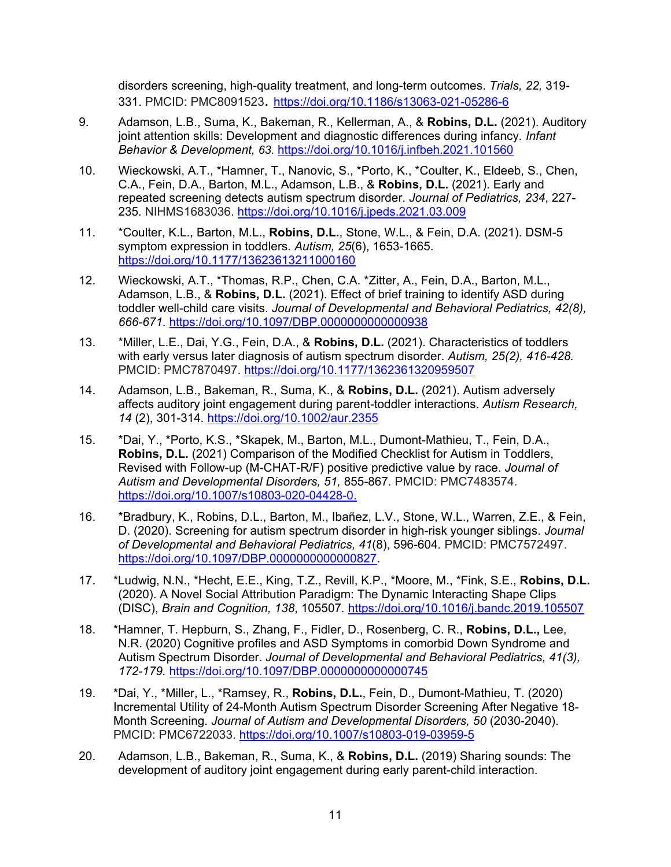disorders screening, high-quality treatment, and long-term outcomes. *Trials, 22,* 319- 331. PMCID: PMC8091523. <https://doi.org/10.1186/s13063-021-05286-6>

- 9. Adamson, L.B., Suma, K., Bakeman, R., Kellerman, A., & **Robins, D.L.** (2021). Auditory joint attention skills: Development and diagnostic differences during infancy*. Infant Behavior & Development, [63](https://www-sciencedirect-com.ezproxy2.library.drexel.edu/science/journal/01636383/63/supp/C)*. <https://doi.org/10.1016/j.infbeh.2021.101560>
- 10. Wieckowski, A.T., \*Hamner, T., Nanovic, S., \*Porto, K., \*Coulter, K., Eldeeb, S., Chen, C.A., Fein, D.A., Barton, M.L., Adamson, L.B., & **Robins, D.L.** (2021). Early and repeated screening detects autism spectrum disorder. *Journal of Pediatrics, 234*, 227- 235*.* NIHMS1683036.<https://doi.org/10.1016/j.jpeds.2021.03.009>
- 11. \*Coulter, K.L., Barton, M.L., **Robins, D.L.**, Stone, W.L., & Fein, D.A. (2021). DSM-5 symptom expression in toddlers. *Autism, 25*(6), 1653-1665. <https://doi.org/10.1177/13623613211000160>
- 12. Wieckowski, A.T., \*Thomas, R.P., Chen, C.A. \*Zitter, A., Fein, D.A., Barton, M.L., Adamson, L.B., & **Robins, D.L.** (2021). Effect of brief training to identify ASD during toddler well-child care visits. *Journal of Developmental and Behavioral Pediatrics, 42(8), 666-671*.<https://doi.org/10.1097/DBP.0000000000000938>
- 13. \*Miller, L.E., Dai, Y.G., Fein, D.A., & **Robins, D.L.** (2021). Characteristics of toddlers with early versus later diagnosis of autism spectrum disorder. *Autism, 25(2), 416-428.* PMCID: PMC7870497.<https://doi.org/10.1177/1362361320959507>
- 14. Adamson, L.B., Bakeman, R., Suma, K., & **Robins, D.L.** (2021). Autism adversely affects auditory joint engagement during parent-toddler interactions. *Autism Research, 14* (2), 301-314*.* <https://doi.org/10.1002/aur.2355>
- 15. \*Dai, Y., \*Porto, K.S., \*Skapek, M., Barton, M.L., Dumont-Mathieu, T., Fein, D.A., **Robins, D.L.** (2021) Comparison of the Modified Checklist for Autism in Toddlers, Revised with Follow-up (M-CHAT-R/F) positive predictive value by race. *Journal of Autism and Developmental Disorders, 51,* 855-867*.* PMCID: PMC7483574. [https://doi.org/10.1007/s10803-020-04428-0.](https://doi.org/10.1007/s10803-020-04428-0)
- 16. \*Bradbury, K., Robins, D.L., Barton, M., Ibañez, L.V., Stone, W.L., Warren, Z.E., & Fein, D. (2020). Screening for autism spectrum disorder in high-risk younger siblings. *Journal of Developmental and Behavioral Pediatrics, 41*(8), 596-604*.* PMCID: PMC7572497. [https://doi.org/10.1097/DBP.0000000000000827.](https://doi.org/10.1097/DBP.0000000000000827)
- 17. \*Ludwig, N.N., \*Hecht, E.E., King, T.Z., Revill, K.P., \*Moore, M., \*Fink, S.E., **Robins, D.L.** (2020). A Novel Social Attribution Paradigm: The Dynamic Interacting Shape Clips (DISC), *Brain and Cognition, 138*, 105507*.* <https://doi.org/10.1016/j.bandc.2019.105507>
- 18. \*Hamner, T. Hepburn, S., Zhang, F., Fidler, D., Rosenberg, C. R., **Robins, D.L.,** Lee, N.R. (2020) Cognitive profiles and ASD Symptoms in comorbid Down Syndrome and Autism Spectrum Disorder. *Journal of Developmental and Behavioral Pediatrics, 41(3), 172-179.* <https://doi.org/10.1097/DBP.0000000000000745>
- 19. \*Dai, Y., \*Miller, L., \*Ramsey, R., **Robins, D.L.**, Fein, D., Dumont-Mathieu, T. (2020) Incremental Utility of 24-Month Autism Spectrum Disorder Screening After Negative 18- Month Screening. *Journal of Autism and Developmental Disorders, 50* (2030-2040). PMCID: PMC6722033.<https://doi.org/10.1007/s10803-019-03959-5>
- 20. Adamson, L.B., Bakeman, R., Suma, K., & **Robins, D.L.** (2019) Sharing sounds: The development of auditory joint engagement during early parent-child interaction.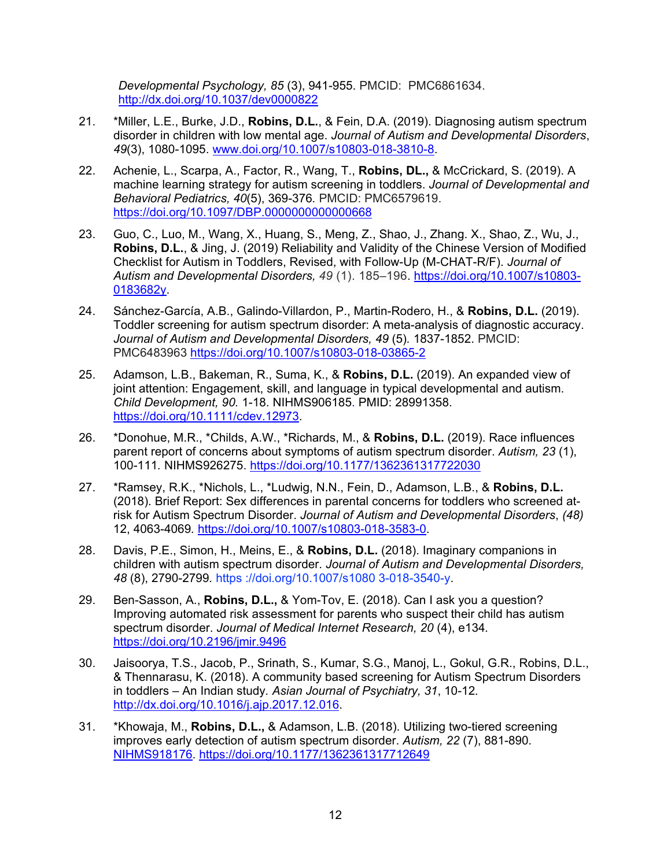*Developmental Psychology, 85* (3), 941-955. PMCID: PMC6861634. <http://dx.doi.org/10.1037/dev0000822>

- 21. \*Miller, L.E., Burke, J.D., **Robins, D.L.**, & Fein, D.A. (2019). Diagnosing autism spectrum disorder in children with low mental age. *Journal of Autism and Developmental Disorders*, *49*(3), 1080-1095. [www.doi.org/10.1007/s10803-018-3810-8.](http://www.doi.org/10.1007/s10803-018-3810-8)
- 22. Achenie, L., Scarpa, A., Factor, R., Wang, T., **Robins, DL.,** & McCrickard, S. (2019). A machine learning strategy for autism screening in toddlers. *Journal of Developmental and Behavioral Pediatrics, 40*(5), 369-376*.* PMCID: PMC6579619. <https://doi.org/10.1097/DBP.0000000000000668>
- 23. Guo, C., Luo, M., Wang, X., Huang, S., Meng, Z., Shao, J., Zhang. X., Shao, Z., Wu, J., **Robins, D.L.**, & Jing, J. (2019) Reliability and Validity of the Chinese Version of Modified Checklist for Autism in Toddlers, Revised, with Follow-Up (M-CHAT-R/F). *Journal of Autism and Developmental Disorders, 49* (1). 185–196. [https://doi.org/10.1007/s10803-](https://doi.org/10.1007/s10803-0183682y) [0183682y.](https://doi.org/10.1007/s10803-0183682y)
- 24. Sánchez-García, A.B., Galindo-Villardon, P., Martin-Rodero, H., & **Robins, D.L.** (2019). Toddler screening for autism spectrum disorder: A meta-analysis of diagnostic accuracy. *Journal of Autism and Developmental Disorders, 49* (5)*.* 1837-1852. PMCID: PMC6483963 <https://doi.org/10.1007/s10803-018-03865-2>
- 25. Adamson, L.B., Bakeman, R., Suma, K., & **Robins, D.L.** (2019). An expanded view of joint attention: Engagement, skill, and language in typical developmental and autism. *Child Development, 90.* 1-18. NIHMS906185. PMID: 28991358. [https://doi.org/10.1111/cdev.12973.](https://doi.org/10.1111/cdev.12973)
- 26. \*Donohue, M.R., \*Childs, A.W., \*Richards, M., & **Robins, D.L.** (2019). Race influences parent report of concerns about symptoms of autism spectrum disorder. *Autism, 23* (1), 100-111*.* NIHMS926275. <https://doi.org/10.1177/1362361317722030>
- 27. \*Ramsey, R.K., \*Nichols, L., \*Ludwig, N.N., Fein, D., Adamson, L.B., & **Robins, D.L.** (2018). Brief Report: Sex differences in parental concerns for toddlers who screened atrisk for Autism Spectrum Disorder. *Journal of Autism and Developmental Disorders*, *(48)* 12, 4063-4069*.* [https://doi.org/10.1007/s10803-018-3583-0.](https://doi.org/10.1007/s10803-018-3583-0)
- 28. Davis, P.E., Simon, H., Meins, E., & **Robins, D.L.** (2018). Imaginary companions in children with autism spectrum disorder. *Journal of Autism and Developmental Disorders, 48* (8), 2790-2799*.* https ://doi.org/10.1007/s1080 3-018-3540-y.
- 29. Ben-Sasson, A., **Robins, D.L.,** & Yom-Tov, E. (2018). Can I ask you a question? Improving automated risk assessment for parents who suspect their child has autism spectrum disorder. *Journal of Medical Internet Research, 20* (4), e134*.* <https://doi.org/10.2196/jmir.9496>
- 30. Jaisoorya, T.S., Jacob, P., Srinath, S., Kumar, S.G., Manoj, L., Gokul, G.R., Robins, D.L., & Thennarasu, K. (2018). A community based screening for Autism Spectrum Disorders in toddlers – An Indian study*. Asian Journal of Psychiatry, 31*, 10-12*.*  [http://dx.doi.org/10.1016/j.ajp.2017.12.016.](http://dx.doi.org/10.1016/j.ajp.2017.12.016)
- 31. \*Khowaja, M., **Robins, D.L.,** & Adamson, L.B. (2018). Utilizing two-tiered screening improves early detection of autism spectrum disorder. *Autism, 22* (7), 881-890*.*  [NIHMS918176.](http://www.nihms.nih.gov/db/sub.cgi?mid=918176) <https://doi.org/10.1177/1362361317712649>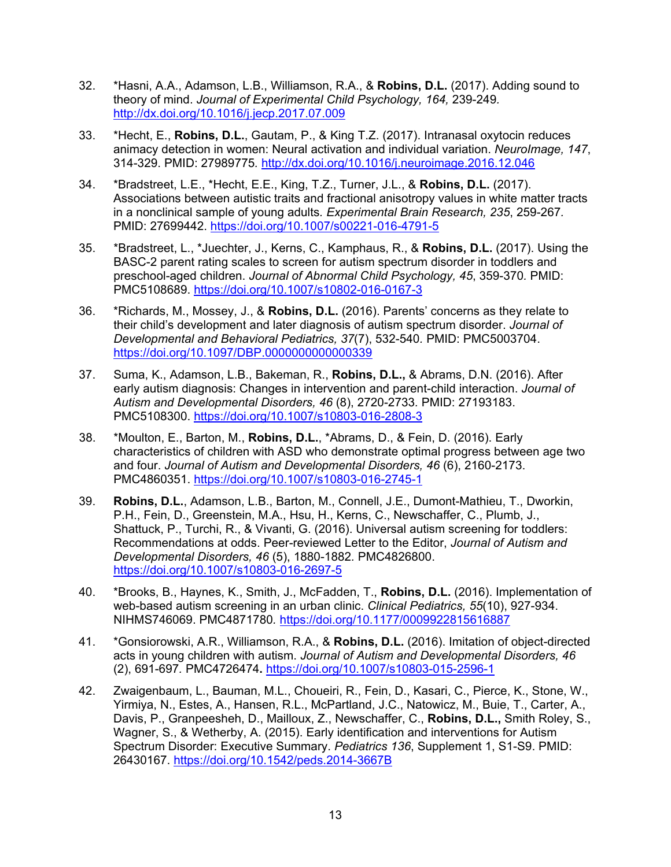- 32. \*Hasni, A.A., Adamson, L.B., Williamson, R.A., & **Robins, D.L.** (2017). Adding sound to theory of mind. *Journal of Experimental Child Psychology, 164,* 239-249*.*  <http://dx.doi.org/10.1016/j.jecp.2017.07.009>
- 33. \*Hecht, E., **Robins, D.L.**, Gautam, P., & King T.Z. (2017). Intranasal oxytocin reduces animacy detection in women: Neural activation and individual variation. *NeuroImage, 147*, 314-329. PMID: 27989775*.* <http://dx.doi.org/10.1016/j.neuroimage.2016.12.046>
- 34. \*Bradstreet, L.E., \*Hecht, E.E., King, T.Z., Turner, J.L., & **Robins, D.L.** (2017). Associations between autistic traits and fractional anisotropy values in white matter tracts in a nonclinical sample of young adults*. Experimental Brain Research, 235*, 259-267*.* PMID: 27699442.<https://doi.org/10.1007/s00221-016-4791-5>
- 35. \*Bradstreet, L., \*Juechter, J., Kerns, C., Kamphaus, R., & **Robins, D.L.** (2017). Using the BASC-2 parent rating scales to screen for autism spectrum disorder in toddlers and preschool-aged children. *Journal of Abnormal Child Psychology, 45*, 359-370*.* PMID: PMC5108689. <https://doi.org/10.1007/s10802-016-0167-3>
- 36. \*Richards, M., Mossey, J., & **Robins, D.L.** (2016). Parents' concerns as they relate to their child's development and later diagnosis of autism spectrum disorder. *Journal of Developmental and Behavioral Pediatrics, 37*(7), 532-540*.* PMID: PMC5003704. <https://doi.org/10.1097/DBP.0000000000000339>
- 37. Suma, K., Adamson, L.B., Bakeman, R., **Robins, D.L.,** & Abrams, D.N. (2016). After early autism diagnosis: Changes in intervention and parent-child interaction. *Journal of Autism and Developmental Disorders, 46* (8), 2720-2733*.* PMID: 27193183. PMC5108300.<https://doi.org/10.1007/s10803-016-2808-3>
- 38. \*Moulton, E., Barton, M., **Robins, D.L.**, \*Abrams, D., & Fein, D. (2016). Early characteristics of children with ASD who demonstrate optimal progress between age two and four. *Journal of Autism and Developmental Disorders, 46* (6), 2160-2173. PMC4860351.<https://doi.org/10.1007/s10803-016-2745-1>
- 39. **Robins, D.L.**, Adamson, L.B., Barton, M., Connell, J.E., Dumont-Mathieu, T., Dworkin, P.H., Fein, D., Greenstein, M.A., Hsu, H., Kerns, C., Newschaffer, C., Plumb, J., Shattuck, P., Turchi, R., & Vivanti, G. (2016). Universal autism screening for toddlers: Recommendations at odds. Peer-reviewed Letter to the Editor, *Journal of Autism and Developmental Disorders, 46* (5), 1880-1882*.* PMC4826800. <https://doi.org/10.1007/s10803-016-2697-5>
- 40. \*Brooks, B., Haynes, K., Smith, J., McFadden, T., **Robins, D.L.** (2016). Implementation of web-based autism screening in an urban clinic. *Clinical Pediatrics, 55*(10), 927-934. NIHMS746069. PMC4871780*.* <https://doi.org/10.1177/0009922815616887>
- 41. \*Gonsiorowski, A.R., Williamson, R.A., & **Robins, D.L.** (2016). Imitation of object-directed acts in young children with autism. *Journal of Autism and Developmental Disorders, 46* (2), 691-697*.* [PMC4726474](http://www.ncbi.nlm.nih.gov/pmc/articles/PMC4726474/?tool=nihms%0A%20%20%20%20%20%20%20%20%20%20%20%20%20%20%20%20%20%20%20%20)**.** <https://doi.org/10.1007/s10803-015-2596-1>
- 42. Zwaigenbaum, L., Bauman, M.L., Choueiri, R., Fein, D., Kasari, C., Pierce, K., Stone, W., Yirmiya, N., Estes, A., Hansen, R.L., McPartland, J.C., Natowicz, M., Buie, T., Carter, A., Davis, P., Granpeesheh, D., Mailloux, Z., Newschaffer, C., **Robins, D.L.,** Smith Roley, S., Wagner, S., & Wetherby, A. (2015). Early identification and interventions for Autism Spectrum Disorder: Executive Summary. *Pediatrics 136*, Supplement 1, S1-S9. PMID: 26430167.<https://doi.org/10.1542/peds.2014-3667B>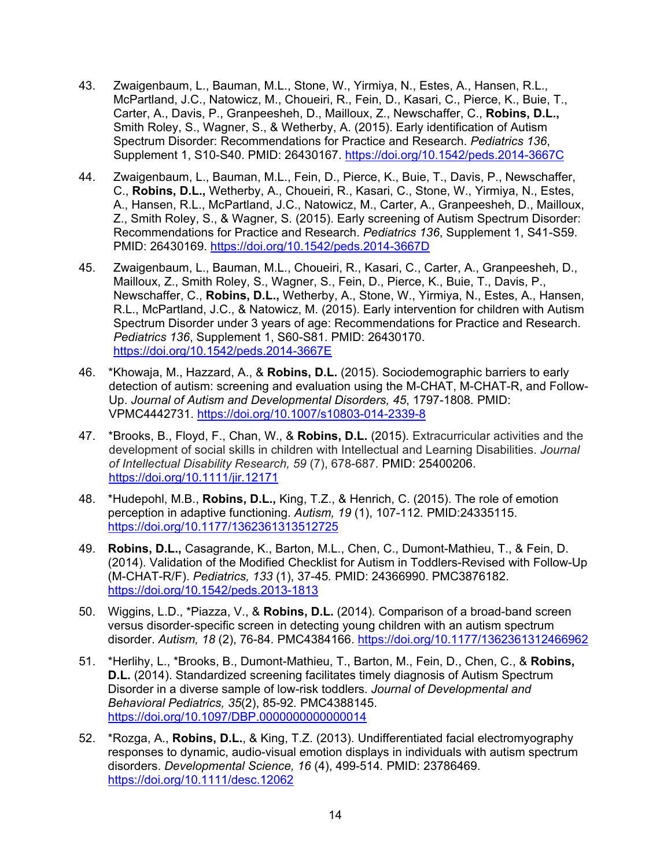- 43. Zwaigenbaum, L., Bauman, M.L., Stone, W., Yirmiya, N., Estes, A., Hansen, R.L., McPartland, J.C., Natowicz, M., Choueiri, R., Fein, D., Kasari, C., Pierce, K., Buie, T., Carter, A., Davis, P., Granpeesheh, D., Mailloux, Z., Newschaffer, C., **Robins, D.L.,** Smith Roley, S., Wagner, S., & Wetherby, A. (2015). Early identification of Autism Spectrum Disorder: Recommendations for Practice and Research. *Pediatrics 136*, Supplement 1, S10-S40. PMID: 26430167.<https://doi.org/10.1542/peds.2014-3667C>
- 44. Zwaigenbaum, L., Bauman, M.L., Fein, D., Pierce, K., Buie, T., Davis, P., Newschaffer, C., **Robins, D.L.,** Wetherby, A., Choueiri, R., Kasari, C., Stone, W., Yirmiya, N., Estes, A., Hansen, R.L., McPartland, J.C., Natowicz, M., Carter, A., Granpeesheh, D., Mailloux, Z., Smith Roley, S., & Wagner, S. (2015). Early screening of Autism Spectrum Disorder: Recommendations for Practice and Research. *Pediatrics 136*, Supplement 1, S41-S59. PMID: 26430169.<https://doi.org/10.1542/peds.2014-3667D>
- 45. Zwaigenbaum, L., Bauman, M.L., Choueiri, R., Kasari, C., Carter, A., Granpeesheh, D., Mailloux, Z., Smith Roley, S., Wagner, S., Fein, D., Pierce, K., Buie, T., Davis, P., Newschaffer, C., **Robins, D.L.,** Wetherby, A., Stone, W., Yirmiya, N., Estes, A., Hansen, R.L., McPartland, J.C., & Natowicz, M. (2015). Early intervention for children with Autism Spectrum Disorder under 3 years of age: Recommendations for Practice and Research. *Pediatrics 136*, Supplement 1, S60-S81. PMID: 26430170. <https://doi.org/10.1542/peds.2014-3667E>
- 46. \*Khowaja, M., Hazzard, A., & **Robins, D.L.** (2015). Sociodemographic barriers to early detection of autism: screening and evaluation using the M-CHAT, M-CHAT-R, and Follow-Up. *Journal of Autism and Developmental Disorders, 45*, 1797-1808*.* PMID: VPMC4442731.<https://doi.org/10.1007/s10803-014-2339-8>
- 47. \*Brooks, B., Floyd, F., Chan, W., & **Robins, D.L.** (2015). Extracurricular activities and the development of social skills in children with Intellectual and Learning Disabilities. *Journal of Intellectual Disability Research, 59* (7), 678-687*.* PMID: 25400206. <https://doi.org/10.1111/jir.12171>
- 48. \*Hudepohl, M.B., **Robins, D.L.,** King, T.Z., & Henrich, C. (2015). The role of emotion perception in adaptive functioning. *Autism, 19* (1), 107-112*.* PMID:24335115. <https://doi.org/10.1177/1362361313512725>
- 49. **Robins, D.L.,** Casagrande, K., Barton, M.L., Chen, C., Dumont-Mathieu, T., & Fein, D. (2014). Validation of the Modified Checklist for Autism in Toddlers-Revised with Follow-Up (M-CHAT-R/F). *Pediatrics, 133* (1), 37-45*.* PMID: 24366990. PMC3876182. <https://doi.org/10.1542/peds.2013-1813>
- 50. Wiggins, L.D., \*Piazza, V., & **Robins, D.L.** (2014). Comparison of a broad-band screen versus disorder-specific screen in detecting young children with an autism spectrum disorder. *Autism, 18* (2), 76-84*.* PMC4384166. <https://doi.org/10.1177/1362361312466962>
- 51. \*Herlihy, L., \*Brooks, B., Dumont-Mathieu, T., Barton, M., Fein, D., Chen, C., & **Robins, D.L.** (2014). Standardized screening facilitates timely diagnosis of Autism Spectrum Disorder in a diverse sample of low-risk toddlers. *Journal of Developmental and Behavioral Pediatrics, 35*(2), 85-92*.* PMC4388145. <https://doi.org/10.1097/DBP.0000000000000014>
- 52. \*Rozga, A., **Robins, D.L.**, & King, T.Z. (2013). Undifferentiated facial electromyography responses to dynamic, audio-visual emotion displays in individuals with autism spectrum disorders. *Developmental Science, 16* (4), 499-514*.* PMID: 23786469. <https://doi.org/10.1111/desc.12062>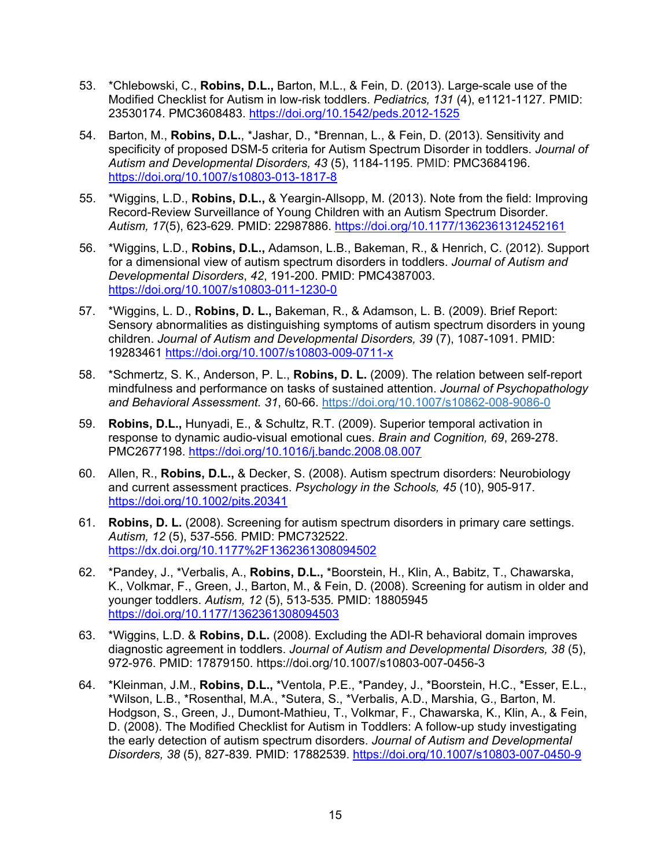- 53. \*Chlebowski, C., **Robins, D.L.,** Barton, M.L., & Fein, D. (2013). Large-scale use of the Modified Checklist for Autism in low-risk toddlers. *Pediatrics, 131* (4), e1121-1127*.* PMID: 23530174. PMC3608483.<https://doi.org/10.1542/peds.2012-1525>
- 54. Barton, M., **Robins, D.L.**, \*Jashar, D., \*Brennan, L., & Fein, D. (2013). Sensitivity and specificity of proposed DSM-5 criteria for Autism Spectrum Disorder in toddlers. *Journal of Autism and Developmental Disorders, 43* (5), 1184-1195. PMID: PMC3684196. <https://doi.org/10.1007/s10803-013-1817-8>
- 55. \*Wiggins, L.D., **Robins, D.L.,** & Yeargin-Allsopp, M. (2013). Note from the field: Improving Record-Review Surveillance of Young Children with an Autism Spectrum Disorder. *Autism, 17*(5), 623-629*.* PMID: 22987886.<https://doi.org/10.1177/1362361312452161>
- 56. \*Wiggins, L.D., **Robins, D.L.,** Adamson, L.B., Bakeman, R., & Henrich, C. (2012). Support for a dimensional view of autism spectrum disorders in toddlers. *Journal of Autism and Developmental Disorders*, *42*, 191-200. PMID: PMC4387003. <https://doi.org/10.1007/s10803-011-1230-0>
- 57. \*Wiggins, L. D., **Robins, D. L.,** Bakeman, R., & Adamson, L. B. (2009). Brief Report: Sensory abnormalities as distinguishing symptoms of autism spectrum disorders in young children. *Journal of Autism and Developmental Disorders, 39* (7), 1087-1091. PMID: 19283461 <https://doi.org/10.1007/s10803-009-0711-x>
- 58. \*Schmertz, S. K., Anderson, P. L., **Robins, D. L.** (2009). The relation between self-report mindfulness and performance on tasks of sustained attention. *Journal of Psychopathology and Behavioral Assessment. 31*, 60-66. [https://doi.org/10.1007/s10862-008-9086-0](https://psycnet.apa.org/doi/10.1007/s10862-008-9086-0)
- 59. **Robins, D.L.,** Hunyadi, E., & Schultz, R.T. (2009). Superior temporal activation in response to dynamic audio-visual emotional cues. *Brain and Cognition, 69*, 269-278. PMC2677198.<https://doi.org/10.1016/j.bandc.2008.08.007>
- 60. Allen, R., **Robins, D.L.,** & Decker, S. (2008). Autism spectrum disorders: Neurobiology and current assessment practices. *Psychology in the Schools, 45* (10), 905-917. <https://doi.org/10.1002/pits.20341>
- 61. **Robins, D. L.** (2008). Screening for autism spectrum disorders in primary care settings. *Autism, 12* (5), 537-556*.* PMID: PMC732522. <https://dx.doi.org/10.1177%2F1362361308094502>
- 62. \*Pandey, J., \*Verbalis, A., **Robins, D.L.,** \*Boorstein, H., Klin, A., Babitz, T., Chawarska, K., Volkmar, F., Green, J., Barton, M., & Fein, D. (2008). Screening for autism in older and younger toddlers. *Autism, 12* (5), 513-535*.* PMID: 18805945 <https://doi.org/10.1177/1362361308094503>
- 63. \*Wiggins, L.D. & **Robins, D.L.** (2008). Excluding the ADI-R behavioral domain improves diagnostic agreement in toddlers. *Journal of Autism and Developmental Disorders, 38* (5), 972-976. PMID: 17879150. https://doi.org/10.1007/s10803-007-0456-3
- 64. \*Kleinman, J.M., **Robins, D.L.,** \*Ventola, P.E., \*Pandey, J., \*Boorstein, H.C., \*Esser, E.L., \*Wilson, L.B., \*Rosenthal, M.A., \*Sutera, S., \*Verbalis, A.D., Marshia, G., Barton, M. Hodgson, S., Green, J., Dumont-Mathieu, T., Volkmar, F., Chawarska, K., Klin, A., & Fein, D. (2008). The Modified Checklist for Autism in Toddlers: A follow-up study investigating the early detection of autism spectrum disorders. *Journal of Autism and Developmental Disorders, 38* (5), 827-839*.* PMID: 17882539.<https://doi.org/10.1007/s10803-007-0450-9>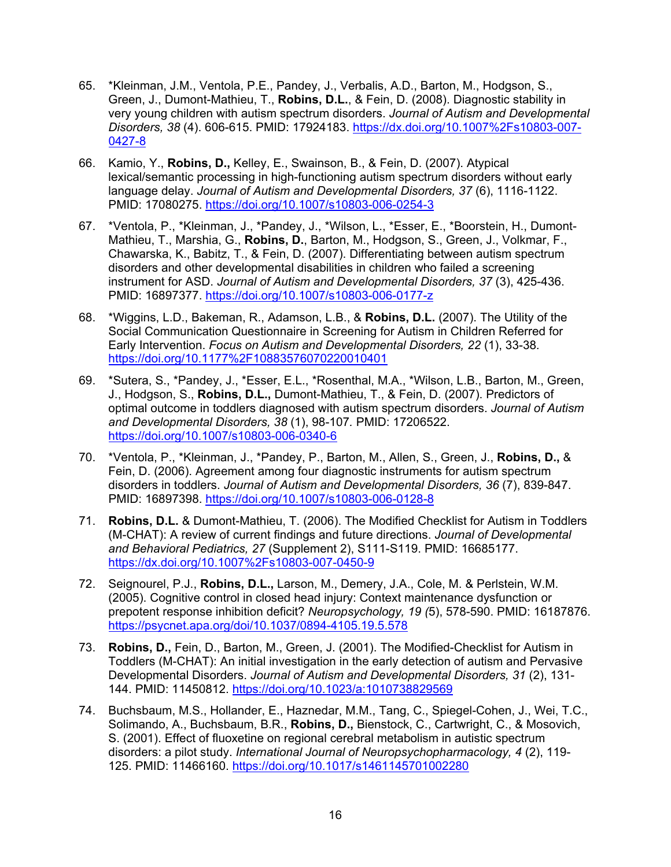- 65. \*Kleinman, J.M., Ventola, P.E., Pandey, J., Verbalis, A.D., Barton, M., Hodgson, S., Green, J., Dumont-Mathieu, T., **Robins, D.L.**, & Fein, D. (2008). Diagnostic stability in very young children with autism spectrum disorders. *Journal of Autism and Developmental Disorders, 38* (4). 606-615. PMID: 17924183. [https://dx.doi.org/10.1007%2Fs10803-007-](https://dx.doi.org/10.1007%2Fs10803-007-0427-8) [0427-8](https://dx.doi.org/10.1007%2Fs10803-007-0427-8)
- 66. Kamio, Y., **Robins, D.,** Kelley, E., Swainson, B., & Fein, D. (2007). Atypical lexical/semantic processing in high-functioning autism spectrum disorders without early language delay. *Journal of Autism and Developmental Disorders, 37* (6), 1116-1122. PMID: 17080275.<https://doi.org/10.1007/s10803-006-0254-3>
- 67. \*Ventola, P., \*Kleinman, J., \*Pandey, J., \*Wilson, L., \*Esser, E., \*Boorstein, H., Dumont-Mathieu, T., Marshia, G., **Robins, D.**, Barton, M., Hodgson, S., Green, J., Volkmar, F., Chawarska, K., Babitz, T., & Fein, D. (2007). Differentiating between autism spectrum disorders and other developmental disabilities in children who failed a screening instrument for ASD. *Journal of Autism and Developmental Disorders, 37* (3), 425-436. PMID: 16897377.<https://doi.org/10.1007/s10803-006-0177-z>
- 68. \*Wiggins, L.D., Bakeman, R., Adamson, L.B., & **Robins, D.L.** (2007). The Utility of the Social Communication Questionnaire in Screening for Autism in Children Referred for Early Intervention. *Focus on Autism and Developmental Disorders, 22* (1), 33-38*.*  <https://doi.org/10.1177%2F10883576070220010401>
- 69. \*Sutera, S., \*Pandey, J., \*Esser, E.L., \*Rosenthal, M.A., \*Wilson, L.B., Barton, M., Green, J., Hodgson, S., **Robins, D.L.,** Dumont-Mathieu, T., & Fein, D. (2007). Predictors of optimal outcome in toddlers diagnosed with autism spectrum disorders. *Journal of Autism and Developmental Disorders, 38* (1), 98-107*.* PMID: 17206522. <https://doi.org/10.1007/s10803-006-0340-6>
- 70. \*Ventola, P., \*Kleinman, J., \*Pandey, P., Barton, M., Allen, S., Green, J., **Robins, D.,** & Fein, D. (2006). Agreement among four diagnostic instruments for autism spectrum disorders in toddlers. *Journal of Autism and Developmental Disorders, 36* (7), 839-847. PMID: 16897398.<https://doi.org/10.1007/s10803-006-0128-8>
- 71. **Robins, D.L.** & Dumont-Mathieu, T. (2006). The Modified Checklist for Autism in Toddlers (M-CHAT): A review of current findings and future directions. *Journal of Developmental and Behavioral Pediatrics, 27* (Supplement 2), S111-S119. PMID: 16685177. <https://dx.doi.org/10.1007%2Fs10803-007-0450-9>
- 72. Seignourel, P.J., **Robins, D.L.,** Larson, M., Demery, J.A., Cole, M. & Perlstein, W.M. (2005). Cognitive control in closed head injury: Context maintenance dysfunction or prepotent response inhibition deficit? *Neuropsychology, 19 (*5), 578-590. PMID: 16187876. <https://psycnet.apa.org/doi/10.1037/0894-4105.19.5.578>
- 73. **Robins, D.,** Fein, D., Barton, M., Green, J. (2001). The Modified-Checklist for Autism in Toddlers (M-CHAT): An initial investigation in the early detection of autism and Pervasive Developmental Disorders. *Journal of Autism and Developmental Disorders, 31* (2), 131- 144. PMID: 11450812.<https://doi.org/10.1023/a:1010738829569>
- 74. Buchsbaum, M.S., Hollander, E., Haznedar, M.M., Tang, C., Spiegel-Cohen, J., Wei, T.C., Solimando, A., Buchsbaum, B.R., **Robins, D.,** Bienstock, C., Cartwright, C., & Mosovich, S. (2001). Effect of fluoxetine on regional cerebral metabolism in autistic spectrum disorders: a pilot study. *International Journal of Neuropsychopharmacology, 4* (2), 119- 125. PMID: 11466160.<https://doi.org/10.1017/s1461145701002280>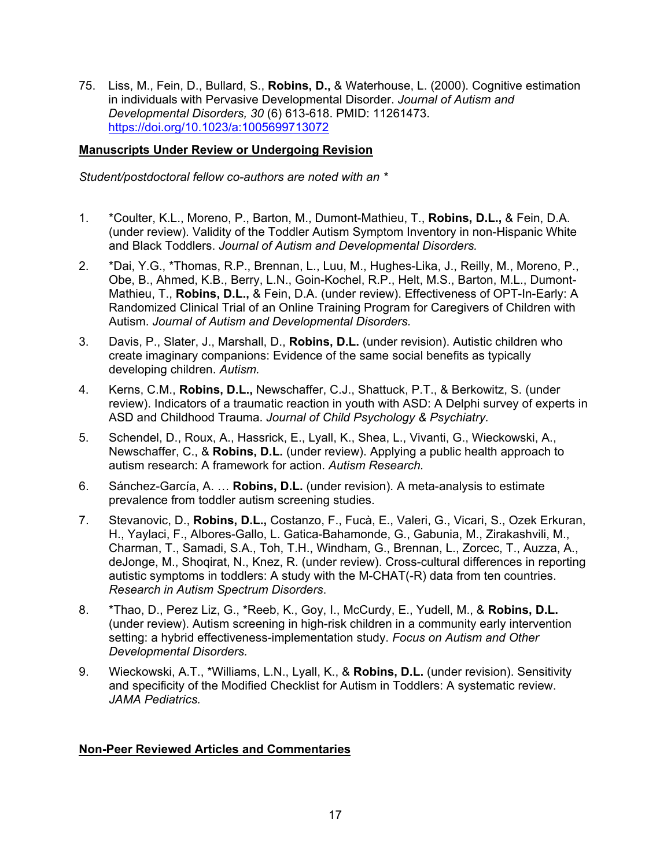75. Liss, M., Fein, D., Bullard, S., **Robins, D.,** & Waterhouse, L. (2000). Cognitive estimation in individuals with Pervasive Developmental Disorder. *Journal of Autism and Developmental Disorders, 30* (6) 613-618. PMID: 11261473. <https://doi.org/10.1023/a:1005699713072>

## **Manuscripts Under Review or Undergoing Revision**

*Student/postdoctoral fellow co-authors are noted with an \**

- 1. \*Coulter, K.L., Moreno, P., Barton, M., Dumont-Mathieu, T., **Robins, D.L.,** & Fein, D.A. (under review). Validity of the Toddler Autism Symptom Inventory in non-Hispanic White and Black Toddlers. *Journal of Autism and Developmental Disorders.*
- 2. \*Dai, Y.G., \*Thomas, R.P., Brennan, L., Luu, M., Hughes-Lika, J., Reilly, M., Moreno, P., Obe, B., Ahmed, K.B., Berry, L.N., Goin-Kochel, R.P., Helt, M.S., Barton, M.L., Dumont-Mathieu, T., **Robins, D.L.,** & Fein, D.A. (under review). Effectiveness of OPT-In-Early: A Randomized Clinical Trial of an Online Training Program for Caregivers of Children with Autism. *Journal of Autism and Developmental Disorders.*
- 3. Davis, P., Slater, J., Marshall, D., **Robins, D.L.** (under revision). Autistic children who create imaginary companions: Evidence of the same social benefits as typically developing children. *Autism.*
- 4. Kerns, C.M., **Robins, D.L.,** Newschaffer, C.J., Shattuck, P.T., & Berkowitz, S. (under review). Indicators of a traumatic reaction in youth with ASD: A Delphi survey of experts in ASD and Childhood Trauma. *Journal of Child Psychology & Psychiatry.*
- 5. Schendel, D., Roux, A., Hassrick, E., Lyall, K., Shea, L., Vivanti, G., Wieckowski, A., Newschaffer, C., & **Robins, D.L.** (under review). Applying a public health approach to autism research: A framework for action. *Autism Research.*
- 6. Sánchez-García, A. … **Robins, D.L.** (under revision). A meta-analysis to estimate prevalence from toddler autism screening studies.
- 7. Stevanovic, D., **Robins, D.L.,** Costanzo, F., Fucà, E., Valeri, G., Vicari, S., Ozek Erkuran, H., Yaylaci, F., Albores-Gallo, L. Gatica-Bahamonde, G., Gabunia, M., Zirakashvili, M., Charman, T., Samadi, S.A., Toh, T.H., Windham, G., Brennan, L., Zorcec, T., Auzza, A., deJonge, M., Shoqirat, N., Knez, R. (under review). Cross-cultural differences in reporting autistic symptoms in toddlers: A study with the M-CHAT(-R) data from ten countries. *Research in Autism Spectrum Disorders*.
- 8. \*Thao, D., Perez Liz, G., \*Reeb, K., Goy, I., McCurdy, E., Yudell, M., & **Robins, D.L.** (under review). Autism screening in high-risk children in a community early intervention setting: a hybrid effectiveness-implementation study. *Focus on Autism and Other Developmental Disorders.*
- 9. Wieckowski, A.T., \*Williams, L.N., Lyall, K., & **Robins, D.L.** (under revision). Sensitivity and specificity of the Modified Checklist for Autism in Toddlers: A systematic review. *JAMA Pediatrics.*

### **Non-Peer Reviewed Articles and Commentaries**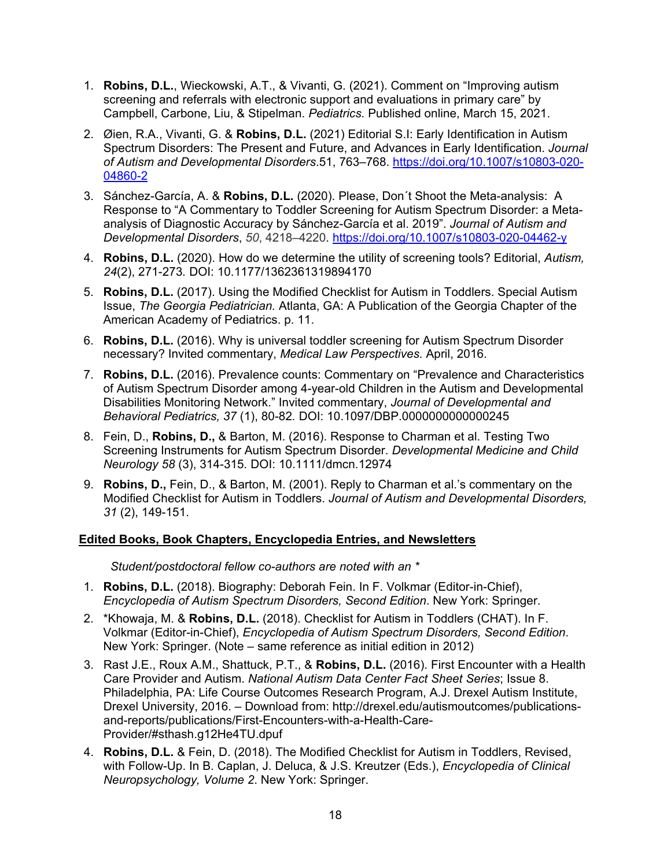- 1. **Robins, D.L.**, Wieckowski, A.T., & Vivanti, G. (2021). Comment on "Improving autism screening and referrals with electronic support and evaluations in primary care" by Campbell, Carbone, Liu, & Stipelman. *Pediatrics.* Published online, March 15, 2021.
- 2. Øien, R.A., Vivanti, G. & **Robins, D.L.** (2021) Editorial S.I: Early Identification in Autism Spectrum Disorders: The Present and Future, and Advances in Early Identification. *Journal of Autism and Developmental Disorders*.51, 763–768. [https://doi.org/10.1007/s10803-020-](https://doi.org/10.1007/s10803-020-04860-2) [04860-2](https://doi.org/10.1007/s10803-020-04860-2)
- 3. Sánchez-García, A. & **Robins, D.L.** (2020). Please, Don´t Shoot the Meta-analysis: A Response to "A Commentary to Toddler Screening for Autism Spectrum Disorder: a Metaanalysis of Diagnostic Accuracy by Sánchez-García et al. 2019". *Journal of Autism and Developmental Disorders*, *50*, 4218–4220. <https://doi.org/10.1007/s10803-020-04462-y>
- 4. **Robins, D.L.** (2020). How do we determine the utility of screening tools? Editorial, *Autism, 24*(2), 271-273*.* DOI: 10.1177/1362361319894170
- 5. **Robins, D.L.** (2017). Using the Modified Checklist for Autism in Toddlers. Special Autism Issue, *The Georgia Pediatrician.* Atlanta, GA: A Publication of the Georgia Chapter of the American Academy of Pediatrics. p. 11.
- 6. **Robins, D.L.** (2016). Why is universal toddler screening for Autism Spectrum Disorder necessary? Invited commentary, *Medical Law Perspectives.* April, 2016.
- 7. **Robins, D.L.** (2016). Prevalence counts: Commentary on "Prevalence and Characteristics of Autism Spectrum Disorder among 4-year-old Children in the Autism and Developmental Disabilities Monitoring Network." Invited commentary, *Journal of Developmental and Behavioral Pediatrics, 37* (1), 80-82*.* DOI: 10.1097/DBP.0000000000000245
- 8. Fein, D., **Robins, D.,** & Barton, M. (2016). Response to Charman et al. Testing Two Screening Instruments for Autism Spectrum Disorder. *Developmental Medicine and Child Neurology 58* (3), 314-315*.* DOI: 10.1111/dmcn.12974
- 9. **Robins, D.,** Fein, D., & Barton, M. (2001). Reply to Charman et al.'s commentary on the Modified Checklist for Autism in Toddlers. *Journal of Autism and Developmental Disorders, 31* (2), 149-151.

### **Edited Books, Book Chapters, Encyclopedia Entries, and Newsletters**

*Student/postdoctoral fellow co-authors are noted with an \**

- 1. **Robins, D.L.** (2018). Biography: Deborah Fein. In F. Volkmar (Editor-in-Chief), *Encyclopedia of Autism Spectrum Disorders, Second Edition*. New York: Springer.
- 2. \*Khowaja, M. & **Robins, D.L.** (2018). Checklist for Autism in Toddlers (CHAT). In F. Volkmar (Editor-in-Chief), *Encyclopedia of Autism Spectrum Disorders, Second Edition*. New York: Springer. (Note – same reference as initial edition in 2012)
- 3. Rast J.E., Roux A.M., Shattuck, P.T., & **Robins, D.L.** (2016). First Encounter with a Health Care Provider and Autism. *National Autism Data Center Fact Sheet Series*; Issue 8. Philadelphia, PA: Life Course Outcomes Research Program, A.J. Drexel Autism Institute, Drexel University, 2016. – Download from: http://drexel.edu/autismoutcomes/publicationsand-reports/publications/First-Encounters-with-a-Health-Care-Provider/#sthash.g12He4TU.dpuf
- 4. **Robins, D.L.** & Fein, D. (2018). The Modified Checklist for Autism in Toddlers, Revised, with Follow-Up. In B. Caplan, J. Deluca, & J.S. Kreutzer (Eds.), *Encyclopedia of Clinical Neuropsychology, Volume 2*. New York: Springer.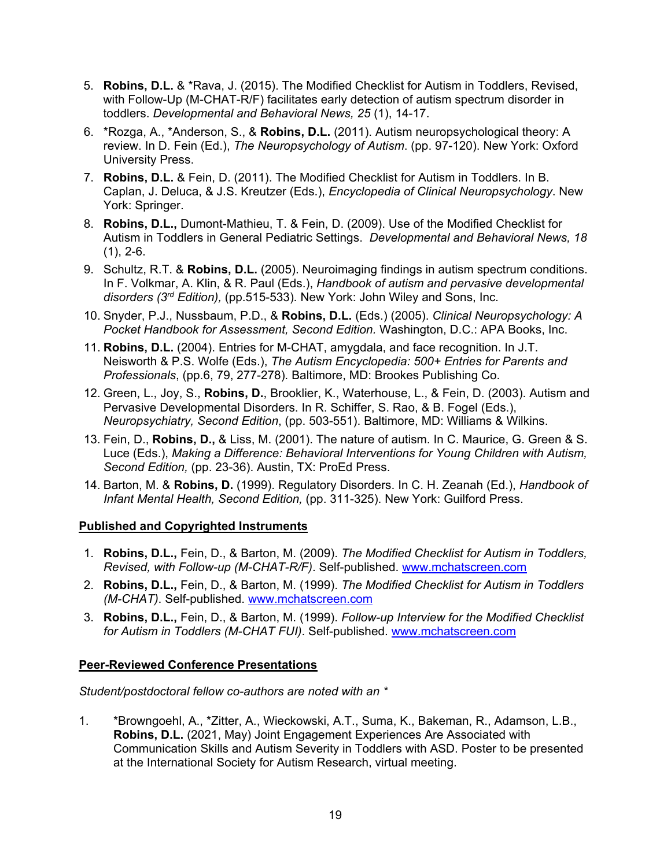- 5. **Robins, D.L.** & \*Rava, J. (2015). The Modified Checklist for Autism in Toddlers, Revised, with Follow-Up (M-CHAT-R/F) facilitates early detection of autism spectrum disorder in toddlers. *Developmental and Behavioral News, 25* (1), 14-17.
- 6. \*Rozga, A., \*Anderson, S., & **Robins, D.L.** (2011). Autism neuropsychological theory: A review. In D. Fein (Ed.), *The Neuropsychology of Autism*. (pp. 97-120). New York: Oxford University Press.
- 7. **Robins, D.L.** & Fein, D. (2011). The Modified Checklist for Autism in Toddlers. In B. Caplan, J. Deluca, & J.S. Kreutzer (Eds.), *Encyclopedia of Clinical Neuropsychology*. New York: Springer.
- 8. **Robins, D.L.,** Dumont-Mathieu, T. & Fein, D. (2009). Use of the Modified Checklist for Autism in Toddlers in General Pediatric Settings. *Developmental and Behavioral News, 18*  $(1), 2-6.$
- 9. Schultz, R.T. & **Robins, D.L.** (2005). Neuroimaging findings in autism spectrum conditions. In F. Volkmar, A. Klin, & R. Paul (Eds.), *Handbook of autism and pervasive developmental disorders (3rd Edition),* (pp.515-533)*.* New York: John Wiley and Sons, Inc*.*
- 10. Snyder, P.J., Nussbaum, P.D., & **Robins, D.L.** (Eds.) (2005). *Clinical Neuropsychology: A Pocket Handbook for Assessment, Second Edition.* Washington, D.C.: APA Books, Inc.
- 11. **Robins, D.L.** (2004). Entries for M-CHAT, amygdala, and face recognition. In J.T. Neisworth & P.S. Wolfe (Eds.), *The Autism Encyclopedia: 500+ Entries for Parents and Professionals*, (pp.6, 79, 277-278)*.* Baltimore, MD: Brookes Publishing Co.
- 12. Green, L., Joy, S., **Robins, D.**, Brooklier, K., Waterhouse, L., & Fein, D. (2003). Autism and Pervasive Developmental Disorders. In R. Schiffer, S. Rao, & B. Fogel (Eds.), *Neuropsychiatry, Second Edition*, (pp. 503-551). Baltimore, MD: Williams & Wilkins.
- 13. Fein, D., **Robins, D.,** & Liss, M. (2001). The nature of autism. In C. Maurice, G. Green & S. Luce (Eds.), *Making a Difference: Behavioral Interventions for Young Children with Autism, Second Edition,* (pp. 23-36). Austin, TX: ProEd Press.
- 14. Barton, M. & **Robins, D.** (1999). Regulatory Disorders. In C. H. Zeanah (Ed.), *Handbook of Infant Mental Health, Second Edition,* (pp. 311-325). New York: Guilford Press.

### **Published and Copyrighted Instruments**

- 1. **Robins, D.L.,** Fein, D., & Barton, M. (2009). *The Modified Checklist for Autism in Toddlers, Revised, with Follow-up (M-CHAT-R/F)*. Self-published. [www.mchatscreen.com](http://www.mchatscreen.com/)
- 2. **Robins, D.L.,** Fein, D., & Barton, M. (1999). *The Modified Checklist for Autism in Toddlers (M-CHAT)*. Self-published. [www.mchatscreen.com](http://www.mchatscreen.com/)
- 3. **Robins, D.L.,** Fein, D., & Barton, M. (1999). *Follow-up Interview for the Modified Checklist for Autism in Toddlers (M-CHAT FUI)*. Self-published. [www.mchatscreen.com](http://www.mchatscreen.com/)

# **Peer-Reviewed Conference Presentations**

*Student/postdoctoral fellow co-authors are noted with an \**

1. \*Browngoehl, A., \*Zitter, A., Wieckowski, A.T., Suma, K., Bakeman, R., Adamson, L.B., **Robins, D.L.** (2021, May) Joint Engagement Experiences Are Associated with Communication Skills and Autism Severity in Toddlers with ASD. Poster to be presented at the International Society for Autism Research, virtual meeting.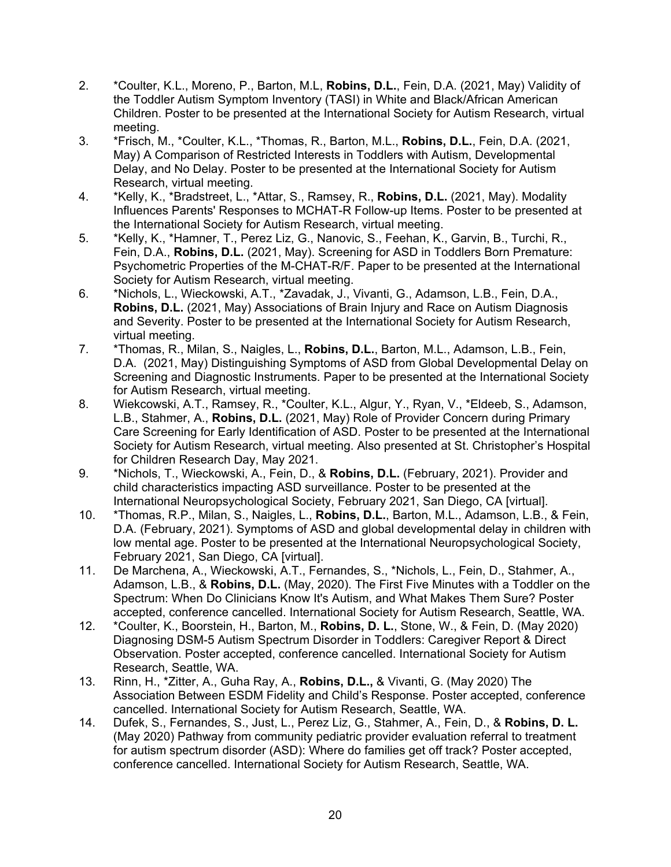- 2. \*Coulter, K.L., Moreno, P., Barton, M.L, **Robins, D.L.**, Fein, D.A. (2021, May) Validity of the Toddler Autism Symptom Inventory (TASI) in White and Black/African American Children. Poster to be presented at the International Society for Autism Research, virtual meeting.
- 3. \*Frisch, M., \*Coulter, K.L., \*Thomas, R., Barton, M.L., **Robins, D.L.**, Fein, D.A. (2021, May) A Comparison of Restricted Interests in Toddlers with Autism, Developmental Delay, and No Delay. Poster to be presented at the International Society for Autism Research, virtual meeting.
- 4. \*Kelly, K., \*Bradstreet, L., \*Attar, S., Ramsey, R., **Robins, D.L.** (2021, May). Modality Influences Parents' Responses to MCHAT-R Follow-up Items. Poster to be presented at the International Society for Autism Research, virtual meeting.
- 5. \*Kelly, K., \*Hamner, T., Perez Liz, G., Nanovic, S., Feehan, K., Garvin, B., Turchi, R., Fein, D.A., **Robins, D.L.** (2021, May). Screening for ASD in Toddlers Born Premature: Psychometric Properties of the M-CHAT-R/F. Paper to be presented at the International Society for Autism Research, virtual meeting.
- 6. \*Nichols, L., Wieckowski, A.T., \*Zavadak, J., Vivanti, G., Adamson, L.B., Fein, D.A., **Robins, D.L.** (2021, May) Associations of Brain Injury and Race on Autism Diagnosis and Severity. Poster to be presented at the International Society for Autism Research, virtual meeting.
- 7. \*Thomas, R., Milan, S., Naigles, L., **Robins, D.L.**, Barton, M.L., Adamson, L.B., Fein, D.A. (2021, May) Distinguishing Symptoms of ASD from Global Developmental Delay on Screening and Diagnostic Instruments. Paper to be presented at the International Society for Autism Research, virtual meeting.
- 8. Wiekcowski, A.T., Ramsey, R., \*Coulter, K.L., Algur, Y., Ryan, V., \*Eldeeb, S., Adamson, L.B., Stahmer, A., **Robins, D.L.** (2021, May) Role of Provider Concern during Primary Care Screening for Early Identification of ASD. Poster to be presented at the International Society for Autism Research, virtual meeting. Also presented at St. Christopher's Hospital for Children Research Day, May 2021.
- 9. \*Nichols, T., Wieckowski, A., Fein, D., & **Robins, D.L.** (February, 2021). Provider and child characteristics impacting ASD surveillance. Poster to be presented at the International Neuropsychological Society, February 2021, San Diego, CA [virtual].
- 10. \*Thomas, R.P., Milan, S., Naigles, L., **Robins, D.L.**, Barton, M.L., Adamson, L.B., & Fein, D.A. (February, 2021). Symptoms of ASD and global developmental delay in children with low mental age. Poster to be presented at the International Neuropsychological Society, February 2021, San Diego, CA [virtual].
- 11. De Marchena, A., Wieckowski, A.T., Fernandes, S., \*Nichols, L., Fein, D., Stahmer, A., Adamson, L.B., & **Robins, D.L.** (May, 2020). The First Five Minutes with a Toddler on the Spectrum: When Do Clinicians Know It's Autism, and What Makes Them Sure? Poster accepted, conference cancelled. International Society for Autism Research, Seattle, WA.
- 12. \*Coulter, K., Boorstein, H., Barton, M., **Robins, D. L.**, Stone, W., & Fein, D. (May 2020) Diagnosing DSM-5 Autism Spectrum Disorder in Toddlers: Caregiver Report & Direct Observation. Poster accepted, conference cancelled. International Society for Autism Research, Seattle, WA.
- 13. Rinn, H., \*Zitter, A., Guha Ray, A., **Robins, D.L.,** & Vivanti, G. (May 2020) The Association Between ESDM Fidelity and Child's Response. Poster accepted, conference cancelled. International Society for Autism Research, Seattle, WA.
- 14. Dufek, S., Fernandes, S., Just, L., Perez Liz, G., Stahmer, A., Fein, D., & **Robins, D. L.** (May 2020) Pathway from community pediatric provider evaluation referral to treatment for autism spectrum disorder (ASD): Where do families get off track? Poster accepted, conference cancelled. International Society for Autism Research, Seattle, WA.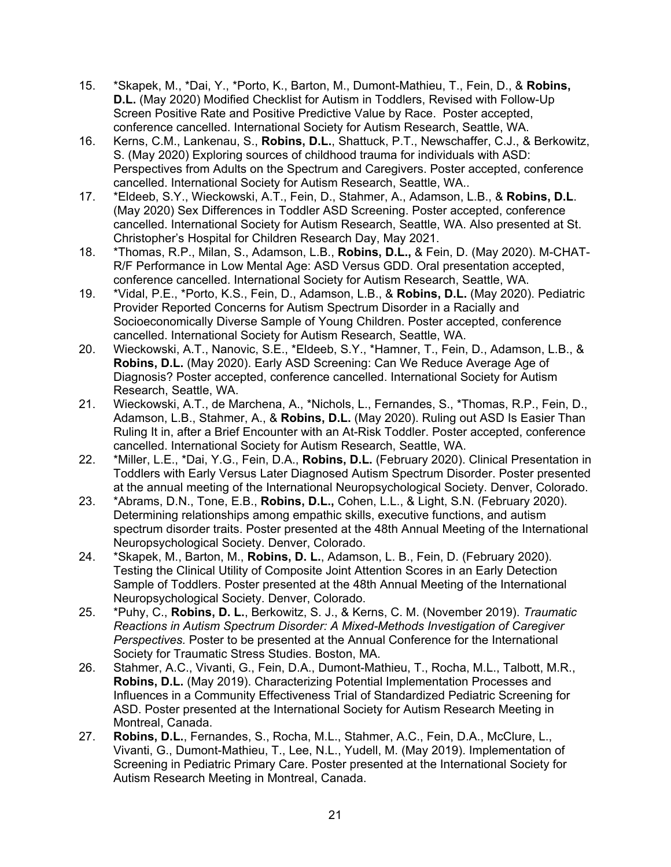- 15. \*Skapek, M., \*Dai, Y., \*Porto, K., Barton, M., Dumont-Mathieu, T., Fein, D., & **Robins, D.L.** (May 2020) Modified Checklist for Autism in Toddlers, Revised with Follow-Up Screen Positive Rate and Positive Predictive Value by Race. Poster accepted, conference cancelled. International Society for Autism Research, Seattle, WA.
- 16. Kerns, C.M., Lankenau, S., **Robins, D.L.**, Shattuck, P.T., Newschaffer, C.J., & Berkowitz, S. (May 2020) Exploring sources of childhood trauma for individuals with ASD: Perspectives from Adults on the Spectrum and Caregivers. Poster accepted, conference cancelled. International Society for Autism Research, Seattle, WA..
- 17. \*Eldeeb, S.Y., Wieckowski, A.T., Fein, D., Stahmer, A., Adamson, L.B., & **Robins, D.L**. (May 2020) Sex Differences in Toddler ASD Screening. Poster accepted, conference cancelled. International Society for Autism Research, Seattle, WA. Also presented at St. Christopher's Hospital for Children Research Day, May 2021.
- 18. \*Thomas, R.P., Milan, S., Adamson, L.B., **Robins, D.L.,** & Fein, D. (May 2020). M-CHAT-R/F Performance in Low Mental Age: ASD Versus GDD. Oral presentation accepted, conference cancelled. International Society for Autism Research, Seattle, WA.
- 19. \*Vidal, P.E., \*Porto, K.S., Fein, D., Adamson, L.B., & **Robins, D.L.** (May 2020). Pediatric Provider Reported Concerns for Autism Spectrum Disorder in a Racially and Socioeconomically Diverse Sample of Young Children. Poster accepted, conference cancelled. International Society for Autism Research, Seattle, WA.
- 20. Wieckowski, A.T., Nanovic, S.E., \*Eldeeb, S.Y., \*Hamner, T., Fein, D., Adamson, L.B., & **Robins, D.L.** (May 2020). Early ASD Screening: Can We Reduce Average Age of Diagnosis? Poster accepted, conference cancelled. International Society for Autism Research, Seattle, WA.
- 21. Wieckowski, A.T., de Marchena, A., \*Nichols, L., Fernandes, S., \*Thomas, R.P., Fein, D., Adamson, L.B., Stahmer, A., & **Robins, D.L.** (May 2020). Ruling out ASD Is Easier Than Ruling It in, after a Brief Encounter with an At-Risk Toddler. Poster accepted, conference cancelled. International Society for Autism Research, Seattle, WA.
- 22. \*Miller, L.E., \*Dai, Y.G., Fein, D.A., **Robins, D.L.** (February 2020). Clinical Presentation in Toddlers with Early Versus Later Diagnosed Autism Spectrum Disorder. Poster presented at the annual meeting of the International Neuropsychological Society. Denver, Colorado.
- 23. \*Abrams, D.N., Tone, E.B., **Robins, D.L.,** Cohen, L.L., & Light, S.N. (February 2020). Determining relationships among empathic skills, executive functions, and autism spectrum disorder traits. Poster presented at the 48th Annual Meeting of the International Neuropsychological Society. Denver, Colorado.
- 24. \*Skapek, M., Barton, M., **Robins, D. L.**, Adamson, L. B., Fein, D. (February 2020). Testing the Clinical Utility of Composite Joint Attention Scores in an Early Detection Sample of Toddlers. Poster presented at the 48th Annual Meeting of the International Neuropsychological Society. Denver, Colorado.
- 25. \*Puhy, C., **Robins, D. L.**, Berkowitz, S. J., & Kerns, C. M. (November 2019). *Traumatic Reactions in Autism Spectrum Disorder: A Mixed-Methods Investigation of Caregiver Perspectives.* Poster to be presented at the Annual Conference for the International Society for Traumatic Stress Studies. Boston, MA.
- 26. Stahmer, A.C., Vivanti, G., Fein, D.A., Dumont-Mathieu, T., Rocha, M.L., Talbott, M.R., **Robins, D.L.** (May 2019). Characterizing Potential Implementation Processes and Influences in a Community Effectiveness Trial of Standardized Pediatric Screening for ASD. Poster presented at the International Society for Autism Research Meeting in Montreal, Canada.
- 27. **Robins, D.L.**, Fernandes, S., Rocha, M.L., Stahmer, A.C., Fein, D.A., McClure, L., Vivanti, G., Dumont-Mathieu, T., Lee, N.L., Yudell, M. (May 2019). Implementation of Screening in Pediatric Primary Care. Poster presented at the International Society for Autism Research Meeting in Montreal, Canada.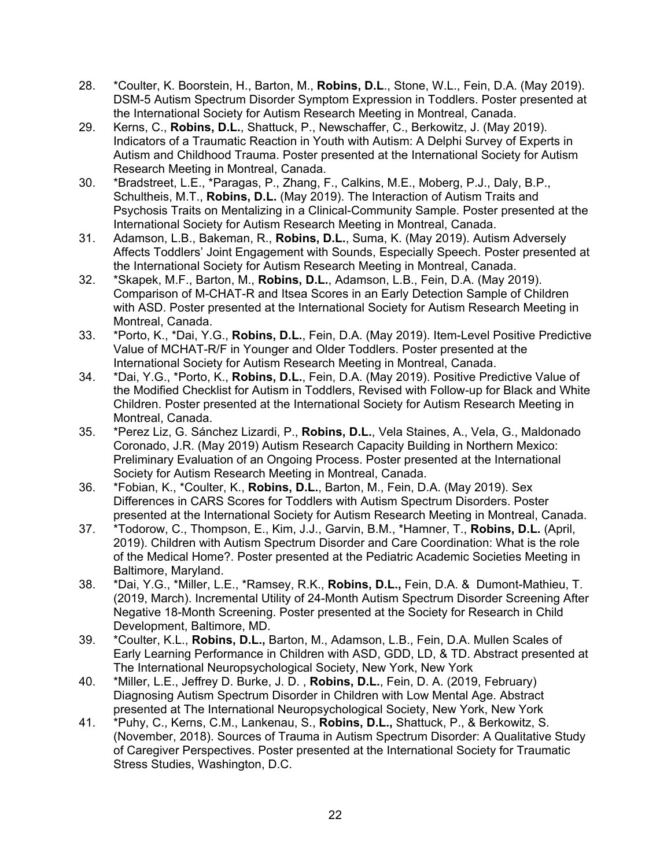- 28. \*Coulter, K. Boorstein, H., Barton, M., **Robins, D.L**., Stone, W.L., Fein, D.A. (May 2019). DSM-5 Autism Spectrum Disorder Symptom Expression in Toddlers. Poster presented at the International Society for Autism Research Meeting in Montreal, Canada.
- 29. Kerns, C., **Robins, D.L.**, Shattuck, P., Newschaffer, C., Berkowitz, J. (May 2019). Indicators of a Traumatic Reaction in Youth with Autism: A Delphi Survey of Experts in Autism and Childhood Trauma. Poster presented at the International Society for Autism Research Meeting in Montreal, Canada.
- 30. \*Bradstreet, L.E., \*Paragas, P., Zhang, F., Calkins, M.E., Moberg, P.J., Daly, B.P., Schultheis, M.T., **Robins, D.L.** (May 2019). The Interaction of Autism Traits and Psychosis Traits on Mentalizing in a Clinical-Community Sample. Poster presented at the International Society for Autism Research Meeting in Montreal, Canada.
- 31. Adamson, L.B., Bakeman, R., **Robins, D.L.**, Suma, K. (May 2019). Autism Adversely Affects Toddlers' Joint Engagement with Sounds, Especially Speech. Poster presented at the International Society for Autism Research Meeting in Montreal, Canada.
- 32. \*Skapek, M.F., Barton, M., **Robins, D.L.**, Adamson, L.B., Fein, D.A. (May 2019). Comparison of M-CHAT-R and Itsea Scores in an Early Detection Sample of Children with ASD. Poster presented at the International Society for Autism Research Meeting in Montreal, Canada.
- 33. \*Porto, K., \*Dai, Y.G., **Robins, D.L.**, Fein, D.A. (May 2019). Item-Level Positive Predictive Value of MCHAT-R/F in Younger and Older Toddlers. Poster presented at the International Society for Autism Research Meeting in Montreal, Canada.
- 34. \*Dai, Y.G., \*Porto, K., **Robins, D.L.**, Fein, D.A. (May 2019). Positive Predictive Value of the Modified Checklist for Autism in Toddlers, Revised with Follow-up for Black and White Children. Poster presented at the International Society for Autism Research Meeting in Montreal, Canada.
- 35. \*Perez Liz, G. Sánchez Lizardi, P., **Robins, D.L.**, Vela Staines, A., Vela, G., Maldonado Coronado, J.R. (May 2019) Autism Research Capacity Building in Northern Mexico: Preliminary Evaluation of an Ongoing Process. Poster presented at the International Society for Autism Research Meeting in Montreal, Canada.
- 36. \*Fobian, K., \*Coulter, K., **Robins, D.L.**, Barton, M., Fein, D.A. (May 2019). Sex Differences in CARS Scores for Toddlers with Autism Spectrum Disorders. Poster presented at the International Society for Autism Research Meeting in Montreal, Canada.
- 37. \*Todorow, C., Thompson, E., Kim, J.J., Garvin, B.M., \*Hamner, T., **Robins, D.L.** (April, 2019). Children with Autism Spectrum Disorder and Care Coordination: What is the role of the Medical Home?. Poster presented at the Pediatric Academic Societies Meeting in Baltimore, Maryland.
- 38. \*Dai, Y.G., \*Miller, L.E., \*Ramsey, R.K., **Robins, D.L.,** Fein, D.A. & Dumont-Mathieu, T. (2019, March). Incremental Utility of 24-Month Autism Spectrum Disorder Screening After Negative 18-Month Screening. Poster presented at the Society for Research in Child Development, Baltimore, MD.
- 39. \*Coulter, K.L., **Robins, D.L.,** Barton, M., Adamson, L.B., Fein, D.A. Mullen Scales of Early Learning Performance in Children with ASD, GDD, LD, & TD. Abstract presented at The International Neuropsychological Society, New York, New York
- 40. \*Miller, L.E., Jeffrey D. Burke, J. D. , **Robins, D.L.**, Fein, D. A. (2019, February) Diagnosing Autism Spectrum Disorder in Children with Low Mental Age. Abstract presented at The International Neuropsychological Society, New York, New York
- 41. \*Puhy, C., Kerns, C.M., Lankenau, S., **Robins, D.L.,** Shattuck, P., & Berkowitz, S. (November, 2018). Sources of Trauma in Autism Spectrum Disorder: A Qualitative Study of Caregiver Perspectives. Poster presented at the International Society for Traumatic Stress Studies, Washington, D.C.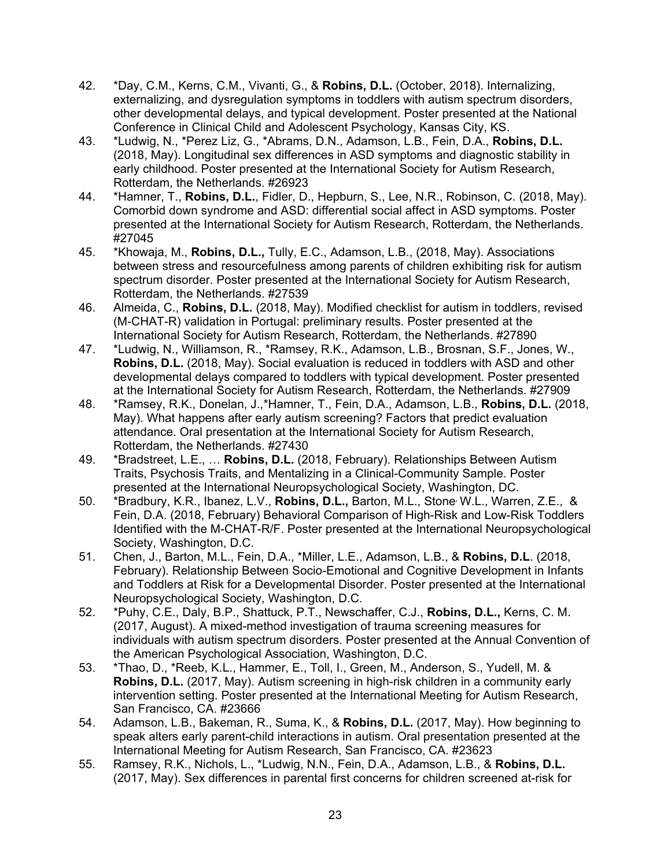- 42. \*Day, C.M., Kerns, C.M., Vivanti, G., & **Robins, D.L.** (October, 2018). Internalizing, externalizing, and dysregulation symptoms in toddlers with autism spectrum disorders, other developmental delays, and typical development. Poster presented at the National Conference in Clinical Child and Adolescent Psychology, Kansas City, KS.
- 43. \*Ludwig, N., \*Perez Liz, G., \*Abrams, D.N., Adamson, L.B., Fein, D.A., **Robins, D.L.** (2018, May). Longitudinal sex differences in ASD symptoms and diagnostic stability in early childhood. Poster presented at the International Society for Autism Research, Rotterdam, the Netherlands. #26923
- 44. \*Hamner, T., **Robins, D.L.**, Fidler, D., Hepburn, S., Lee, N.R., Robinson, C. (2018, May). Comorbid down syndrome and ASD: differential social affect in ASD symptoms. Poster presented at the International Society for Autism Research, Rotterdam, the Netherlands. #27045
- 45. \*Khowaja, M., **Robins, D.L.,** Tully, E.C., Adamson, L.B., (2018, May). Associations between stress and resourcefulness among parents of children exhibiting risk for autism spectrum disorder. Poster presented at the International Society for Autism Research, Rotterdam, the Netherlands. #27539
- 46. Almeida, C., **Robins, D.L.** (2018, May). Modified checklist for autism in toddlers, revised (M-CHAT-R) validation in Portugal: preliminary results. Poster presented at the International Society for Autism Research, Rotterdam, the Netherlands. #27890
- 47. \*Ludwig, N., Williamson, R., \*Ramsey, R.K., Adamson, L.B., Brosnan, S.F., Jones, W., **Robins, D.L.** (2018, May). Social evaluation is reduced in toddlers with ASD and other developmental delays compared to toddlers with typical development. Poster presented at the International Society for Autism Research, Rotterdam, the Netherlands. #27909
- 48. \*Ramsey, R.K., Donelan, J.,\*Hamner, T., Fein, D.A., Adamson, L.B., **Robins, D.L.** (2018, May). What happens after early autism screening? Factors that predict evaluation attendance. Oral presentation at the International Society for Autism Research, Rotterdam, the Netherlands. #27430
- 49. \*Bradstreet, L.E., … **Robins, D.L.** (2018, February). Relationships Between Autism Traits, Psychosis Traits, and Mentalizing in a Clinical-Community Sample. Poster presented at the International Neuropsychological Society, Washington, DC.
- 50. \*Bradbury, K.R., Ibanez, L.V., **Robins, D.L.,** Barton, M.L., Stone, W.L., Warren, Z.E., & Fein, D.A. (2018, February) Behavioral Comparison of High-Risk and Low-Risk Toddlers Identified with the M-CHAT-R/F. Poster presented at the International Neuropsychological Society, Washington, D.C.
- 51. Chen, J., Barton, M.L., Fein, D.A., \*Miller, L.E., Adamson, L.B., & **Robins, D.L**. (2018, February). Relationship Between Socio-Emotional and Cognitive Development in Infants and Toddlers at Risk for a Developmental Disorder. Poster presented at the International Neuropsychological Society, Washington, D.C.
- 52. \*Puhy, C.E., Daly, B.P., Shattuck, P.T., Newschaffer, C.J., **Robins, D.L.,** Kerns, C. M. (2017, August). A mixed-method investigation of trauma screening measures for individuals with autism spectrum disorders. Poster presented at the Annual Convention of the American Psychological Association, Washington, D.C.
- 53. \*Thao, D., \*Reeb, K.L., Hammer, E., Toll, I., Green, M., Anderson, S., Yudell, M. & **Robins, D.L.** (2017, May). Autism screening in high-risk children in a community early intervention setting. Poster presented at the International Meeting for Autism Research, San Francisco, CA. #23666
- 54. Adamson, L.B., Bakeman, R., Suma, K., & **Robins, D.L.** (2017, May). How beginning to speak alters early parent-child interactions in autism. Oral presentation presented at the International Meeting for Autism Research, San Francisco, CA. #23623
- 55. Ramsey, R.K., Nichols, L., \*Ludwig, N.N., Fein, D.A., Adamson, L.B., & **Robins, D.L.**  (2017, May). Sex differences in parental first concerns for children screened at-risk for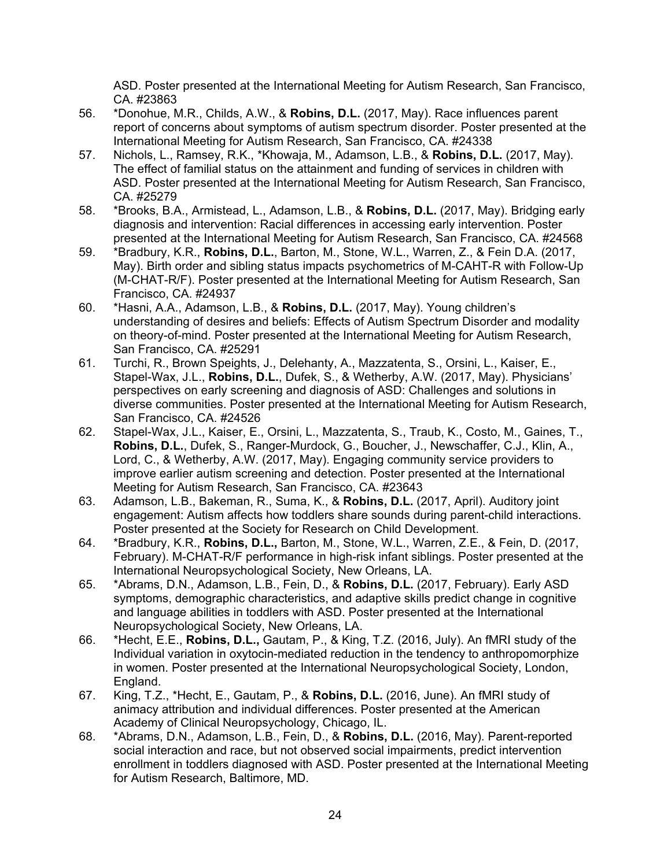ASD. Poster presented at the International Meeting for Autism Research, San Francisco, CA. #23863

- 56. \*Donohue, M.R., Childs, A.W., & **Robins, D.L.** (2017, May). Race influences parent report of concerns about symptoms of autism spectrum disorder. Poster presented at the International Meeting for Autism Research, San Francisco, CA. #24338
- 57. Nichols, L., Ramsey, R.K., \*Khowaja, M., Adamson, L.B., & **Robins, D.L.** (2017, May). The effect of familial status on the attainment and funding of services in children with ASD. Poster presented at the International Meeting for Autism Research, San Francisco, CA. #25279
- 58. \*Brooks, B.A., Armistead, L., Adamson, L.B., & **Robins, D.L.** (2017, May). Bridging early diagnosis and intervention: Racial differences in accessing early intervention. Poster presented at the International Meeting for Autism Research, San Francisco, CA. #24568
- 59. \*Bradbury, K.R., **Robins, D.L.**, Barton, M., Stone, W.L., Warren, Z., & Fein D.A. (2017, May). Birth order and sibling status impacts psychometrics of M-CAHT-R with Follow-Up (M-CHAT-R/F). Poster presented at the International Meeting for Autism Research, San Francisco, CA. #24937
- 60. \*Hasni, A.A., Adamson, L.B., & **Robins, D.L.** (2017, May). Young children's understanding of desires and beliefs: Effects of Autism Spectrum Disorder and modality on theory-of-mind. Poster presented at the International Meeting for Autism Research, San Francisco, CA. #25291
- 61. Turchi, R., Brown Speights, J., Delehanty, A., Mazzatenta, S., Orsini, L., Kaiser, E., Stapel-Wax, J.L., **Robins, D.L.**, Dufek, S., & Wetherby, A.W. (2017, May). Physicians' perspectives on early screening and diagnosis of ASD: Challenges and solutions in diverse communities. Poster presented at the International Meeting for Autism Research, San Francisco, CA. #24526
- 62. Stapel-Wax, J.L., Kaiser, E., Orsini, L., Mazzatenta, S., Traub, K., Costo, M., Gaines, T., **Robins, D.L.**, Dufek, S., Ranger-Murdock, G., Boucher, J., Newschaffer, C.J., Klin, A., Lord, C., & Wetherby, A.W. (2017, May). Engaging community service providers to improve earlier autism screening and detection. Poster presented at the International Meeting for Autism Research, San Francisco, CA. #23643
- 63. Adamson, L.B., Bakeman, R., Suma, K., & **Robins, D.L.** (2017, April). Auditory joint engagement: Autism affects how toddlers share sounds during parent-child interactions. Poster presented at the Society for Research on Child Development.
- 64. \*Bradbury, K.R., **Robins, D.L.,** Barton, M., Stone, W.L., Warren, Z.E., & Fein, D. (2017, February). M-CHAT-R/F performance in high-risk infant siblings. Poster presented at the International Neuropsychological Society, New Orleans, LA.
- 65. \*Abrams, D.N., Adamson, L.B., Fein, D., & **Robins, D.L.** (2017, February). Early ASD symptoms, demographic characteristics, and adaptive skills predict change in cognitive and language abilities in toddlers with ASD. Poster presented at the International Neuropsychological Society, New Orleans, LA.
- 66. \*Hecht, E.E., **Robins, D.L.,** Gautam, P., & King, T.Z. (2016, July). An fMRI study of the Individual variation in oxytocin-mediated reduction in the tendency to anthropomorphize in women. Poster presented at the International Neuropsychological Society, London, England.
- 67. King, T.Z., \*Hecht, E., Gautam, P., & **Robins, D.L.** (2016, June). An fMRI study of animacy attribution and individual differences. Poster presented at the American Academy of Clinical Neuropsychology, Chicago, IL.
- 68. \*Abrams, D.N., Adamson, L.B., Fein, D., & **Robins, D.L.** (2016, May). Parent-reported social interaction and race, but not observed social impairments, predict intervention enrollment in toddlers diagnosed with ASD. Poster presented at the International Meeting for Autism Research, Baltimore, MD.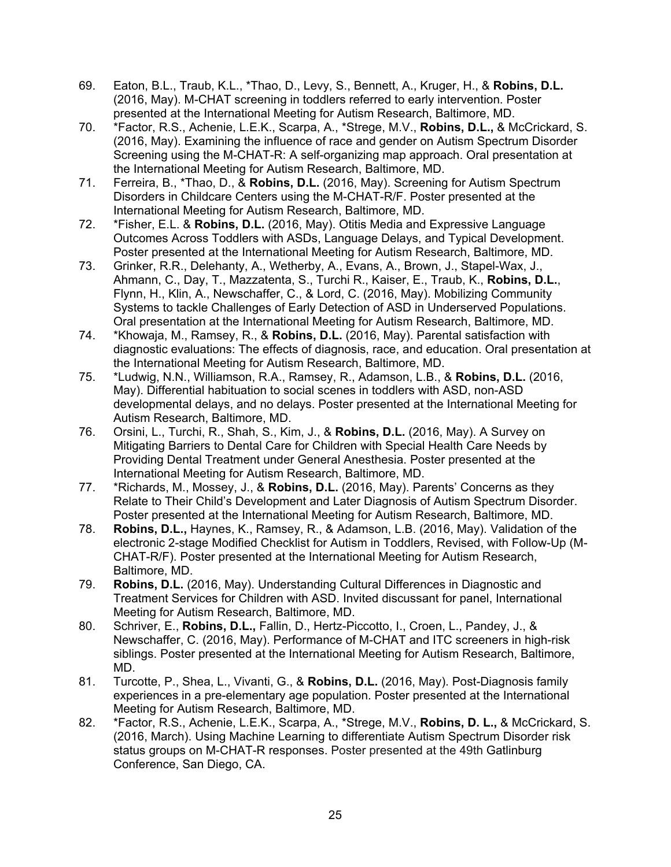- 69. Eaton, B.L., Traub, K.L., \*Thao, D., Levy, S., Bennett, A., Kruger, H., & **Robins, D.L.** (2016, May). M-CHAT screening in toddlers referred to early intervention. Poster presented at the International Meeting for Autism Research, Baltimore, MD.
- 70. \*Factor, R.S., Achenie, L.E.K., Scarpa, A., \*Strege, M.V., **Robins, D.L.,** & McCrickard, S. (2016, May). Examining the influence of race and gender on Autism Spectrum Disorder Screening using the M-CHAT-R: A self-organizing map approach. Oral presentation at the International Meeting for Autism Research, Baltimore, MD.
- 71. Ferreira, B., \*Thao, D., & **Robins, D.L.** (2016, May). Screening for Autism Spectrum Disorders in Childcare Centers using the M-CHAT-R/F. Poster presented at the International Meeting for Autism Research, Baltimore, MD.
- 72. \*Fisher, E.L. & **Robins, D.L.** (2016, May). Otitis Media and Expressive Language Outcomes Across Toddlers with ASDs, Language Delays, and Typical Development. Poster presented at the International Meeting for Autism Research, Baltimore, MD.
- 73. Grinker, R.R., Delehanty, A., Wetherby, A., Evans, A., Brown, J., Stapel-Wax, J., Ahmann, C., Day, T., Mazzatenta, S., Turchi R., Kaiser, E., Traub, K., **Robins, D.L.**, Flynn, H., Klin, A., Newschaffer, C., & Lord, C. (2016, May). Mobilizing Community Systems to tackle Challenges of Early Detection of ASD in Underserved Populations. Oral presentation at the International Meeting for Autism Research, Baltimore, MD.
- 74. \*Khowaja, M., Ramsey, R., & **Robins, D.L.** (2016, May). Parental satisfaction with diagnostic evaluations: The effects of diagnosis, race, and education. Oral presentation at the International Meeting for Autism Research, Baltimore, MD.
- 75. \*Ludwig, N.N., Williamson, R.A., Ramsey, R., Adamson, L.B., & **Robins, D.L.** (2016, May). Differential habituation to social scenes in toddlers with ASD, non-ASD developmental delays, and no delays. Poster presented at the International Meeting for Autism Research, Baltimore, MD.
- 76. Orsini, L., Turchi, R., Shah, S., Kim, J., & **Robins, D.L.** (2016, May). A Survey on Mitigating Barriers to Dental Care for Children with Special Health Care Needs by Providing Dental Treatment under General Anesthesia. Poster presented at the International Meeting for Autism Research, Baltimore, MD.
- 77. \*Richards, M., Mossey, J., & **Robins, D.L.** (2016, May). Parents' Concerns as they Relate to Their Child's Development and Later Diagnosis of Autism Spectrum Disorder. Poster presented at the International Meeting for Autism Research, Baltimore, MD.
- 78. **Robins, D.L.,** Haynes, K., Ramsey, R., & Adamson, L.B. (2016, May). Validation of the electronic 2-stage Modified Checklist for Autism in Toddlers, Revised, with Follow-Up (M-CHAT-R/F). Poster presented at the International Meeting for Autism Research, Baltimore, MD.
- 79. **Robins, D.L.** (2016, May). Understanding Cultural Differences in Diagnostic and Treatment Services for Children with ASD. Invited discussant for panel, International Meeting for Autism Research, Baltimore, MD.
- 80. Schriver, E., **Robins, D.L.,** Fallin, D., Hertz-Piccotto, I., Croen, L., Pandey, J., & Newschaffer, C. (2016, May). Performance of M-CHAT and ITC screeners in high-risk siblings. Poster presented at the International Meeting for Autism Research, Baltimore, MD.
- 81. Turcotte, P., Shea, L., Vivanti, G., & **Robins, D.L.** (2016, May). Post-Diagnosis family experiences in a pre-elementary age population. Poster presented at the International Meeting for Autism Research, Baltimore, MD.
- 82. \*Factor, R.S., Achenie, L.E.K., Scarpa, A., \*Strege, M.V., **Robins, D. L.,** & McCrickard, S. (2016, March). Using Machine Learning to differentiate Autism Spectrum Disorder risk status groups on M-CHAT-R responses. Poster presented at the 49th Gatlinburg Conference, San Diego, CA.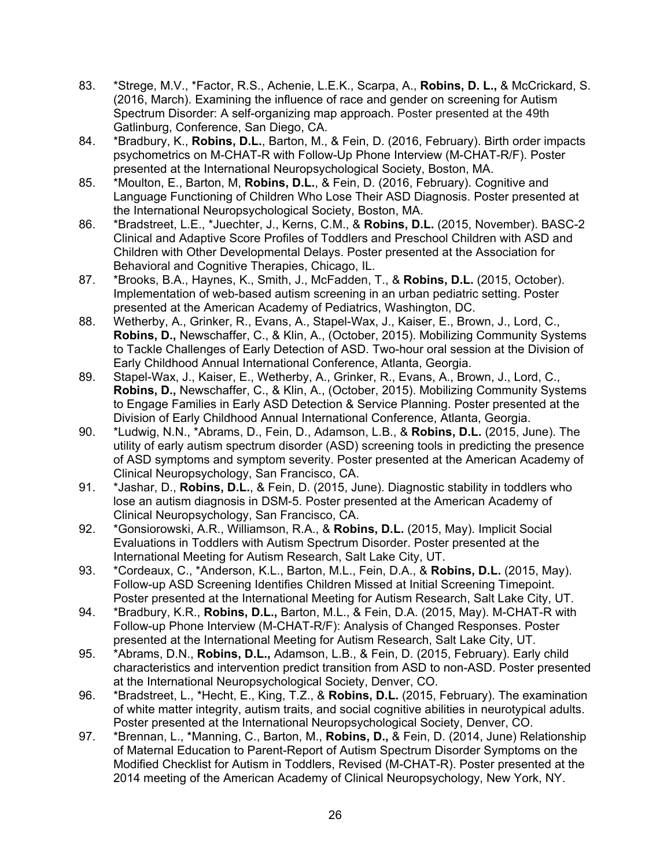- 83. \*Strege, M.V., \*Factor, R.S., Achenie, L.E.K., Scarpa, A., **Robins, D. L.,** & McCrickard, S. (2016, March). Examining the influence of race and gender on screening for Autism Spectrum Disorder: A self-organizing map approach. Poster presented at the 49th Gatlinburg, Conference, San Diego, CA.
- 84. \*Bradbury, K., **Robins, D.L.**, Barton, M., & Fein, D. (2016, February). Birth order impacts psychometrics on M-CHAT-R with Follow-Up Phone Interview (M-CHAT-R/F). Poster presented at the International Neuropsychological Society, Boston, MA.
- 85. \*Moulton, E., Barton, M, **Robins, D.L.**, & Fein, D. (2016, February). Cognitive and Language Functioning of Children Who Lose Their ASD Diagnosis. Poster presented at the International Neuropsychological Society, Boston, MA.
- 86. \*Bradstreet, L.E., \*Juechter, J., Kerns, C.M., & **Robins, D.L.** (2015, November). BASC-2 Clinical and Adaptive Score Profiles of Toddlers and Preschool Children with ASD and Children with Other Developmental Delays. Poster presented at the Association for Behavioral and Cognitive Therapies, Chicago, IL.
- 87. \*Brooks, B.A., Haynes, K., Smith, J., McFadden, T., & **Robins, D.L.** (2015, October). Implementation of web-based autism screening in an urban pediatric setting. Poster presented at the American Academy of Pediatrics, Washington, DC.
- 88. Wetherby, A., Grinker, R., Evans, A., Stapel-Wax, J., Kaiser, E., Brown, J., Lord, C., **Robins, D.,** Newschaffer, C., & Klin, A., (October, 2015). Mobilizing Community Systems to Tackle Challenges of Early Detection of ASD. Two-hour oral session at the Division of Early Childhood Annual International Conference, Atlanta, Georgia.
- 89. Stapel-Wax, J., Kaiser, E., Wetherby, A., Grinker, R., Evans, A., Brown, J., Lord, C., **Robins, D.,** Newschaffer, C., & Klin, A., (October, 2015). Mobilizing Community Systems to Engage Families in Early ASD Detection & Service Planning. Poster presented at the Division of Early Childhood Annual International Conference, Atlanta, Georgia.
- 90. \*Ludwig, N.N., \*Abrams, D., Fein, D., Adamson, L.B., & **Robins, D.L.** (2015, June). The utility of early autism spectrum disorder (ASD) screening tools in predicting the presence of ASD symptoms and symptom severity. Poster presented at the American Academy of Clinical Neuropsychology, San Francisco, CA.
- 91. \*Jashar, D., **Robins, D.L.**, & Fein, D. (2015, June). Diagnostic stability in toddlers who lose an autism diagnosis in DSM-5. Poster presented at the American Academy of Clinical Neuropsychology, San Francisco, CA.
- 92. \*Gonsiorowski, A.R., Williamson, R.A., & **Robins, D.L.** (2015, May). Implicit Social Evaluations in Toddlers with Autism Spectrum Disorder. Poster presented at the International Meeting for Autism Research, Salt Lake City, UT.
- 93. \*Cordeaux, C., \*Anderson, K.L., Barton, M.L., Fein, D.A., & **Robins, D.L.** (2015, May). Follow-up ASD Screening Identifies Children Missed at Initial Screening Timepoint. Poster presented at the International Meeting for Autism Research, Salt Lake City, UT.
- 94. \*Bradbury, K.R., **Robins, D.L.,** Barton, M.L., & Fein, D.A. (2015, May). M-CHAT-R with Follow-up Phone Interview (M-CHAT-R/F): Analysis of Changed Responses. Poster presented at the International Meeting for Autism Research, Salt Lake City, UT.
- 95. \*Abrams, D.N., **Robins, D.L.,** Adamson, L.B., & Fein, D. (2015, February). Early child characteristics and intervention predict transition from ASD to non-ASD. Poster presented at the International Neuropsychological Society, Denver, CO.
- 96. \*Bradstreet, L., \*Hecht, E., King, T.Z., & **Robins, D.L.** (2015, February). The examination of white matter integrity, autism traits, and social cognitive abilities in neurotypical adults. Poster presented at the International Neuropsychological Society, Denver, CO.
- 97. \*Brennan, L., \*Manning, C., Barton, M., **Robins, D.,** & Fein, D. (2014, June) Relationship of Maternal Education to Parent-Report of Autism Spectrum Disorder Symptoms on the Modified Checklist for Autism in Toddlers, Revised (M-CHAT-R). Poster presented at the 2014 meeting of the American Academy of Clinical Neuropsychology, New York, NY.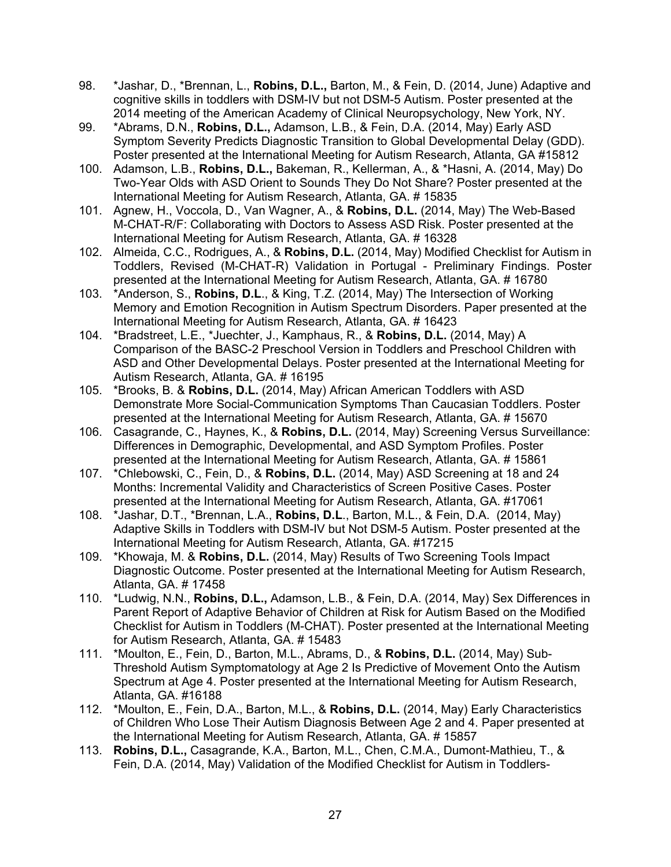- 98. \*Jashar, D., \*Brennan, L., **Robins, D.L.,** Barton, M., & Fein, D. (2014, June) Adaptive and cognitive skills in toddlers with DSM-IV but not DSM-5 Autism. Poster presented at the 2014 meeting of the American Academy of Clinical Neuropsychology, New York, NY.
- 99. \*Abrams, D.N., **Robins, D.L.,** Adamson, L.B., & Fein, D.A. (2014, May) Early ASD Symptom Severity Predicts Diagnostic Transition to Global Developmental Delay (GDD). Poster presented at the International Meeting for Autism Research, Atlanta, GA #15812
- 100. Adamson, L.B., **Robins, D.L.,** Bakeman, R., Kellerman, A., & \*Hasni, A. (2014, May) Do Two-Year Olds with ASD Orient to Sounds They Do Not Share? Poster presented at the International Meeting for Autism Research, Atlanta, GA. # 15835
- 101. Agnew, H., Voccola, D., Van Wagner, A., & **Robins, D.L.** (2014, May) The Web-Based M-CHAT-R/F: Collaborating with Doctors to Assess ASD Risk. Poster presented at the International Meeting for Autism Research, Atlanta, GA. # 16328
- 102. Almeida, C.C., Rodrigues, A., & **Robins, D.L.** (2014, May) Modified Checklist for Autism in Toddlers, Revised (M-CHAT-R) Validation in Portugal - Preliminary Findings. Poster presented at the International Meeting for Autism Research, Atlanta, GA. # 16780
- 103. \*Anderson, S., **Robins, D.L**., & King, T.Z. (2014, May) The Intersection of Working Memory and Emotion Recognition in Autism Spectrum Disorders. Paper presented at the International Meeting for Autism Research, Atlanta, GA. # 16423
- 104. \*Bradstreet, L.E., \*Juechter, J., Kamphaus, R., & **Robins, D.L.** (2014, May) A Comparison of the BASC-2 Preschool Version in Toddlers and Preschool Children with ASD and Other Developmental Delays. Poster presented at the International Meeting for Autism Research, Atlanta, GA. # 16195
- 105. \*Brooks, B. & **Robins, D.L.** (2014, May) African American Toddlers with ASD Demonstrate More Social-Communication Symptoms Than Caucasian Toddlers. Poster presented at the International Meeting for Autism Research, Atlanta, GA. # 15670
- 106. Casagrande, C., Haynes, K., & **Robins, D.L.** (2014, May) Screening Versus Surveillance: Differences in Demographic, Developmental, and ASD Symptom Profiles. Poster presented at the International Meeting for Autism Research, Atlanta, GA. # 15861
- 107. \*Chlebowski, C., Fein, D., & **Robins, D.L.** (2014, May) ASD Screening at 18 and 24 Months: Incremental Validity and Characteristics of Screen Positive Cases. Poster presented at the International Meeting for Autism Research, Atlanta, GA. #17061
- 108. \*Jashar, D.T., \*Brennan, L.A., **Robins, D.L**., Barton, M.L., & Fein, D.A. (2014, May) Adaptive Skills in Toddlers with DSM-IV but Not DSM-5 Autism. Poster presented at the International Meeting for Autism Research, Atlanta, GA. #17215
- 109. \*Khowaja, M. & **Robins, D.L.** (2014, May) Results of Two Screening Tools Impact Diagnostic Outcome. Poster presented at the International Meeting for Autism Research, Atlanta, GA. # 17458
- 110. \*Ludwig, N.N., **Robins, D.L.,** Adamson, L.B., & Fein, D.A. (2014, May) Sex Differences in Parent Report of Adaptive Behavior of Children at Risk for Autism Based on the Modified Checklist for Autism in Toddlers (M-CHAT). Poster presented at the International Meeting for Autism Research, Atlanta, GA. # 15483
- 111. \*Moulton, E., Fein, D., Barton, M.L., Abrams, D., & **Robins, D.L.** (2014, May) Sub-Threshold Autism Symptomatology at Age 2 Is Predictive of Movement Onto the Autism Spectrum at Age 4. Poster presented at the International Meeting for Autism Research, Atlanta, GA. #16188
- 112. \*Moulton, E., Fein, D.A., Barton, M.L., & **Robins, D.L.** (2014, May) Early Characteristics of Children Who Lose Their Autism Diagnosis Between Age 2 and 4. Paper presented at the International Meeting for Autism Research, Atlanta, GA. # 15857
- 113. **Robins, D.L.,** Casagrande, K.A., Barton, M.L., Chen, C.M.A., Dumont-Mathieu, T., & Fein, D.A. (2014, May) Validation of the Modified Checklist for Autism in Toddlers-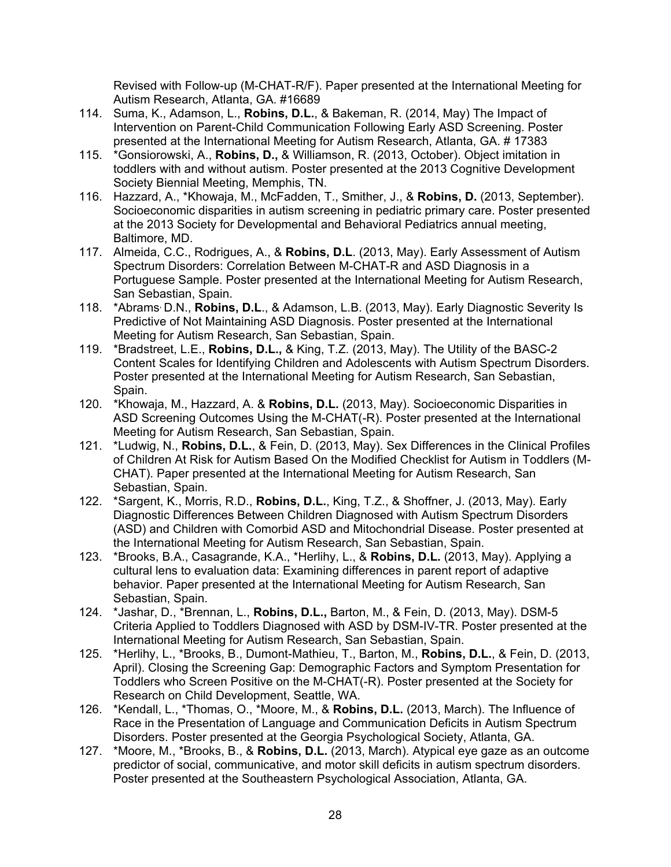Revised with Follow-up (M-CHAT-R/F). Paper presented at the International Meeting for Autism Research, Atlanta, GA. #16689

- 114. Suma, K., Adamson, L., **Robins, D.L.**, & Bakeman, R. (2014, May) The Impact of Intervention on Parent-Child Communication Following Early ASD Screening. Poster presented at the International Meeting for Autism Research, Atlanta, GA. # 17383
- 115. \*Gonsiorowski, A., **Robins, D.,** & Williamson, R. (2013, October). Object imitation in toddlers with and without autism. Poster presented at the 2013 Cognitive Development Society Biennial Meeting, Memphis, TN.
- 116. Hazzard, A., \*Khowaja, M., McFadden, T., Smither, J., & **Robins, D.** (2013, September). Socioeconomic disparities in autism screening in pediatric primary care. Poster presented at the 2013 Society for Developmental and Behavioral Pediatrics annual meeting, Baltimore, MD.
- 117. Almeida, C.C., Rodrigues, A., & **Robins, D.L**. (2013, May). Early Assessment of Autism Spectrum Disorders: Correlation Between M-CHAT-R and ASD Diagnosis in a Portuguese Sample. Poster presented at the International Meeting for Autism Research, San Sebastian, Spain.
- 118. \*Abrams, D.N., **Robins, D.L**., & Adamson, L.B. (2013, May). Early Diagnostic Severity Is Predictive of Not Maintaining ASD Diagnosis. Poster presented at the International Meeting for Autism Research, San Sebastian, Spain.
- 119. \*Bradstreet, L.E., **Robins, D.L.,** & King, T.Z. (2013, May). The Utility of the BASC-2 Content Scales for Identifying Children and Adolescents with Autism Spectrum Disorders. Poster presented at the International Meeting for Autism Research, San Sebastian, Spain.
- 120. \*Khowaja, M., Hazzard, A. & **Robins, D.L.** (2013, May). Socioeconomic Disparities in ASD Screening Outcomes Using the M-CHAT(-R). Poster presented at the International Meeting for Autism Research, San Sebastian, Spain.
- 121. \*Ludwig, N., **Robins, D.L.**, & Fein, D. (2013, May). Sex Differences in the Clinical Profiles of Children At Risk for Autism Based On the Modified Checklist for Autism in Toddlers (M-CHAT). Paper presented at the International Meeting for Autism Research, San Sebastian, Spain.
- 122. \*Sargent, K., Morris, R.D., **Robins, D.L.**, King, T.Z., & Shoffner, J. (2013, May). Early Diagnostic Differences Between Children Diagnosed with Autism Spectrum Disorders (ASD) and Children with Comorbid ASD and Mitochondrial Disease. Poster presented at the International Meeting for Autism Research, San Sebastian, Spain.
- 123. \*Brooks, B.A., Casagrande, K.A., \*Herlihy, L., & **Robins, D.L.** (2013, May). Applying a cultural lens to evaluation data: Examining differences in parent report of adaptive behavior. Paper presented at the International Meeting for Autism Research, San Sebastian, Spain.
- 124. \*Jashar, D., \*Brennan, L., **Robins, D.L.,** Barton, M., & Fein, D. (2013, May). DSM-5 Criteria Applied to Toddlers Diagnosed with ASD by DSM-IV-TR. Poster presented at the International Meeting for Autism Research, San Sebastian, Spain.
- 125. \*Herlihy, L., \*Brooks, B., Dumont-Mathieu, T., Barton, M., **Robins, D.L.**, & Fein, D. (2013, April). Closing the Screening Gap: Demographic Factors and Symptom Presentation for Toddlers who Screen Positive on the M-CHAT(-R). Poster presented at the Society for Research on Child Development, Seattle, WA.
- 126. \*Kendall, L., \*Thomas, O., \*Moore, M., & **Robins, D.L.** (2013, March). The Influence of Race in the Presentation of Language and Communication Deficits in Autism Spectrum Disorders. Poster presented at the Georgia Psychological Society, Atlanta, GA.
- 127. \*Moore, M., \*Brooks, B., & **Robins, D.L.** (2013, March). Atypical eye gaze as an outcome predictor of social, communicative, and motor skill deficits in autism spectrum disorders. Poster presented at the Southeastern Psychological Association, Atlanta, GA.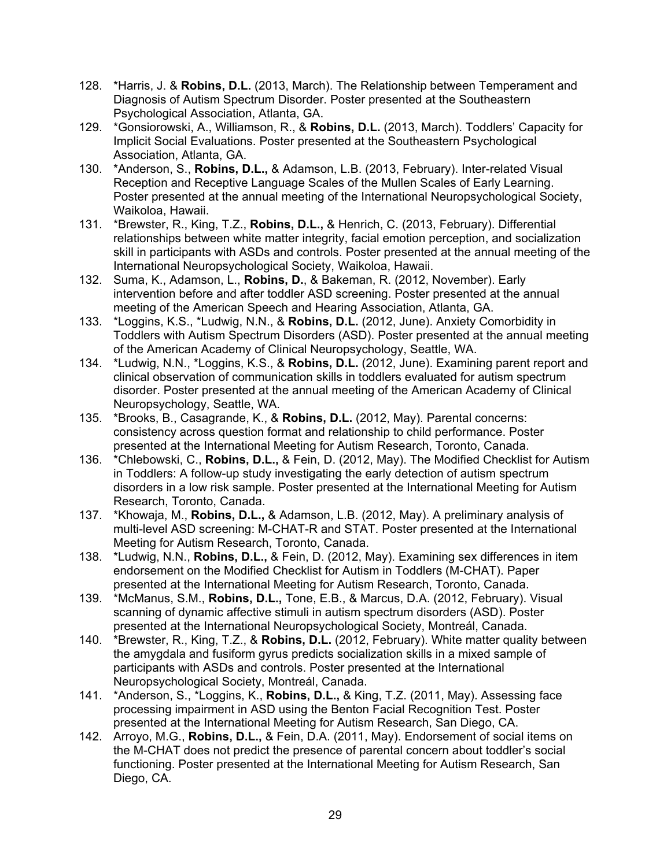- 128. \*Harris, J. & **Robins, D.L.** (2013, March). The Relationship between Temperament and Diagnosis of Autism Spectrum Disorder. Poster presented at the Southeastern Psychological Association, Atlanta, GA.
- 129. \*Gonsiorowski, A., Williamson, R., & **Robins, D.L.** (2013, March). Toddlers' Capacity for Implicit Social Evaluations. Poster presented at the Southeastern Psychological Association, Atlanta, GA.
- 130. \*Anderson, S., **Robins, D.L.,** & Adamson, L.B. (2013, February). Inter-related Visual Reception and Receptive Language Scales of the Mullen Scales of Early Learning. Poster presented at the annual meeting of the International Neuropsychological Society, Waikoloa, Hawaii.
- 131. \*Brewster, R., King, T.Z., **Robins, D.L.,** & Henrich, C. (2013, February). Differential relationships between white matter integrity, facial emotion perception, and socialization skill in participants with ASDs and controls. Poster presented at the annual meeting of the International Neuropsychological Society, Waikoloa, Hawaii.
- 132. Suma, K., Adamson, L., **Robins, D.**, & Bakeman, R. (2012, November). Early intervention before and after toddler ASD screening. Poster presented at the annual meeting of the American Speech and Hearing Association, Atlanta, GA.
- 133. \*Loggins, K.S., \*Ludwig, N.N., & **Robins, D.L.** (2012, June). Anxiety Comorbidity in Toddlers with Autism Spectrum Disorders (ASD). Poster presented at the annual meeting of the American Academy of Clinical Neuropsychology, Seattle, WA.
- 134. \*Ludwig, N.N., \*Loggins, K.S., & **Robins, D.L.** (2012, June). Examining parent report and clinical observation of communication skills in toddlers evaluated for autism spectrum disorder. Poster presented at the annual meeting of the American Academy of Clinical Neuropsychology, Seattle, WA.
- 135. \*Brooks, B., Casagrande, K., & **Robins, D.L.** (2012, May). Parental concerns: consistency across question format and relationship to child performance. Poster presented at the International Meeting for Autism Research, Toronto, Canada.
- 136. \*Chlebowski, C., **Robins, D.L.,** & Fein, D. (2012, May). The Modified Checklist for Autism in Toddlers: A follow-up study investigating the early detection of autism spectrum disorders in a low risk sample. Poster presented at the International Meeting for Autism Research, Toronto, Canada.
- 137. \*Khowaja, M., **Robins, D.L.,** & Adamson, L.B. (2012, May). A preliminary analysis of multi-level ASD screening: M-CHAT-R and STAT. Poster presented at the International Meeting for Autism Research, Toronto, Canada.
- 138. \*Ludwig, N.N., **Robins, D.L.,** & Fein, D. (2012, May). Examining sex differences in item endorsement on the Modified Checklist for Autism in Toddlers (M-CHAT). Paper presented at the International Meeting for Autism Research, Toronto, Canada.
- 139. \*McManus, S.M., **Robins, D.L.,** Tone, E.B., & Marcus, D.A. (2012, February). Visual scanning of dynamic affective stimuli in autism spectrum disorders (ASD). Poster presented at the International Neuropsychological Society, Montreál, Canada.
- 140. \*Brewster, R., King, T.Z., & **Robins, D.L.** (2012, February). White matter quality between the amygdala and fusiform gyrus predicts socialization skills in a mixed sample of participants with ASDs and controls. Poster presented at the International Neuropsychological Society, Montreál, Canada.
- 141. \*Anderson, S., \*Loggins, K., **Robins, D.L.,** & King, T.Z. (2011, May). Assessing face processing impairment in ASD using the Benton Facial Recognition Test. Poster presented at the International Meeting for Autism Research, San Diego, CA.
- 142. Arroyo, M.G., **Robins, D.L.,** & Fein, D.A. (2011, May). Endorsement of social items on the M-CHAT does not predict the presence of parental concern about toddler's social functioning. Poster presented at the International Meeting for Autism Research, San Diego, CA.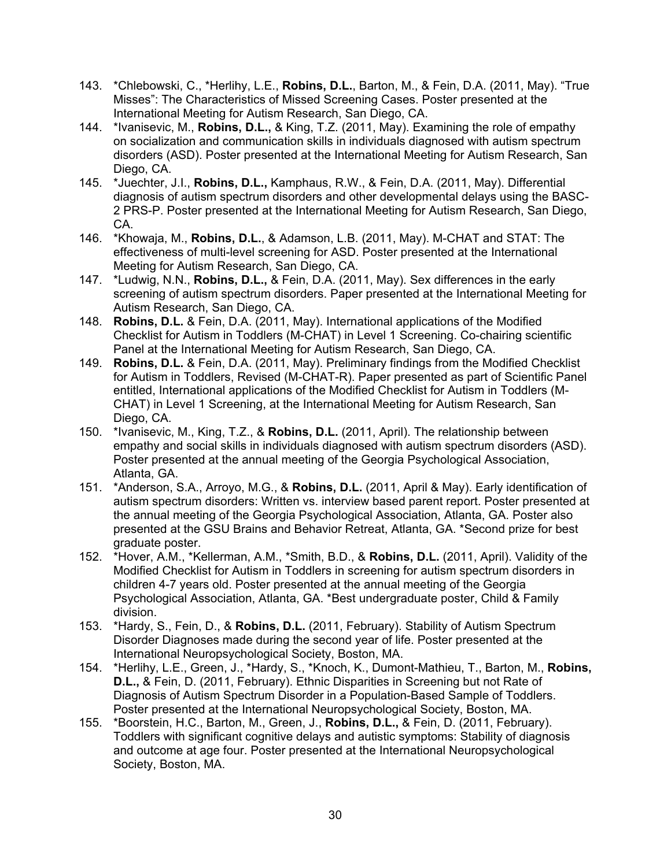- 143. \*Chlebowski, C., \*Herlihy, L.E., **Robins, D.L.**, Barton, M., & Fein, D.A. (2011, May). "True Misses": The Characteristics of Missed Screening Cases. Poster presented at the International Meeting for Autism Research, San Diego, CA.
- 144. \*Ivanisevic, M., **Robins, D.L.,** & King, T.Z. (2011, May). Examining the role of empathy on socialization and communication skills in individuals diagnosed with autism spectrum disorders (ASD). Poster presented at the International Meeting for Autism Research, San Diego, CA.
- 145. \*Juechter, J.I., **Robins, D.L.,** Kamphaus, R.W., & Fein, D.A. (2011, May). Differential diagnosis of autism spectrum disorders and other developmental delays using the BASC-2 PRS-P. Poster presented at the International Meeting for Autism Research, San Diego, CA.
- 146. \*Khowaja, M., **Robins, D.L.**, & Adamson, L.B. (2011, May). M-CHAT and STAT: The effectiveness of multi-level screening for ASD. Poster presented at the International Meeting for Autism Research, San Diego, CA.
- 147. \*Ludwig, N.N., **Robins, D.L.,** & Fein, D.A. (2011, May). Sex differences in the early screening of autism spectrum disorders. Paper presented at the International Meeting for Autism Research, San Diego, CA.
- 148. **Robins, D.L.** & Fein, D.A. (2011, May). International applications of the Modified Checklist for Autism in Toddlers (M-CHAT) in Level 1 Screening. Co-chairing scientific Panel at the International Meeting for Autism Research, San Diego, CA.
- 149. **Robins, D.L.** & Fein, D.A. (2011, May). Preliminary findings from the Modified Checklist for Autism in Toddlers, Revised (M-CHAT-R). Paper presented as part of Scientific Panel entitled, International applications of the Modified Checklist for Autism in Toddlers (M-CHAT) in Level 1 Screening, at the International Meeting for Autism Research, San Diego, CA.
- 150. \*Ivanisevic, M., King, T.Z., & **Robins, D.L.** (2011, April). The relationship between empathy and social skills in individuals diagnosed with autism spectrum disorders (ASD). Poster presented at the annual meeting of the Georgia Psychological Association, Atlanta, GA.
- 151. \*Anderson, S.A., Arroyo, M.G., & **Robins, D.L.** (2011, April & May). Early identification of autism spectrum disorders: Written vs. interview based parent report. Poster presented at the annual meeting of the Georgia Psychological Association, Atlanta, GA. Poster also presented at the GSU Brains and Behavior Retreat, Atlanta, GA. \*Second prize for best graduate poster.
- 152. \*Hover, A.M., \*Kellerman, A.M., \*Smith, B.D., & **Robins, D.L.** (2011, April). Validity of the Modified Checklist for Autism in Toddlers in screening for autism spectrum disorders in children 4-7 years old. Poster presented at the annual meeting of the Georgia Psychological Association, Atlanta, GA. \*Best undergraduate poster, Child & Family division.
- 153. \*Hardy, S., Fein, D., & **Robins, D.L.** (2011, February). Stability of Autism Spectrum Disorder Diagnoses made during the second year of life. Poster presented at the International Neuropsychological Society, Boston, MA.
- 154. \*Herlihy, L.E., Green, J., \*Hardy, S., \*Knoch, K., Dumont-Mathieu, T., Barton, M., **Robins, D.L.,** & Fein, D. (2011, February). Ethnic Disparities in Screening but not Rate of Diagnosis of Autism Spectrum Disorder in a Population-Based Sample of Toddlers. Poster presented at the International Neuropsychological Society, Boston, MA.
- 155. \*Boorstein, H.C., Barton, M., Green, J., **Robins, D.L.,** & Fein, D. (2011, February). Toddlers with significant cognitive delays and autistic symptoms: Stability of diagnosis and outcome at age four. Poster presented at the International Neuropsychological Society, Boston, MA.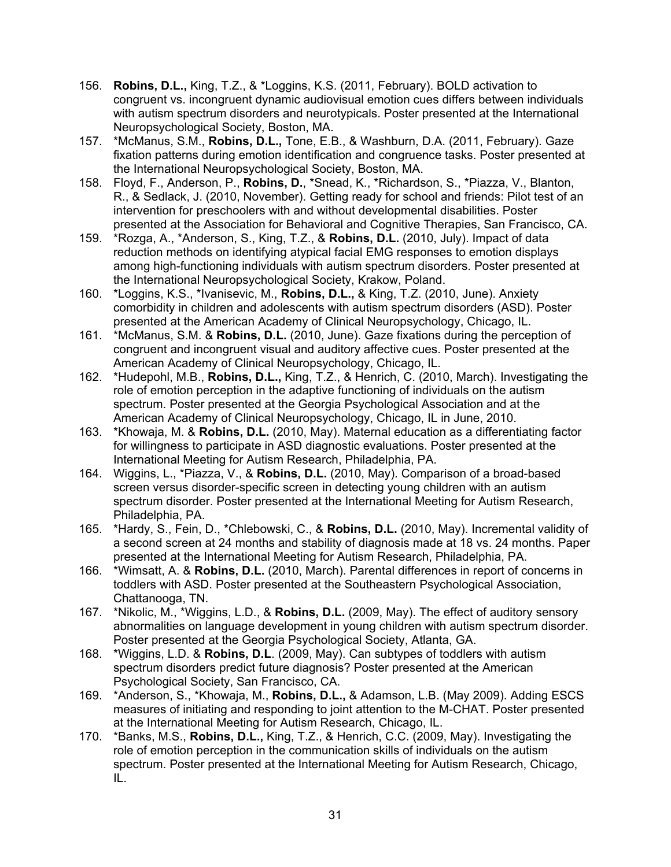- 156. **Robins, D.L.,** King, T.Z., & \*Loggins, K.S. (2011, February). BOLD activation to congruent vs. incongruent dynamic audiovisual emotion cues differs between individuals with autism spectrum disorders and neurotypicals. Poster presented at the International Neuropsychological Society, Boston, MA.
- 157. \*McManus, S.M., **Robins, D.L.,** Tone, E.B., & Washburn, D.A. (2011, February). Gaze fixation patterns during emotion identification and congruence tasks. Poster presented at the International Neuropsychological Society, Boston, MA.
- 158. Floyd, F., Anderson, P., **Robins, D.**, \*Snead, K., \*Richardson, S., \*Piazza, V., Blanton, R., & Sedlack, J. (2010, November). Getting ready for school and friends: Pilot test of an intervention for preschoolers with and without developmental disabilities. Poster presented at the Association for Behavioral and Cognitive Therapies, San Francisco, CA.
- 159. \*Rozga, A., \*Anderson, S., King, T.Z., & **Robins, D.L.** (2010, July). Impact of data reduction methods on identifying atypical facial EMG responses to emotion displays among high-functioning individuals with autism spectrum disorders. Poster presented at the International Neuropsychological Society, Krakow, Poland.
- 160. \*Loggins, K.S., \*Ivanisevic, M., **Robins, D.L.,** & King, T.Z. (2010, June). Anxiety comorbidity in children and adolescents with autism spectrum disorders (ASD). Poster presented at the American Academy of Clinical Neuropsychology, Chicago, IL.
- 161. \*McManus, S.M. & **Robins, D.L.** (2010, June). Gaze fixations during the perception of congruent and incongruent visual and auditory affective cues. Poster presented at the American Academy of Clinical Neuropsychology, Chicago, IL.
- 162. \*Hudepohl, M.B., **Robins, D.L.,** King, T.Z., & Henrich, C. (2010, March). Investigating the role of emotion perception in the adaptive functioning of individuals on the autism spectrum. Poster presented at the Georgia Psychological Association and at the American Academy of Clinical Neuropsychology, Chicago, IL in June, 2010.
- 163. \*Khowaja, M. & **Robins, D.L.** (2010, May). Maternal education as a differentiating factor for willingness to participate in ASD diagnostic evaluations. Poster presented at the International Meeting for Autism Research, Philadelphia, PA.
- 164. Wiggins, L., \*Piazza, V., & **Robins, D.L.** (2010, May). Comparison of a broad-based screen versus disorder-specific screen in detecting young children with an autism spectrum disorder. Poster presented at the International Meeting for Autism Research, Philadelphia, PA.
- 165. \*Hardy, S., Fein, D., \*Chlebowski, C., & **Robins, D.L.** (2010, May). Incremental validity of a second screen at 24 months and stability of diagnosis made at 18 vs. 24 months. Paper presented at the International Meeting for Autism Research, Philadelphia, PA.
- 166. \*Wimsatt, A. & **Robins, D.L.** (2010, March). Parental differences in report of concerns in toddlers with ASD. Poster presented at the Southeastern Psychological Association, Chattanooga, TN.
- 167. \*Nikolic, M., \*Wiggins, L.D., & **Robins, D.L.** (2009, May). The effect of auditory sensory abnormalities on language development in young children with autism spectrum disorder. Poster presented at the Georgia Psychological Society, Atlanta, GA.
- 168. \*Wiggins, L.D. & **Robins, D.L**. (2009, May). Can subtypes of toddlers with autism spectrum disorders predict future diagnosis? Poster presented at the American Psychological Society, San Francisco, CA.
- 169. \*Anderson, S., \*Khowaja, M., **Robins, D.L.,** & Adamson, L.B. (May 2009). Adding ESCS measures of initiating and responding to joint attention to the M-CHAT. Poster presented at the International Meeting for Autism Research, Chicago, IL.
- 170. \*Banks, M.S., **Robins, D.L.,** King, T.Z., & Henrich, C.C. (2009, May). Investigating the role of emotion perception in the communication skills of individuals on the autism spectrum. Poster presented at the International Meeting for Autism Research, Chicago, IL.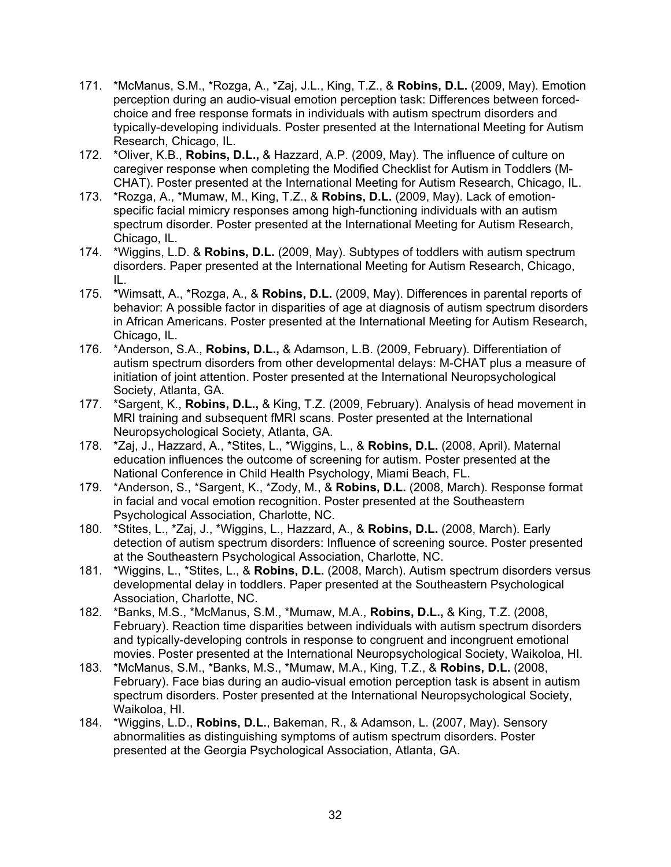- 171. \*McManus, S.M., \*Rozga, A., \*Zaj, J.L., King, T.Z., & **Robins, D.L.** (2009, May). Emotion perception during an audio-visual emotion perception task: Differences between forcedchoice and free response formats in individuals with autism spectrum disorders and typically-developing individuals. Poster presented at the International Meeting for Autism Research, Chicago, IL.
- 172. \*Oliver, K.B., **Robins, D.L.,** & Hazzard, A.P. (2009, May). The influence of culture on caregiver response when completing the Modified Checklist for Autism in Toddlers (M-CHAT). Poster presented at the International Meeting for Autism Research, Chicago, IL.
- 173. \*Rozga, A., \*Mumaw, M., King, T.Z., & **Robins, D.L.** (2009, May). Lack of emotionspecific facial mimicry responses among high-functioning individuals with an autism spectrum disorder. Poster presented at the International Meeting for Autism Research, Chicago, IL.
- 174. \*Wiggins, L.D. & **Robins, D.L.** (2009, May). Subtypes of toddlers with autism spectrum disorders. Paper presented at the International Meeting for Autism Research, Chicago, IL.
- 175. \*Wimsatt, A., \*Rozga, A., & **Robins, D.L.** (2009, May). Differences in parental reports of behavior: A possible factor in disparities of age at diagnosis of autism spectrum disorders in African Americans. Poster presented at the International Meeting for Autism Research, Chicago, IL.
- 176. \*Anderson, S.A., **Robins, D.L.,** & Adamson, L.B. (2009, February). Differentiation of autism spectrum disorders from other developmental delays: M-CHAT plus a measure of initiation of joint attention. Poster presented at the International Neuropsychological Society, Atlanta, GA.
- 177. \*Sargent, K., **Robins, D.L.,** & King, T.Z. (2009, February). Analysis of head movement in MRI training and subsequent fMRI scans. Poster presented at the International Neuropsychological Society, Atlanta, GA.
- 178. \*Zaj, J., Hazzard, A., \*Stites, L., \*Wiggins, L., & **Robins, D.L.** (2008, April). Maternal education influences the outcome of screening for autism. Poster presented at the National Conference in Child Health Psychology, Miami Beach, FL.
- 179. \*Anderson, S., \*Sargent, K., \*Zody, M., & **Robins, D.L.** (2008, March). Response format in facial and vocal emotion recognition. Poster presented at the Southeastern Psychological Association, Charlotte, NC.
- 180. \*Stites, L., \*Zaj, J., \*Wiggins, L., Hazzard, A., & **Robins, D.L.** (2008, March). Early detection of autism spectrum disorders: Influence of screening source. Poster presented at the Southeastern Psychological Association, Charlotte, NC.
- 181. \*Wiggins, L., \*Stites, L., & **Robins, D.L.** (2008, March). Autism spectrum disorders versus developmental delay in toddlers. Paper presented at the Southeastern Psychological Association, Charlotte, NC.
- 182. \*Banks, M.S., \*McManus, S.M., \*Mumaw, M.A., **Robins, D.L.,** & King, T.Z. (2008, February). Reaction time disparities between individuals with autism spectrum disorders and typically-developing controls in response to congruent and incongruent emotional movies. Poster presented at the International Neuropsychological Society, Waikoloa, HI.
- 183. \*McManus, S.M., \*Banks, M.S., \*Mumaw, M.A., King, T.Z., & **Robins, D.L.** (2008, February). Face bias during an audio-visual emotion perception task is absent in autism spectrum disorders. Poster presented at the International Neuropsychological Society, Waikoloa, HI.
- 184. \*Wiggins, L.D., **Robins, D.L.**, Bakeman, R., & Adamson, L. (2007, May). Sensory abnormalities as distinguishing symptoms of autism spectrum disorders. Poster presented at the Georgia Psychological Association, Atlanta, GA.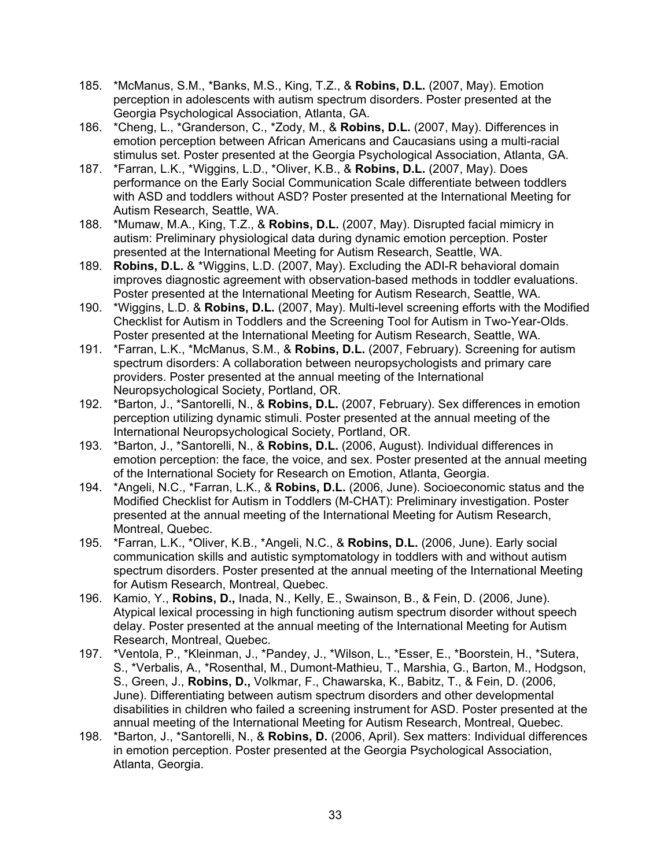- 185. \*McManus, S.M., \*Banks, M.S., King, T.Z., & **Robins, D.L.** (2007, May). Emotion perception in adolescents with autism spectrum disorders. Poster presented at the Georgia Psychological Association, Atlanta, GA.
- 186. \*Cheng, L., \*Granderson, C., \*Zody, M., & **Robins, D.L.** (2007, May). Differences in emotion perception between African Americans and Caucasians using a multi-racial stimulus set. Poster presented at the Georgia Psychological Association, Atlanta, GA.
- 187. \*Farran, L.K., \*Wiggins, L.D., \*Oliver, K.B., & **Robins, D.L.** (2007, May). Does performance on the Early Social Communication Scale differentiate between toddlers with ASD and toddlers without ASD? Poster presented at the International Meeting for Autism Research, Seattle, WA.
- 188. \*Mumaw, M.A., King, T.Z., & **Robins, D.L.** (2007, May). Disrupted facial mimicry in autism: Preliminary physiological data during dynamic emotion perception. Poster presented at the International Meeting for Autism Research, Seattle, WA.
- 189. **Robins, D.L.** & \*Wiggins, L.D. (2007, May). Excluding the ADI-R behavioral domain improves diagnostic agreement with observation-based methods in toddler evaluations. Poster presented at the International Meeting for Autism Research, Seattle, WA.
- 190. \*Wiggins, L.D. & **Robins, D.L.** (2007, May). Multi-level screening efforts with the Modified Checklist for Autism in Toddlers and the Screening Tool for Autism in Two-Year-Olds. Poster presented at the International Meeting for Autism Research, Seattle, WA.
- 191. \*Farran, L.K., \*McManus, S.M., & **Robins, D.L.** (2007, February). Screening for autism spectrum disorders: A collaboration between neuropsychologists and primary care providers. Poster presented at the annual meeting of the International Neuropsychological Society, Portland, OR.
- 192. \*Barton, J., \*Santorelli, N., & **Robins, D.L.** (2007, February). Sex differences in emotion perception utilizing dynamic stimuli. Poster presented at the annual meeting of the International Neuropsychological Society, Portland, OR.
- 193. \*Barton, J., \*Santorelli, N., & **Robins, D.L.** (2006, August). Individual differences in emotion perception: the face, the voice, and sex. Poster presented at the annual meeting of the International Society for Research on Emotion, Atlanta, Georgia.
- 194. \*Angeli, N.C., \*Farran, L.K., & **Robins, D.L.** (2006, June). Socioeconomic status and the Modified Checklist for Autism in Toddlers (M-CHAT): Preliminary investigation. Poster presented at the annual meeting of the International Meeting for Autism Research, Montreal, Quebec.
- 195. \*Farran, L.K., \*Oliver, K.B., \*Angeli, N.C., & **Robins, D.L.** (2006, June). Early social communication skills and autistic symptomatology in toddlers with and without autism spectrum disorders. Poster presented at the annual meeting of the International Meeting for Autism Research, Montreal, Quebec.
- 196. Kamio, Y., **Robins, D.,** Inada, N., Kelly, E., Swainson, B., & Fein, D. (2006, June). Atypical lexical processing in high functioning autism spectrum disorder without speech delay. Poster presented at the annual meeting of the International Meeting for Autism Research, Montreal, Quebec.
- 197. \*Ventola, P., \*Kleinman, J., \*Pandey, J., \*Wilson, L., \*Esser, E., \*Boorstein, H., \*Sutera, S., \*Verbalis, A., \*Rosenthal, M., Dumont-Mathieu, T., Marshia, G., Barton, M., Hodgson, S., Green, J., **Robins, D.,** Volkmar, F., Chawarska, K., Babitz, T., & Fein, D. (2006, June). Differentiating between autism spectrum disorders and other developmental disabilities in children who failed a screening instrument for ASD. Poster presented at the annual meeting of the International Meeting for Autism Research, Montreal, Quebec.
- 198. \*Barton, J., \*Santorelli, N., & **Robins, D.** (2006, April). Sex matters: Individual differences in emotion perception. Poster presented at the Georgia Psychological Association, Atlanta, Georgia.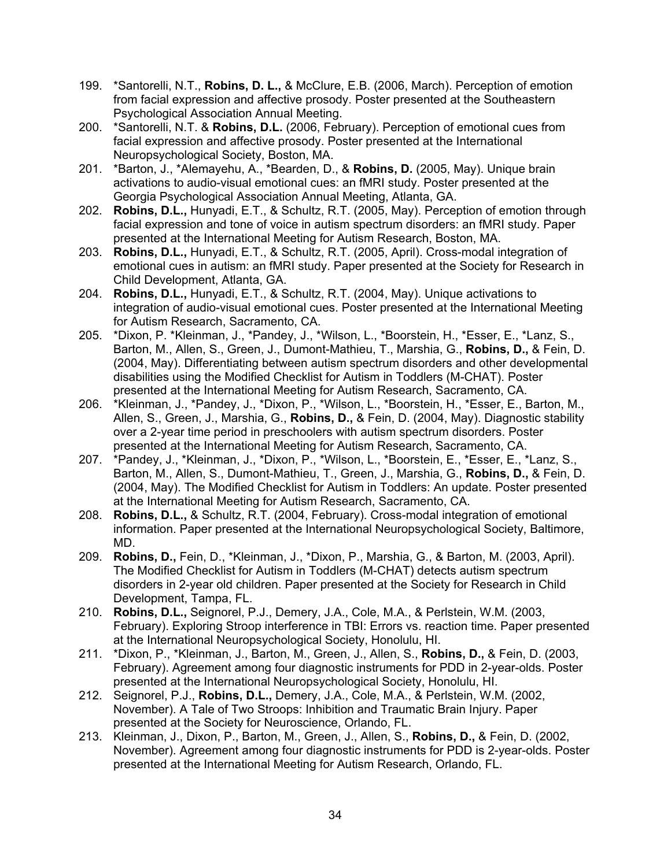- 199. \*Santorelli, N.T., **Robins, D. L.,** & McClure, E.B. (2006, March). Perception of emotion from facial expression and affective prosody. Poster presented at the Southeastern Psychological Association Annual Meeting.
- 200. \*Santorelli, N.T. & **Robins, D.L.** (2006, February). Perception of emotional cues from facial expression and affective prosody. Poster presented at the International Neuropsychological Society, Boston, MA.
- 201. \*Barton, J., \*Alemayehu, A., \*Bearden, D., & **Robins, D.** (2005, May). Unique brain activations to audio-visual emotional cues: an fMRI study. Poster presented at the Georgia Psychological Association Annual Meeting, Atlanta, GA.
- 202. **Robins, D.L.,** Hunyadi, E.T., & Schultz, R.T. (2005, May). Perception of emotion through facial expression and tone of voice in autism spectrum disorders: an fMRI study. Paper presented at the International Meeting for Autism Research, Boston, MA.
- 203. **Robins, D.L.,** Hunyadi, E.T., & Schultz, R.T. (2005, April). Cross-modal integration of emotional cues in autism: an fMRI study. Paper presented at the Society for Research in Child Development, Atlanta, GA.
- 204. **Robins, D.L.,** Hunyadi, E.T., & Schultz, R.T. (2004, May). Unique activations to integration of audio-visual emotional cues. Poster presented at the International Meeting for Autism Research, Sacramento, CA.
- 205. \*Dixon, P. \*Kleinman, J., \*Pandey, J., \*Wilson, L., \*Boorstein, H., \*Esser, E., \*Lanz, S., Barton, M., Allen, S., Green, J., Dumont-Mathieu, T., Marshia, G., **Robins, D.,** & Fein, D. (2004, May). Differentiating between autism spectrum disorders and other developmental disabilities using the Modified Checklist for Autism in Toddlers (M-CHAT). Poster presented at the International Meeting for Autism Research, Sacramento, CA.
- 206. \*Kleinman, J., \*Pandey, J., \*Dixon, P., \*Wilson, L., \*Boorstein, H., \*Esser, E., Barton, M., Allen, S., Green, J., Marshia, G., **Robins, D.,** & Fein, D. (2004, May). Diagnostic stability over a 2-year time period in preschoolers with autism spectrum disorders. Poster presented at the International Meeting for Autism Research, Sacramento, CA.
- 207. \*Pandey, J., \*Kleinman, J., \*Dixon, P., \*Wilson, L., \*Boorstein, E., \*Esser, E., \*Lanz, S., Barton, M., Allen, S., Dumont-Mathieu, T., Green, J., Marshia, G., **Robins, D.,** & Fein, D. (2004, May). The Modified Checklist for Autism in Toddlers: An update. Poster presented at the International Meeting for Autism Research, Sacramento, CA.
- 208. **Robins, D.L.,** & Schultz, R.T. (2004, February). Cross-modal integration of emotional information. Paper presented at the International Neuropsychological Society, Baltimore, MD.
- 209. **Robins, D.,** Fein, D., \*Kleinman, J., \*Dixon, P., Marshia, G., & Barton, M. (2003, April). The Modified Checklist for Autism in Toddlers (M-CHAT) detects autism spectrum disorders in 2-year old children. Paper presented at the Society for Research in Child Development, Tampa, FL.
- 210. **Robins, D.L.,** Seignorel, P.J., Demery, J.A., Cole, M.A., & Perlstein, W.M. (2003, February). Exploring Stroop interference in TBI: Errors vs. reaction time. Paper presented at the International Neuropsychological Society, Honolulu, HI.
- 211. \*Dixon, P., \*Kleinman, J., Barton, M., Green, J., Allen, S., **Robins, D.,** & Fein, D. (2003, February). Agreement among four diagnostic instruments for PDD in 2-year-olds. Poster presented at the International Neuropsychological Society, Honolulu, HI.
- 212. Seignorel, P.J., **Robins, D.L.,** Demery, J.A., Cole, M.A., & Perlstein, W.M. (2002, November). A Tale of Two Stroops: Inhibition and Traumatic Brain Injury. Paper presented at the Society for Neuroscience, Orlando, FL.
- 213. Kleinman, J., Dixon, P., Barton, M., Green, J., Allen, S., **Robins, D.,** & Fein, D. (2002, November). Agreement among four diagnostic instruments for PDD is 2-year-olds. Poster presented at the International Meeting for Autism Research, Orlando, FL.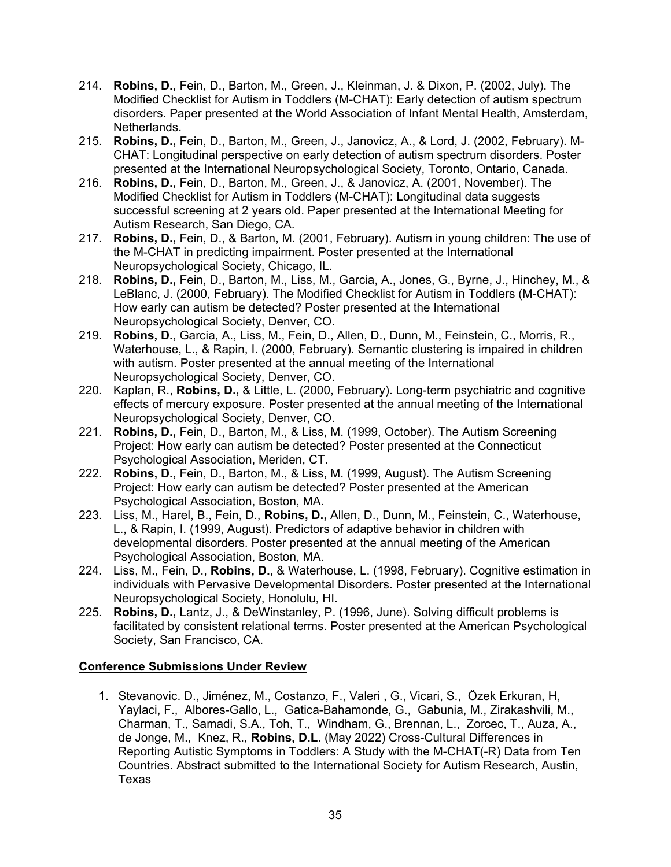- 214. **Robins, D.,** Fein, D., Barton, M., Green, J., Kleinman, J. & Dixon, P. (2002, July). The Modified Checklist for Autism in Toddlers (M-CHAT): Early detection of autism spectrum disorders. Paper presented at the World Association of Infant Mental Health, Amsterdam, Netherlands.
- 215. **Robins, D.,** Fein, D., Barton, M., Green, J., Janovicz, A., & Lord, J. (2002, February). M-CHAT: Longitudinal perspective on early detection of autism spectrum disorders. Poster presented at the International Neuropsychological Society, Toronto, Ontario, Canada.
- 216. **Robins, D.,** Fein, D., Barton, M., Green, J., & Janovicz, A. (2001, November). The Modified Checklist for Autism in Toddlers (M-CHAT): Longitudinal data suggests successful screening at 2 years old. Paper presented at the International Meeting for Autism Research, San Diego, CA.
- 217. **Robins, D.,** Fein, D., & Barton, M. (2001, February). Autism in young children: The use of the M-CHAT in predicting impairment. Poster presented at the International Neuropsychological Society, Chicago, IL.
- 218. **Robins, D.,** Fein, D., Barton, M., Liss, M., Garcia, A., Jones, G., Byrne, J., Hinchey, M., & LeBlanc, J. (2000, February). The Modified Checklist for Autism in Toddlers (M-CHAT): How early can autism be detected? Poster presented at the International Neuropsychological Society, Denver, CO.
- 219. **Robins, D.,** Garcia, A., Liss, M., Fein, D., Allen, D., Dunn, M., Feinstein, C., Morris, R., Waterhouse, L., & Rapin, I. (2000, February). Semantic clustering is impaired in children with autism. Poster presented at the annual meeting of the International Neuropsychological Society, Denver, CO.
- 220. Kaplan, R., **Robins, D.,** & Little, L. (2000, February). Long-term psychiatric and cognitive effects of mercury exposure. Poster presented at the annual meeting of the International Neuropsychological Society, Denver, CO.
- 221. **Robins, D.,** Fein, D., Barton, M., & Liss, M. (1999, October). The Autism Screening Project: How early can autism be detected? Poster presented at the Connecticut Psychological Association, Meriden, CT.
- 222. **Robins, D.,** Fein, D., Barton, M., & Liss, M. (1999, August). The Autism Screening Project: How early can autism be detected? Poster presented at the American Psychological Association, Boston, MA.
- 223. Liss, M., Harel, B., Fein, D., **Robins, D.,** Allen, D., Dunn, M., Feinstein, C., Waterhouse, L., & Rapin, I. (1999, August). Predictors of adaptive behavior in children with developmental disorders. Poster presented at the annual meeting of the American Psychological Association, Boston, MA.
- 224. Liss, M., Fein, D., **Robins, D.,** & Waterhouse, L. (1998, February). Cognitive estimation in individuals with Pervasive Developmental Disorders. Poster presented at the International Neuropsychological Society, Honolulu, HI.
- 225. **Robins, D.,** Lantz, J., & DeWinstanley, P. (1996, June). Solving difficult problems is facilitated by consistent relational terms. Poster presented at the American Psychological Society, San Francisco, CA.

### **Conference Submissions Under Review**

1. Stevanovic. D., Jiménez, M., Costanzo, F., Valeri , G., Vicari, S., Özek Erkuran, H, Yaylaci, F., Albores-Gallo, L., Gatica-Bahamonde, G., Gabunia, M., Zirakashvili, M., Charman, T., Samadi, S.A., Toh, T., Windham, G., Brennan, L., Zorcec, T., Auza, A., de Jonge, M., Knez, R., **Robins, D.L**. (May 2022) Cross-Cultural Differences in Reporting Autistic Symptoms in Toddlers: A Study with the M-CHAT(-R) Data from Ten Countries. Abstract submitted to the International Society for Autism Research, Austin, Texas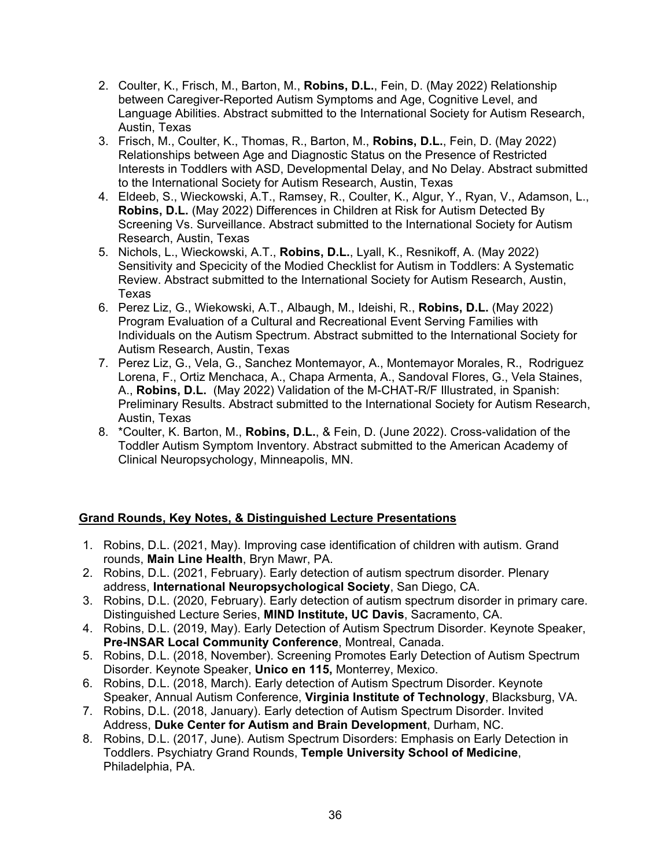- 2. Coulter, K., Frisch, M., Barton, M., **Robins, D.L.**, Fein, D. (May 2022) Relationship between Caregiver-Reported Autism Symptoms and Age, Cognitive Level, and Language Abilities. Abstract submitted to the International Society for Autism Research, Austin, Texas
- 3. Frisch, M., Coulter, K., Thomas, R., Barton, M., **Robins, D.L.**, Fein, D. (May 2022) Relationships between Age and Diagnostic Status on the Presence of Restricted Interests in Toddlers with ASD, Developmental Delay, and No Delay. Abstract submitted to the International Society for Autism Research, Austin, Texas
- 4. Eldeeb, S., Wieckowski, A.T., Ramsey, R., Coulter, K., Algur, Y., Ryan, V., Adamson, L., **Robins, D.L.** (May 2022) Differences in Children at Risk for Autism Detected By Screening Vs. Surveillance. Abstract submitted to the International Society for Autism Research, Austin, Texas
- 5. Nichols, L., Wieckowski, A.T., **Robins, D.L.**, Lyall, K., Resnikoff, A. (May 2022) Sensitivity and Specicity of the Modied Checklist for Autism in Toddlers: A Systematic Review. Abstract submitted to the International Society for Autism Research, Austin, Texas
- 6. Perez Liz, G., Wiekowski, A.T., Albaugh, M., Ideishi, R., **Robins, D.L.** (May 2022) Program Evaluation of a Cultural and Recreational Event Serving Families with Individuals on the Autism Spectrum. Abstract submitted to the International Society for Autism Research, Austin, Texas
- 7. Perez Liz, G., Vela, G., Sanchez Montemayor, A., Montemayor Morales, R., Rodriguez Lorena, F., Ortiz Menchaca, A., Chapa Armenta, A., Sandoval Flores, G., Vela Staines, A., **Robins, D.L.** (May 2022) Validation of the M-CHAT-R/F Illustrated, in Spanish: Preliminary Results. Abstract submitted to the International Society for Autism Research, Austin, Texas
- 8. \*Coulter, K. Barton, M., **Robins, D.L.**, & Fein, D. (June 2022). Cross-validation of the Toddler Autism Symptom Inventory. Abstract submitted to the American Academy of Clinical Neuropsychology, Minneapolis, MN.

# **Grand Rounds, Key Notes, & Distinguished Lecture Presentations**

- 1. Robins, D.L. (2021, May). Improving case identification of children with autism. Grand rounds, **Main Line Health**, Bryn Mawr, PA.
- 2. Robins, D.L. (2021, February). Early detection of autism spectrum disorder. Plenary address, **International Neuropsychological Society**, San Diego, CA.
- 3. Robins, D.L. (2020, February). Early detection of autism spectrum disorder in primary care. Distinguished Lecture Series, **MIND Institute, UC Davis**, Sacramento, CA.
- 4. Robins, D.L. (2019, May). Early Detection of Autism Spectrum Disorder. Keynote Speaker, **Pre-INSAR Local Community Conference**, Montreal, Canada.
- 5. Robins, D.L. (2018, November). Screening Promotes Early Detection of Autism Spectrum Disorder. Keynote Speaker, **Unico en 115,** Monterrey, Mexico.
- 6. Robins, D.L. (2018, March). Early detection of Autism Spectrum Disorder. Keynote Speaker, Annual Autism Conference, **Virginia Institute of Technology**, Blacksburg, VA.
- 7. Robins, D.L. (2018, January). Early detection of Autism Spectrum Disorder. Invited Address, **Duke Center for Autism and Brain Development**, Durham, NC.
- 8. Robins, D.L. (2017, June). Autism Spectrum Disorders: Emphasis on Early Detection in Toddlers. Psychiatry Grand Rounds, **Temple University School of Medicine**, Philadelphia, PA.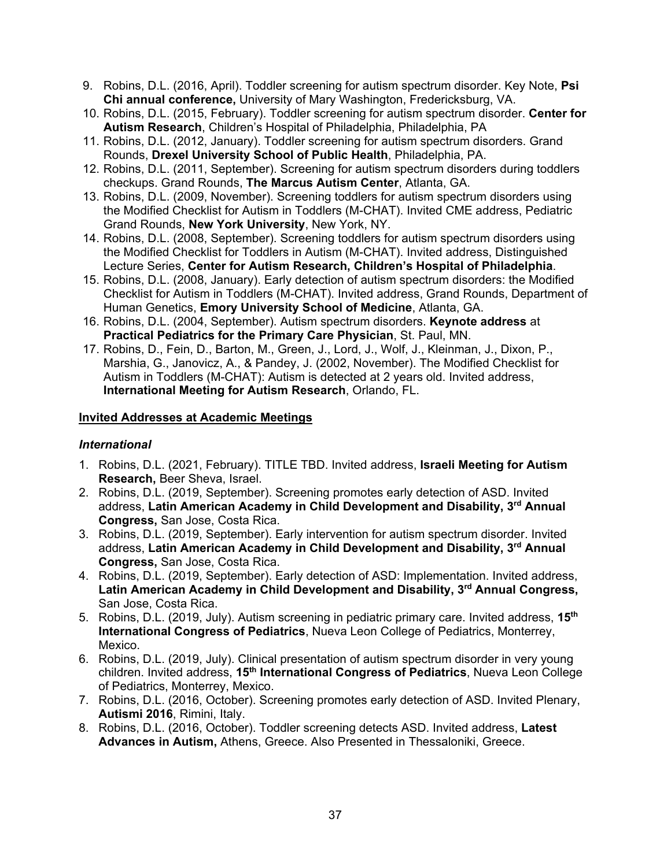- 9. Robins, D.L. (2016, April). Toddler screening for autism spectrum disorder. Key Note, **Psi Chi annual conference,** University of Mary Washington, Fredericksburg, VA.
- 10. Robins, D.L. (2015, February). Toddler screening for autism spectrum disorder. **Center for Autism Research**, Children's Hospital of Philadelphia, Philadelphia, PA
- 11. Robins, D.L. (2012, January). Toddler screening for autism spectrum disorders. Grand Rounds, **Drexel University School of Public Health**, Philadelphia, PA.
- 12. Robins, D.L. (2011, September). Screening for autism spectrum disorders during toddlers checkups. Grand Rounds, **The Marcus Autism Center**, Atlanta, GA.
- 13. Robins, D.L. (2009, November). Screening toddlers for autism spectrum disorders using the Modified Checklist for Autism in Toddlers (M-CHAT). Invited CME address, Pediatric Grand Rounds, **New York University**, New York, NY.
- 14. Robins, D.L. (2008, September). Screening toddlers for autism spectrum disorders using the Modified Checklist for Toddlers in Autism (M-CHAT). Invited address, Distinguished Lecture Series, **Center for Autism Research, Children's Hospital of Philadelphia**.
- 15. Robins, D.L. (2008, January). Early detection of autism spectrum disorders: the Modified Checklist for Autism in Toddlers (M-CHAT). Invited address, Grand Rounds, Department of Human Genetics, **Emory University School of Medicine**, Atlanta, GA.
- 16. Robins, D.L. (2004, September). Autism spectrum disorders. **Keynote address** at **Practical Pediatrics for the Primary Care Physician**, St. Paul, MN.
- 17. Robins, D., Fein, D., Barton, M., Green, J., Lord, J., Wolf, J., Kleinman, J., Dixon, P., Marshia, G., Janovicz, A., & Pandey, J. (2002, November). The Modified Checklist for Autism in Toddlers (M-CHAT): Autism is detected at 2 years old. Invited address, **International Meeting for Autism Research**, Orlando, FL.

## **Invited Addresses at Academic Meetings**

# *International*

- 1. Robins, D.L. (2021, February). TITLE TBD. Invited address, **Israeli Meeting for Autism Research,** Beer Sheva, Israel.
- 2. Robins, D.L. (2019, September). Screening promotes early detection of ASD. Invited address, **Latin American Academy in Child Development and Disability, 3rd Annual Congress,** San Jose, Costa Rica.
- 3. Robins, D.L. (2019, September). Early intervention for autism spectrum disorder. Invited address, **Latin American Academy in Child Development and Disability, 3rd Annual Congress,** San Jose, Costa Rica.
- 4. Robins, D.L. (2019, September). Early detection of ASD: Implementation. Invited address, **Latin American Academy in Child Development and Disability, 3rd Annual Congress,** San Jose, Costa Rica.
- 5. Robins, D.L. (2019, July). Autism screening in pediatric primary care. Invited address, **15th International Congress of Pediatrics**, Nueva Leon College of Pediatrics, Monterrey, Mexico.
- 6. Robins, D.L. (2019, July). Clinical presentation of autism spectrum disorder in very young children. Invited address, **15th International Congress of Pediatrics**, Nueva Leon College of Pediatrics, Monterrey, Mexico.
- 7. Robins, D.L. (2016, October). Screening promotes early detection of ASD. Invited Plenary, **Autismi 2016**, Rimini, Italy.
- 8. Robins, D.L. (2016, October). Toddler screening detects ASD. Invited address, **Latest Advances in Autism,** Athens, Greece. Also Presented in Thessaloniki, Greece.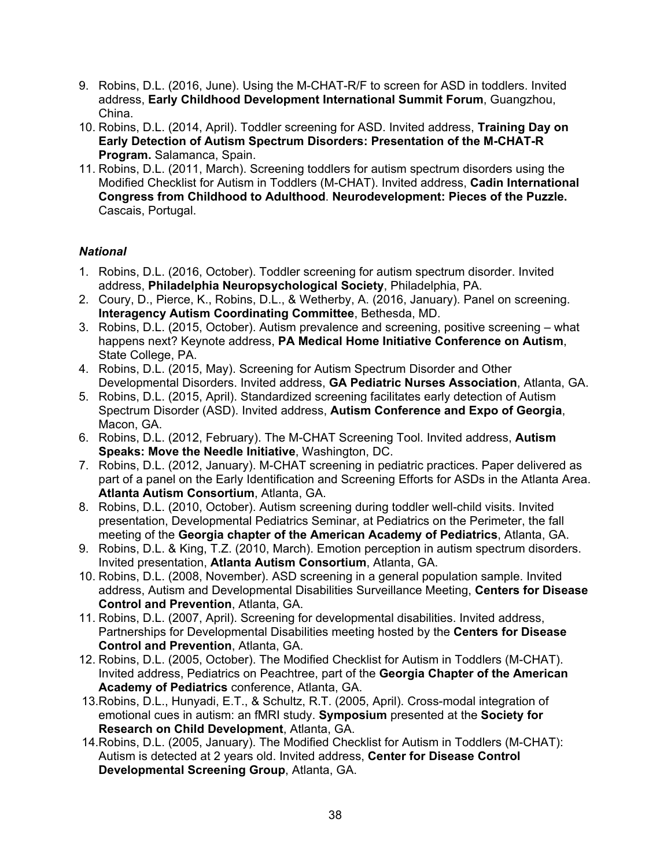- 9. Robins, D.L. (2016, June). Using the M-CHAT-R/F to screen for ASD in toddlers. Invited address, **Early Childhood Development International Summit Forum**, Guangzhou, China.
- 10. Robins, D.L. (2014, April). Toddler screening for ASD. Invited address, **Training Day on Early Detection of Autism Spectrum Disorders: Presentation of the M-CHAT-R Program.** Salamanca, Spain.
- 11. Robins, D.L. (2011, March). Screening toddlers for autism spectrum disorders using the Modified Checklist for Autism in Toddlers (M-CHAT). Invited address, **Cadin International Congress from Childhood to Adulthood**. **Neurodevelopment: Pieces of the Puzzle.** Cascais, Portugal.

## *National*

- 1. Robins, D.L. (2016, October). Toddler screening for autism spectrum disorder. Invited address, **Philadelphia Neuropsychological Society**, Philadelphia, PA.
- 2. Coury, D., Pierce, K., Robins, D.L., & Wetherby, A. (2016, January). Panel on screening. **Interagency Autism Coordinating Committee**, Bethesda, MD.
- 3. Robins, D.L. (2015, October). Autism prevalence and screening, positive screening what happens next? Keynote address, **PA Medical Home Initiative Conference on Autism**, State College, PA.
- 4. Robins, D.L. (2015, May). Screening for Autism Spectrum Disorder and Other Developmental Disorders. Invited address, **GA Pediatric Nurses Association**, Atlanta, GA.
- 5. Robins, D.L. (2015, April). Standardized screening facilitates early detection of Autism Spectrum Disorder (ASD). Invited address, **Autism Conference and Expo of Georgia**, Macon, GA.
- 6. Robins, D.L. (2012, February). The M-CHAT Screening Tool. Invited address, **Autism Speaks: Move the Needle Initiative**, Washington, DC.
- 7. Robins, D.L. (2012, January). M-CHAT screening in pediatric practices. Paper delivered as part of a panel on the Early Identification and Screening Efforts for ASDs in the Atlanta Area. **Atlanta Autism Consortium**, Atlanta, GA.
- 8. Robins, D.L. (2010, October). Autism screening during toddler well-child visits. Invited presentation, Developmental Pediatrics Seminar, at Pediatrics on the Perimeter, the fall meeting of the **Georgia chapter of the American Academy of Pediatrics**, Atlanta, GA.
- 9. Robins, D.L. & King, T.Z. (2010, March). Emotion perception in autism spectrum disorders. Invited presentation, **Atlanta Autism Consortium**, Atlanta, GA.
- 10. Robins, D.L. (2008, November). ASD screening in a general population sample. Invited address, Autism and Developmental Disabilities Surveillance Meeting, **Centers for Disease Control and Prevention**, Atlanta, GA.
- 11. Robins, D.L. (2007, April). Screening for developmental disabilities. Invited address, Partnerships for Developmental Disabilities meeting hosted by the **Centers for Disease Control and Prevention**, Atlanta, GA.
- 12. Robins, D.L. (2005, October). The Modified Checklist for Autism in Toddlers (M-CHAT). Invited address, Pediatrics on Peachtree, part of the **Georgia Chapter of the American Academy of Pediatrics** conference, Atlanta, GA.
- 13.Robins, D.L., Hunyadi, E.T., & Schultz, R.T. (2005, April). Cross-modal integration of emotional cues in autism: an fMRI study. **Symposium** presented at the **Society for Research on Child Development**, Atlanta, GA.
- 14.Robins, D.L. (2005, January). The Modified Checklist for Autism in Toddlers (M-CHAT): Autism is detected at 2 years old. Invited address, **Center for Disease Control Developmental Screening Group**, Atlanta, GA.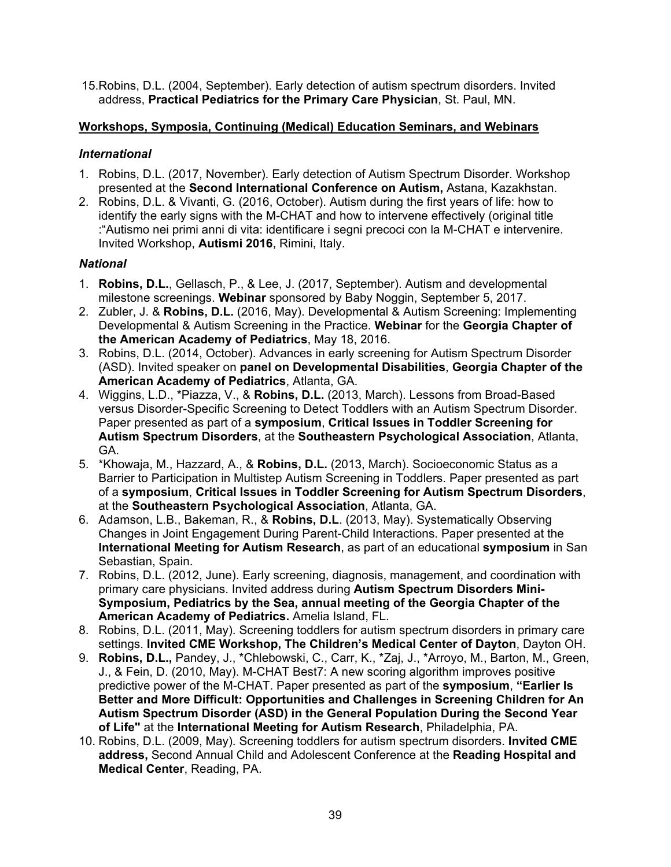15.Robins, D.L. (2004, September). Early detection of autism spectrum disorders. Invited address, **Practical Pediatrics for the Primary Care Physician**, St. Paul, MN.

## **Workshops, Symposia, Continuing (Medical) Education Seminars, and Webinars**

## *International*

- 1. Robins, D.L. (2017, November). Early detection of Autism Spectrum Disorder. Workshop presented at the **Second International Conference on Autism,** Astana, Kazakhstan.
- 2. Robins, D.L. & Vivanti, G. (2016, October). Autism during the first years of life: how to identify the early signs with the M-CHAT and how to intervene effectively (original title :"Autismo nei primi anni di vita: identificare i segni precoci con la M-CHAT e intervenire. Invited Workshop, **Autismi 2016**, Rimini, Italy.

# *National*

- 1. **Robins, D.L.**, Gellasch, P., & Lee, J. (2017, September). Autism and developmental milestone screenings. **Webinar** sponsored by Baby Noggin, September 5, 2017.
- 2. Zubler, J. & **Robins, D.L.** (2016, May). Developmental & Autism Screening: Implementing Developmental & Autism Screening in the Practice. **Webinar** for the **Georgia Chapter of the American Academy of Pediatrics**, May 18, 2016.
- 3. Robins, D.L. (2014, October). Advances in early screening for Autism Spectrum Disorder (ASD). Invited speaker on **panel on Developmental Disabilities**, **Georgia Chapter of the American Academy of Pediatrics**, Atlanta, GA.
- 4. Wiggins, L.D., \*Piazza, V., & **Robins, D.L.** (2013, March). Lessons from Broad-Based versus Disorder-Specific Screening to Detect Toddlers with an Autism Spectrum Disorder. Paper presented as part of a **symposium**, **Critical Issues in Toddler Screening for Autism Spectrum Disorders**, at the **Southeastern Psychological Association**, Atlanta, GA.
- 5. \*Khowaja, M., Hazzard, A., & **Robins, D.L.** (2013, March). Socioeconomic Status as a Barrier to Participation in Multistep Autism Screening in Toddlers. Paper presented as part of a **symposium**, **Critical Issues in Toddler Screening for Autism Spectrum Disorders**, at the **Southeastern Psychological Association**, Atlanta, GA.
- 6. Adamson, L.B., Bakeman, R., & **Robins, D.L**. (2013, May). Systematically Observing Changes in Joint Engagement During Parent-Child Interactions. Paper presented at the **International Meeting for Autism Research**, as part of an educational **symposium** in San Sebastian, Spain.
- 7. Robins, D.L. (2012, June). Early screening, diagnosis, management, and coordination with primary care physicians. Invited address during **Autism Spectrum Disorders Mini-Symposium, Pediatrics by the Sea, annual meeting of the Georgia Chapter of the American Academy of Pediatrics.** Amelia Island, FL.
- 8. Robins, D.L. (2011, May). Screening toddlers for autism spectrum disorders in primary care settings. **Invited CME Workshop, The Children's Medical Center of Dayton**, Dayton OH.
- 9. **Robins, D.L.,** Pandey, J., \*Chlebowski, C., Carr, K., \*Zaj, J., \*Arroyo, M., Barton, M., Green, J., & Fein, D. (2010, May). M-CHAT Best7: A new scoring algorithm improves positive predictive power of the M-CHAT. Paper presented as part of the **symposium**, **"Earlier Is Better and More Difficult: Opportunities and Challenges in Screening Children for An Autism Spectrum Disorder (ASD) in the General Population During the Second Year of Life"** at the **International Meeting for Autism Research**, Philadelphia, PA.
- 10. Robins, D.L. (2009, May). Screening toddlers for autism spectrum disorders. **Invited CME address,** Second Annual Child and Adolescent Conference at the **Reading Hospital and Medical Center**, Reading, PA.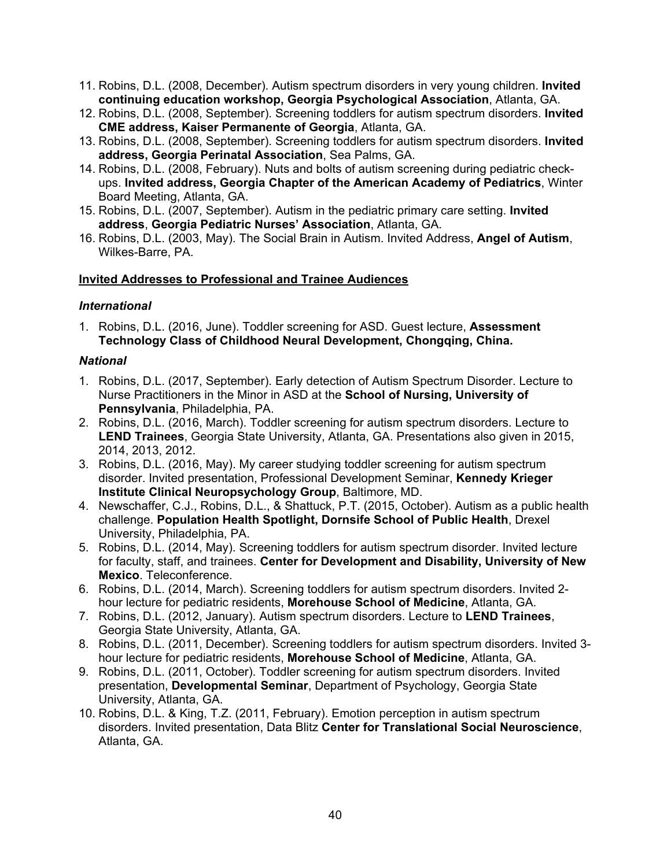- 11. Robins, D.L. (2008, December). Autism spectrum disorders in very young children. **Invited continuing education workshop, Georgia Psychological Association**, Atlanta, GA.
- 12. Robins, D.L. (2008, September). Screening toddlers for autism spectrum disorders. **Invited CME address, Kaiser Permanente of Georgia**, Atlanta, GA.
- 13. Robins, D.L. (2008, September). Screening toddlers for autism spectrum disorders. **Invited address, Georgia Perinatal Association**, Sea Palms, GA.
- 14. Robins, D.L. (2008, February). Nuts and bolts of autism screening during pediatric checkups. **Invited address, Georgia Chapter of the American Academy of Pediatrics**, Winter Board Meeting, Atlanta, GA.
- 15. Robins, D.L. (2007, September). Autism in the pediatric primary care setting. **Invited address**, **Georgia Pediatric Nurses' Association**, Atlanta, GA.
- 16. Robins, D.L. (2003, May). The Social Brain in Autism. Invited Address, **Angel of Autism**, Wilkes-Barre, PA.

### **Invited Addresses to Professional and Trainee Audiences**

## *International*

1. Robins, D.L. (2016, June). Toddler screening for ASD. Guest lecture, **Assessment Technology Class of Childhood Neural Development, Chongqing, China.**

### *National*

- 1. Robins, D.L. (2017, September). Early detection of Autism Spectrum Disorder. Lecture to Nurse Practitioners in the Minor in ASD at the **School of Nursing, University of Pennsylvania**, Philadelphia, PA.
- 2. Robins, D.L. (2016, March). Toddler screening for autism spectrum disorders. Lecture to **LEND Trainees**, Georgia State University, Atlanta, GA. Presentations also given in 2015, 2014, 2013, 2012.
- 3. Robins, D.L. (2016, May). My career studying toddler screening for autism spectrum disorder. Invited presentation, Professional Development Seminar, **Kennedy Krieger Institute Clinical Neuropsychology Group**, Baltimore, MD.
- 4. Newschaffer, C.J., Robins, D.L., & Shattuck, P.T. (2015, October). Autism as a public health challenge. **Population Health Spotlight, Dornsife School of Public Health**, Drexel University, Philadelphia, PA.
- 5. Robins, D.L. (2014, May). Screening toddlers for autism spectrum disorder. Invited lecture for faculty, staff, and trainees. **Center for Development and Disability, University of New Mexico**. Teleconference.
- 6. Robins, D.L. (2014, March). Screening toddlers for autism spectrum disorders. Invited 2 hour lecture for pediatric residents, **Morehouse School of Medicine**, Atlanta, GA.
- 7. Robins, D.L. (2012, January). Autism spectrum disorders. Lecture to **LEND Trainees**, Georgia State University, Atlanta, GA.
- 8. Robins, D.L. (2011, December). Screening toddlers for autism spectrum disorders. Invited 3 hour lecture for pediatric residents, **Morehouse School of Medicine**, Atlanta, GA.
- 9. Robins, D.L. (2011, October). Toddler screening for autism spectrum disorders. Invited presentation, **Developmental Seminar**, Department of Psychology, Georgia State University, Atlanta, GA.
- 10. Robins, D.L. & King, T.Z. (2011, February). Emotion perception in autism spectrum disorders. Invited presentation, Data Blitz **Center for Translational Social Neuroscience**, Atlanta, GA.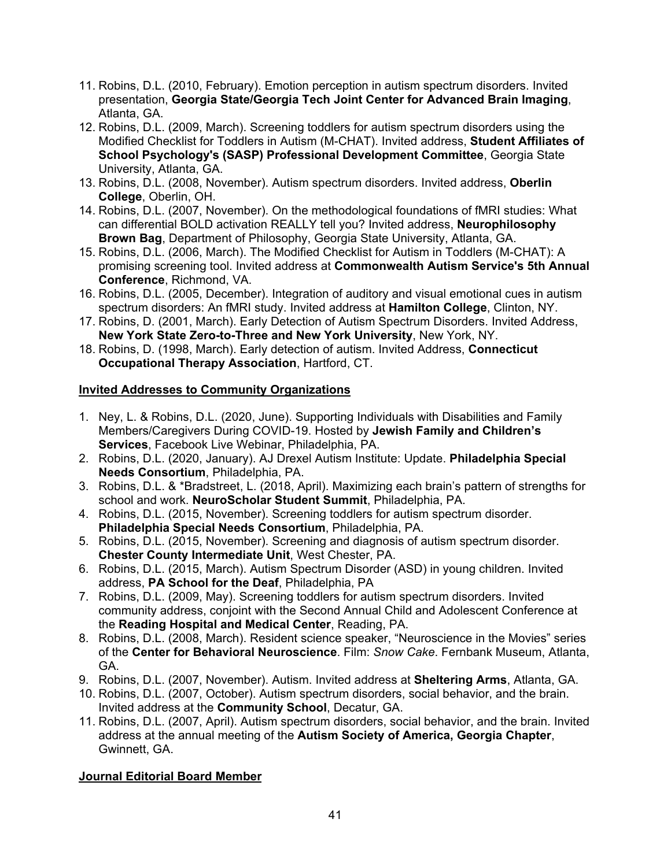- 11. Robins, D.L. (2010, February). Emotion perception in autism spectrum disorders. Invited presentation, **Georgia State/Georgia Tech Joint Center for Advanced Brain Imaging**, Atlanta, GA.
- 12. Robins, D.L. (2009, March). Screening toddlers for autism spectrum disorders using the Modified Checklist for Toddlers in Autism (M-CHAT). Invited address, **Student Affiliates of School Psychology's (SASP) Professional Development Committee**, Georgia State University, Atlanta, GA.
- 13. Robins, D.L. (2008, November). Autism spectrum disorders. Invited address, **Oberlin College**, Oberlin, OH.
- 14. Robins, D.L. (2007, November). On the methodological foundations of fMRI studies: What can differential BOLD activation REALLY tell you? Invited address, **Neurophilosophy Brown Bag**, Department of Philosophy, Georgia State University, Atlanta, GA.
- 15. Robins, D.L. (2006, March). The Modified Checklist for Autism in Toddlers (M-CHAT): A promising screening tool. Invited address at **Commonwealth Autism Service's 5th Annual Conference**, Richmond, VA.
- 16. Robins, D.L. (2005, December). Integration of auditory and visual emotional cues in autism spectrum disorders: An fMRI study. Invited address at **Hamilton College**, Clinton, NY.
- 17. Robins, D. (2001, March). Early Detection of Autism Spectrum Disorders. Invited Address, **New York State Zero-to-Three and New York University**, New York, NY.
- 18. Robins, D. (1998, March). Early detection of autism. Invited Address, **Connecticut Occupational Therapy Association**, Hartford, CT.

## **Invited Addresses to Community Organizations**

- 1. Ney, L. & Robins, D.L. (2020, June). Supporting Individuals with Disabilities and Family Members/Caregivers During COVID-19. Hosted by **Jewish Family and Children's Services**, Facebook Live Webinar, Philadelphia, PA.
- 2. Robins, D.L. (2020, January). AJ Drexel Autism Institute: Update. **Philadelphia Special Needs Consortium**, Philadelphia, PA.
- 3. Robins, D.L. & \*Bradstreet, L. (2018, April). Maximizing each brain's pattern of strengths for school and work. **NeuroScholar Student Summit**, Philadelphia, PA.
- 4. Robins, D.L. (2015, November). Screening toddlers for autism spectrum disorder. **Philadelphia Special Needs Consortium**, Philadelphia, PA.
- 5. Robins, D.L. (2015, November). Screening and diagnosis of autism spectrum disorder. **Chester County Intermediate Unit**, West Chester, PA.
- 6. Robins, D.L. (2015, March). Autism Spectrum Disorder (ASD) in young children. Invited address, **PA School for the Deaf**, Philadelphia, PA
- 7. Robins, D.L. (2009, May). Screening toddlers for autism spectrum disorders. Invited community address, conjoint with the Second Annual Child and Adolescent Conference at the **Reading Hospital and Medical Center**, Reading, PA.
- 8. Robins, D.L. (2008, March). Resident science speaker, "Neuroscience in the Movies" series of the **Center for Behavioral Neuroscience**. Film: *Snow Cake*. Fernbank Museum, Atlanta, GA.
- 9. Robins, D.L. (2007, November). Autism. Invited address at **Sheltering Arms**, Atlanta, GA.
- 10. Robins, D.L. (2007, October). Autism spectrum disorders, social behavior, and the brain. Invited address at the **Community School**, Decatur, GA.
- 11. Robins, D.L. (2007, April). Autism spectrum disorders, social behavior, and the brain. Invited address at the annual meeting of the **Autism Society of America, Georgia Chapter**, Gwinnett, GA.

# **Journal Editorial Board Member**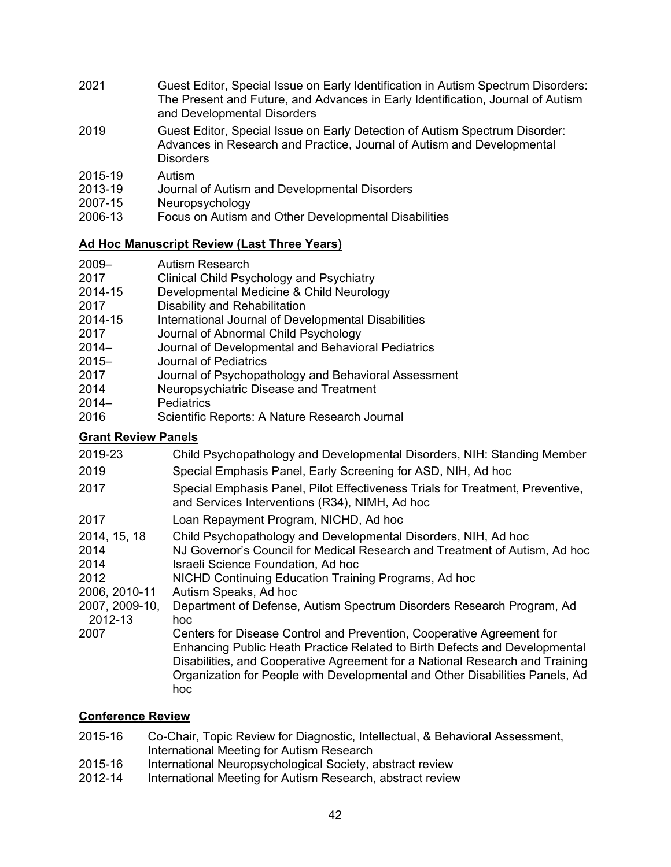- 2021 Guest Editor, Special Issue on Early Identification in Autism Spectrum Disorders: The Present and Future, and Advances in Early Identification, Journal of Autism and Developmental Disorders
- 2019 Guest Editor, Special Issue on Early Detection of Autism Spectrum Disorder: Advances in Research and Practice, Journal of Autism and Developmental **Disorders**
- 2015-19 Autism
- 2013-19 Journal of Autism and Developmental Disorders
- 2007-15 Neuropsychology
- 2006-13 Focus on Autism and Other Developmental Disabilities

## **Ad Hoc Manuscript Review (Last Three Years)**

- 2009– Autism Research
- 2017 Clinical Child Psychology and Psychiatry
- 2014-15 Developmental Medicine & Child Neurology
- 2017 Disability and Rehabilitation
- 2014-15 International Journal of Developmental Disabilities
- 2017 Journal of Abnormal Child Psychology
- 2014– Journal of Developmental and Behavioral Pediatrics
- 2015– Journal of Pediatrics
- 2017 Journal of Psychopathology and Behavioral Assessment
- 2014 Neuropsychiatric Disease and Treatment
- 2014– Pediatrics
- 2016 Scientific Reports: A Nature Research Journal

# **Grant Review Panels**

2019-23 Child Psychopathology and Developmental Disorders, NIH: Standing Member 2019 Special Emphasis Panel, Early Screening for ASD, NIH, Ad hoc 2017 Special Emphasis Panel, Pilot Effectiveness Trials for Treatment, Preventive, and Services Interventions (R34), NIMH, Ad hoc 2017 Loan Repayment Program, NICHD, Ad hoc 2014, 15, 18 Child Psychopathology and Developmental Disorders, NIH, Ad hoc 2014 NJ Governor's Council for Medical Research and Treatment of Autism, Ad hoc 2014 Israeli Science Foundation, Ad hoc 2012 NICHD Continuing Education Training Programs, Ad hoc 2006, 2010-11 Autism Speaks, Ad hoc 2007, 2009-10, Department of Defense, Autism Spectrum Disorders Research Program, Ad 2012-13 hoc 2007 Centers for Disease Control and Prevention, Cooperative Agreement for Enhancing Public Heath Practice Related to Birth Defects and Developmental Disabilities, and Cooperative Agreement for a National Research and Training Organization for People with Developmental and Other Disabilities Panels, Ad hoc

# **Conference Review**

- 2015-16 Co-Chair, Topic Review for Diagnostic, Intellectual, & Behavioral Assessment, International Meeting for Autism Research
- 2015-16 International Neuropsychological Society, abstract review
- 2012-14 International Meeting for Autism Research, abstract review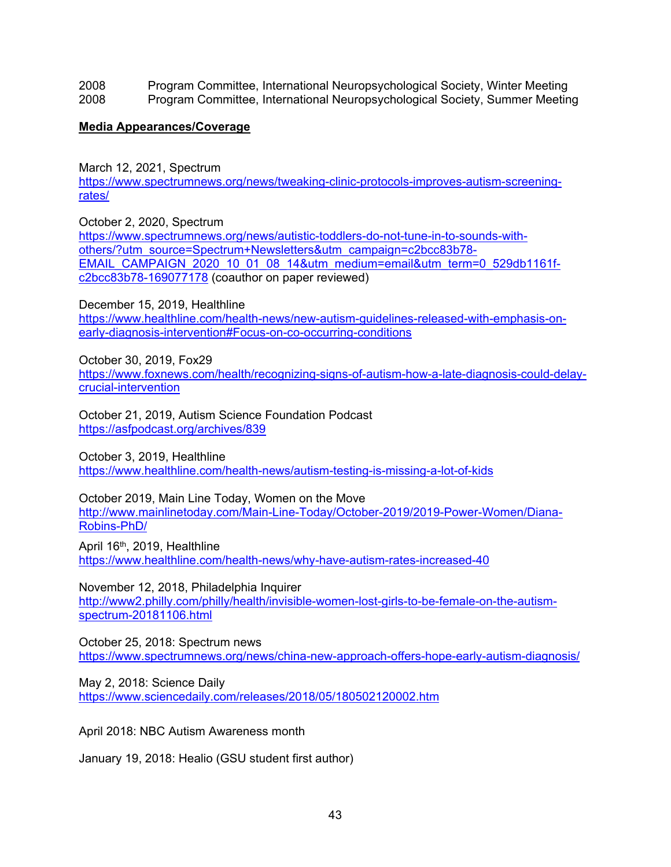2008 Program Committee, International Neuropsychological Society, Winter Meeting 2008 Program Committee, International Neuropsychological Society, Summer Meeting

### **Media Appearances/Coverage**

March 12, 2021, Spectrum

[https://www.spectrumnews.org/news/tweaking-clinic-protocols-improves-autism-screening](https://www.spectrumnews.org/news/tweaking-clinic-protocols-improves-autism-screening-rates/)[rates/](https://www.spectrumnews.org/news/tweaking-clinic-protocols-improves-autism-screening-rates/)

October 2, 2020, Spectrum

[https://www.spectrumnews.org/news/autistic-toddlers-do-not-tune-in-to-sounds-with](https://www.spectrumnews.org/news/autistic-toddlers-do-not-tune-in-to-sounds-with-others/?utm_source=Spectrum+Newsletters&utm_campaign=c2bcc83b78-EMAIL_CAMPAIGN_2020_10_01_08_14&utm_medium=email&utm_term=0_529db1161f-c2bcc83b78-169077178)[others/?utm\\_source=Spectrum+Newsletters&utm\\_campaign=c2bcc83b78-](https://www.spectrumnews.org/news/autistic-toddlers-do-not-tune-in-to-sounds-with-others/?utm_source=Spectrum+Newsletters&utm_campaign=c2bcc83b78-EMAIL_CAMPAIGN_2020_10_01_08_14&utm_medium=email&utm_term=0_529db1161f-c2bcc83b78-169077178) [EMAIL\\_CAMPAIGN\\_2020\\_10\\_01\\_08\\_14&utm\\_medium=email&utm\\_term=0\\_529db1161f](https://www.spectrumnews.org/news/autistic-toddlers-do-not-tune-in-to-sounds-with-others/?utm_source=Spectrum+Newsletters&utm_campaign=c2bcc83b78-EMAIL_CAMPAIGN_2020_10_01_08_14&utm_medium=email&utm_term=0_529db1161f-c2bcc83b78-169077178)[c2bcc83b78-169077178](https://www.spectrumnews.org/news/autistic-toddlers-do-not-tune-in-to-sounds-with-others/?utm_source=Spectrum+Newsletters&utm_campaign=c2bcc83b78-EMAIL_CAMPAIGN_2020_10_01_08_14&utm_medium=email&utm_term=0_529db1161f-c2bcc83b78-169077178) (coauthor on paper reviewed)

December 15, 2019, Healthline

[https://www.healthline.com/health-news/new-autism-guidelines-released-with-emphasis-on](https://www.healthline.com/health-news/new-autism-guidelines-released-with-emphasis-on-early-diagnosis-intervention#Focus-on-co-occurring-conditions)[early-diagnosis-intervention#Focus-on-co-occurring-conditions](https://www.healthline.com/health-news/new-autism-guidelines-released-with-emphasis-on-early-diagnosis-intervention#Focus-on-co-occurring-conditions)

October 30, 2019, Fox29 [https://www.foxnews.com/health/recognizing-signs-of-autism-how-a-late-diagnosis-could-delay](https://nam01.safelinks.protection.outlook.com/?url=https%3A%2F%2Fwww.foxnews.com%2Fhealth%2Frecognizing-signs-of-autism-how-a-late-diagnosis-could-delay-crucial-intervention&data=02%7C01%7Cdlr76%40drexel.edu%7Cf1e75ebaf5b54dbef83008d75d423952%7C3664e6fa47bd45a696708c4f080f8ca6%7C0%7C0%7C637080411315970626&sdata=XDh2uu9uqD3%2BVIRph583TrlHlxMxAYFCrig3%2B5vVdK8%3D&reserved=0)[crucial-intervention](https://nam01.safelinks.protection.outlook.com/?url=https%3A%2F%2Fwww.foxnews.com%2Fhealth%2Frecognizing-signs-of-autism-how-a-late-diagnosis-could-delay-crucial-intervention&data=02%7C01%7Cdlr76%40drexel.edu%7Cf1e75ebaf5b54dbef83008d75d423952%7C3664e6fa47bd45a696708c4f080f8ca6%7C0%7C0%7C637080411315970626&sdata=XDh2uu9uqD3%2BVIRph583TrlHlxMxAYFCrig3%2B5vVdK8%3D&reserved=0)

October 21, 2019, Autism Science Foundation Podcast <https://asfpodcast.org/archives/839>

October 3, 2019, Healthline <https://www.healthline.com/health-news/autism-testing-is-missing-a-lot-of-kids>

October 2019, Main Line Today, Women on the Move [http://www.mainlinetoday.com/Main-Line-Today/October-2019/2019-Power-Women/Diana-](http://www.mainlinetoday.com/Main-Line-Today/October-2019/2019-Power-Women/Diana-Robins-PhD/)[Robins-PhD/](http://www.mainlinetoday.com/Main-Line-Today/October-2019/2019-Power-Women/Diana-Robins-PhD/)

April 16th, 2019, Healthline [https://www.healthline.com/health-news/why-have-autism-rates-increased-40](https://nam01.safelinks.protection.outlook.com/?url=https%3A%2F%2Fwww.healthline.com%2Fhealth-news%2Fwhy-have-autism-rates-increased-40&data=02%7C01%7Cjef89%40drexel.edu%7C62fa68bef3704cf64e8108d6c2688c3d%7C3664e6fa47bd45a696708c4f080f8ca6%7C0%7C0%7C636910151619227075&sdata=i0lVgAU5P1oLr1yZLQtXoWX2auZN3oftTof%2FVN7rAFY%3D&reserved=0)

November 12, 2018, Philadelphia Inquirer

[http://www2.philly.com/philly/health/invisible-women-lost-girls-to-be-female-on-the-autism](https://na01.safelinks.protection.outlook.com/?url=http%3A%2F%2Fwww2.philly.com%2Fphilly%2Fhealth%2Finvisible-women-lost-girls-to-be-female-on-the-autism-spectrum-20181106.html&data=02%7C01%7Cjef89%40drexel.edu%7C3312271c95c4475b696008d64a77a8b3%7C3664e6fa47bd45a696708c4f080f8ca6%7C0%7C0%7C636778275117204507&sdata=GwaBvQqh%2FDAMpRztwT95eKKXDXuaO8HPMn5q0Ip2Rn4%3D&reserved=0)[spectrum-20181106.html](https://na01.safelinks.protection.outlook.com/?url=http%3A%2F%2Fwww2.philly.com%2Fphilly%2Fhealth%2Finvisible-women-lost-girls-to-be-female-on-the-autism-spectrum-20181106.html&data=02%7C01%7Cjef89%40drexel.edu%7C3312271c95c4475b696008d64a77a8b3%7C3664e6fa47bd45a696708c4f080f8ca6%7C0%7C0%7C636778275117204507&sdata=GwaBvQqh%2FDAMpRztwT95eKKXDXuaO8HPMn5q0Ip2Rn4%3D&reserved=0)

October 25, 2018: Spectrum news <https://www.spectrumnews.org/news/china-new-approach-offers-hope-early-autism-diagnosis/>

May 2, 2018: Science Daily <https://www.sciencedaily.com/releases/2018/05/180502120002.htm>

April 2018: NBC Autism Awareness month

January 19, 2018: Healio (GSU student first author)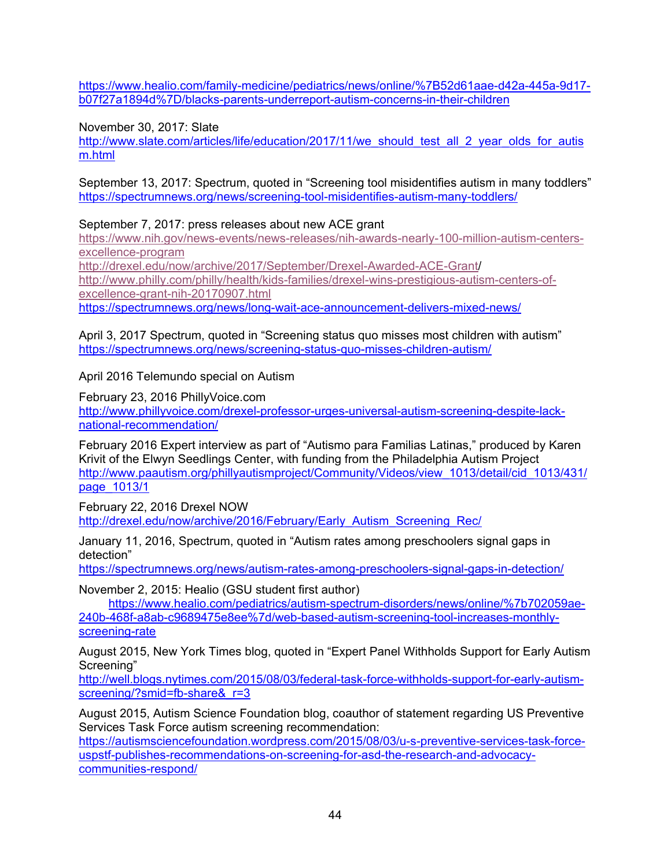[https://www.healio.com/family-medicine/pediatrics/news/online/%7B52d61aae-d42a-445a-9d17](https://www.healio.com/family-medicine/pediatrics/news/online/%7B52d61aae-d42a-445a-9d17-b07f27a1894d%7D/blacks-parents-underreport-autism-concerns-in-their-children) [b07f27a1894d%7D/blacks-parents-underreport-autism-concerns-in-their-children](https://www.healio.com/family-medicine/pediatrics/news/online/%7B52d61aae-d42a-445a-9d17-b07f27a1894d%7D/blacks-parents-underreport-autism-concerns-in-their-children)

November 30, 2017: Slate

[http://www.slate.com/articles/life/education/2017/11/we\\_should\\_test\\_all\\_2\\_year\\_olds\\_for\\_autis](http://www.slate.com/articles/life/education/2017/11/we_should_test_all_2_year_olds_for_autism.html)\_ [m.html](http://www.slate.com/articles/life/education/2017/11/we_should_test_all_2_year_olds_for_autism.html)

September 13, 2017: Spectrum, quoted in "Screening tool misidentifies autism in many toddlers" <https://spectrumnews.org/news/screening-tool-misidentifies-autism-many-toddlers/>

September 7, 2017: press releases about new ACE grant

[https://www.nih.gov/news-events/news-releases/nih-awards-nearly-100-million-autism-centers](https://www.nih.gov/news-events/news-releases/nih-awards-nearly-100-million-autism-centers-excellence-program)[excellence-program](https://www.nih.gov/news-events/news-releases/nih-awards-nearly-100-million-autism-centers-excellence-program) [http://drexel.edu/now/archive/2017/September/Drexel-Awarded-ACE-Grant/](http://drexel.edu/now/archive/2017/September/Drexel-Awarded-ACE-Grant) [http://www.philly.com/philly/health/kids-families/drexel-wins-prestigious-autism-centers-of](http://www.philly.com/philly/health/kids-families/drexel-wins-prestigious-autism-centers-of-excellence-grant-nih-20170907.html)[excellence-grant-nih-20170907.html](http://www.philly.com/philly/health/kids-families/drexel-wins-prestigious-autism-centers-of-excellence-grant-nih-20170907.html)

<https://spectrumnews.org/news/long-wait-ace-announcement-delivers-mixed-news/>

April 3, 2017 Spectrum, quoted in "Screening status quo misses most children with autism" <https://spectrumnews.org/news/screening-status-quo-misses-children-autism/>

April 2016 Telemundo special on Autism

February 23, 2016 PhillyVoice.com [http://www.phillyvoice.com/drexel-professor-urges-universal-autism-screening-despite-lack](http://www.phillyvoice.com/drexel-professor-urges-universal-autism-screening-despite-lack-national-recommendation/)[national-recommendation/](http://www.phillyvoice.com/drexel-professor-urges-universal-autism-screening-despite-lack-national-recommendation/)

February 2016 Expert interview as part of "Autismo para Familias Latinas," produced by Karen Krivit of the Elwyn Seedlings Center, with funding from the Philadelphia Autism Project [http://www.paautism.org/phillyautismproject/Community/Videos/view\\_1013/detail/cid\\_1013/431/](http://www.paautism.org/phillyautismproject/Community/Videos/view_1013/detail/cid_1013/431/page_1013/1) [page\\_1013/1](http://www.paautism.org/phillyautismproject/Community/Videos/view_1013/detail/cid_1013/431/page_1013/1)

February 22, 2016 Drexel NOW [http://drexel.edu/now/archive/2016/February/Early\\_Autism\\_Screening\\_Rec/](http://drexel.edu/now/archive/2016/February/Early_Autism_Screening_Rec/)

January 11, 2016, Spectrum, quoted in "Autism rates among preschoolers signal gaps in detection"

<https://spectrumnews.org/news/autism-rates-among-preschoolers-signal-gaps-in-detection/>

November 2, 2015: Healio (GSU student first author)

[https://www.healio.com/pediatrics/autism-spectrum-disorders/news/online/%7b702059ae-](https://www.healio.com/pediatrics/autism-spectrum-disorders/news/online/%7b702059ae-240b-468f-a8ab-c9689475e8ee%7d/web-based-autism-screening-tool-increases-monthly-screening-rate)[240b-468f-a8ab-c9689475e8ee%7d/web-based-autism-screening-tool-increases-monthly](https://www.healio.com/pediatrics/autism-spectrum-disorders/news/online/%7b702059ae-240b-468f-a8ab-c9689475e8ee%7d/web-based-autism-screening-tool-increases-monthly-screening-rate)[screening-rate](https://www.healio.com/pediatrics/autism-spectrum-disorders/news/online/%7b702059ae-240b-468f-a8ab-c9689475e8ee%7d/web-based-autism-screening-tool-increases-monthly-screening-rate)

August 2015, New York Times blog, quoted in "Expert Panel Withholds Support for Early Autism Screening"

[http://well.blogs.nytimes.com/2015/08/03/federal-task-force-withholds-support-for-early-autism](http://well.blogs.nytimes.com/2015/08/03/federal-task-force-withholds-support-for-early-autism-screening/?smid=fb-share&_r=3)screening/?smid=fb-share&r=3

August 2015, Autism Science Foundation blog, coauthor of statement regarding US Preventive Services Task Force autism screening recommendation:

[https://autismsciencefoundation.wordpress.com/2015/08/03/u-s-preventive-services-task-force](https://autismsciencefoundation.wordpress.com/2015/08/03/u-s-preventive-services-task-force-uspstf-publishes-recommendations-on-screening-for-asd-the-research-and-advocacy-communities-respond/)[uspstf-publishes-recommendations-on-screening-for-asd-the-research-and-advocacy](https://autismsciencefoundation.wordpress.com/2015/08/03/u-s-preventive-services-task-force-uspstf-publishes-recommendations-on-screening-for-asd-the-research-and-advocacy-communities-respond/)[communities-respond/](https://autismsciencefoundation.wordpress.com/2015/08/03/u-s-preventive-services-task-force-uspstf-publishes-recommendations-on-screening-for-asd-the-research-and-advocacy-communities-respond/)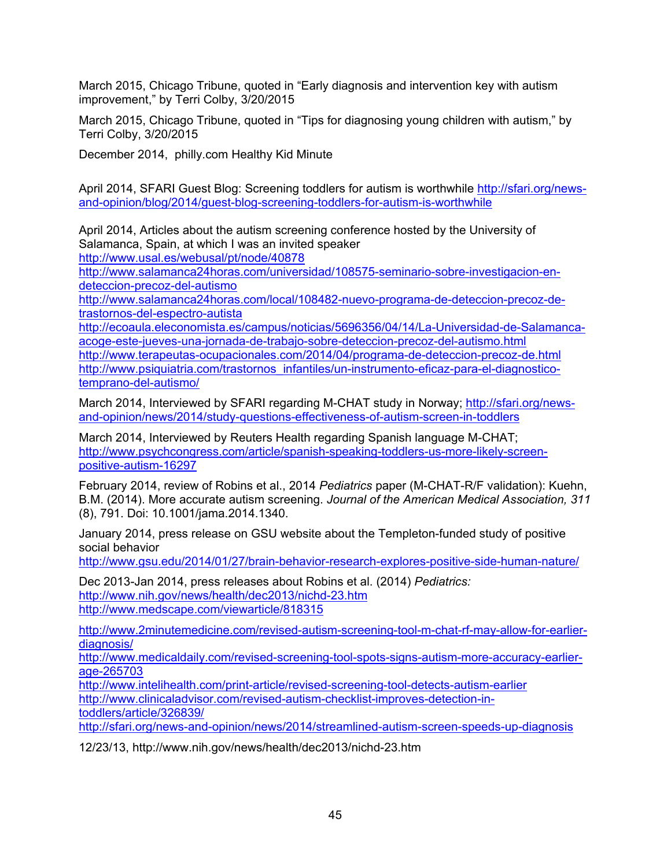March 2015, Chicago Tribune, quoted in "Early diagnosis and intervention key with autism improvement," by Terri Colby, 3/20/2015

March 2015, Chicago Tribune, quoted in "Tips for diagnosing young children with autism," by Terri Colby, 3/20/2015

December 2014, philly.com Healthy Kid Minute

April 2014, SFARI Guest Blog: Screening toddlers for autism is worthwhile [http://sfari.org/news](http://sfari.org/news-and-opinion/blog/2014/guest-blog-screening-toddlers-for-autism-is-worthwhile)[and-opinion/blog/2014/guest-blog-screening-toddlers-for-autism-is-worthwhile](http://sfari.org/news-and-opinion/blog/2014/guest-blog-screening-toddlers-for-autism-is-worthwhile)

April 2014, Articles about the autism screening conference hosted by the University of Salamanca, Spain, at which I was an invited speaker

<http://www.usal.es/webusal/pt/node/40878>

[http://www.salamanca24horas.com/universidad/108575-seminario-sobre-investigacion-en](http://www.salamanca24horas.com/universidad/108575-seminario-sobre-investigacion-en-deteccion-precoz-del-autismo)[deteccion-precoz-del-autismo](http://www.salamanca24horas.com/universidad/108575-seminario-sobre-investigacion-en-deteccion-precoz-del-autismo)

[http://www.salamanca24horas.com/local/108482-nuevo-programa-de-deteccion-precoz-de](http://www.salamanca24horas.com/local/108482-nuevo-programa-de-deteccion-precoz-de-trastornos-del-espectro-autista)[trastornos-del-espectro-autista](http://www.salamanca24horas.com/local/108482-nuevo-programa-de-deteccion-precoz-de-trastornos-del-espectro-autista)

[http://ecoaula.eleconomista.es/campus/noticias/5696356/04/14/La-Universidad-de-Salamanca](http://ecoaula.eleconomista.es/campus/noticias/5696356/04/14/La-Universidad-de-Salamanca-acoge-este-jueves-una-jornada-de-trabajo-sobre-deteccion-precoz-del-autismo.html)[acoge-este-jueves-una-jornada-de-trabajo-sobre-deteccion-precoz-del-autismo.html](http://ecoaula.eleconomista.es/campus/noticias/5696356/04/14/La-Universidad-de-Salamanca-acoge-este-jueves-una-jornada-de-trabajo-sobre-deteccion-precoz-del-autismo.html) <http://www.terapeutas-ocupacionales.com/2014/04/programa-de-deteccion-precoz-de.html> [http://www.psiquiatria.com/trastornos\\_infantiles/un-instrumento-eficaz-para-el-diagnostico](http://www.psiquiatria.com/trastornos_infantiles/un-instrumento-eficaz-para-el-diagnostico-temprano-del-autismo/)[temprano-del-autismo/](http://www.psiquiatria.com/trastornos_infantiles/un-instrumento-eficaz-para-el-diagnostico-temprano-del-autismo/)

March 2014, Interviewed by SFARI regarding M-CHAT study in Norway; [http://sfari.org/news](http://sfari.org/news-and-opinion/news/2014/study-questions-effectiveness-of-autism-screen-in-toddlers)[and-opinion/news/2014/study-questions-effectiveness-of-autism-screen-in-toddlers](http://sfari.org/news-and-opinion/news/2014/study-questions-effectiveness-of-autism-screen-in-toddlers)

March 2014, Interviewed by Reuters Health regarding Spanish language M-CHAT; [http://www.psychcongress.com/article/spanish-speaking-toddlers-us-more-likely-screen](http://www.psychcongress.com/article/spanish-speaking-toddlers-us-more-likely-screen-positive-autism-16297)[positive-autism-16297](http://www.psychcongress.com/article/spanish-speaking-toddlers-us-more-likely-screen-positive-autism-16297)

February 2014, review of Robins et al., 2014 *Pediatrics* paper (M-CHAT-R/F validation): Kuehn, B.M. (2014). More accurate autism screening. *Journal of the American Medical Association, 311* (8), 791. Doi: 10.1001/jama.2014.1340.

January 2014, press release on GSU website about the Templeton-funded study of positive social behavior

<http://www.gsu.edu/2014/01/27/brain-behavior-research-explores-positive-side-human-nature/>

Dec 2013-Jan 2014, press releases about Robins et al. (2014) *Pediatrics:* <http://www.nih.gov/news/health/dec2013/nichd-23.htm> <http://www.medscape.com/viewarticle/818315>

[http://www.2minutemedicine.com/revised-autism-screening-tool-m-chat-rf-may-allow-for-earlier](http://www.2minutemedicine.com/revised-autism-screening-tool-m-chat-rf-may-allow-for-earlier-diagnosis/)[diagnosis/](http://www.2minutemedicine.com/revised-autism-screening-tool-m-chat-rf-may-allow-for-earlier-diagnosis/)

[http://www.medicaldaily.com/revised-screening-tool-spots-signs-autism-more-accuracy-earlier](http://www.medicaldaily.com/revised-screening-tool-spots-signs-autism-more-accuracy-earlier-age-265703)[age-265703](http://www.medicaldaily.com/revised-screening-tool-spots-signs-autism-more-accuracy-earlier-age-265703)

<http://www.intelihealth.com/print-article/revised-screening-tool-detects-autism-earlier> [http://www.clinicaladvisor.com/revised-autism-checklist-improves-detection-in](http://www.clinicaladvisor.com/revised-autism-checklist-improves-detection-in-toddlers/article/326839/)[toddlers/article/326839/](http://www.clinicaladvisor.com/revised-autism-checklist-improves-detection-in-toddlers/article/326839/)

<http://sfari.org/news-and-opinion/news/2014/streamlined-autism-screen-speeds-up-diagnosis>

12/23/13, http://www.nih.gov/news/health/dec2013/nichd-23.htm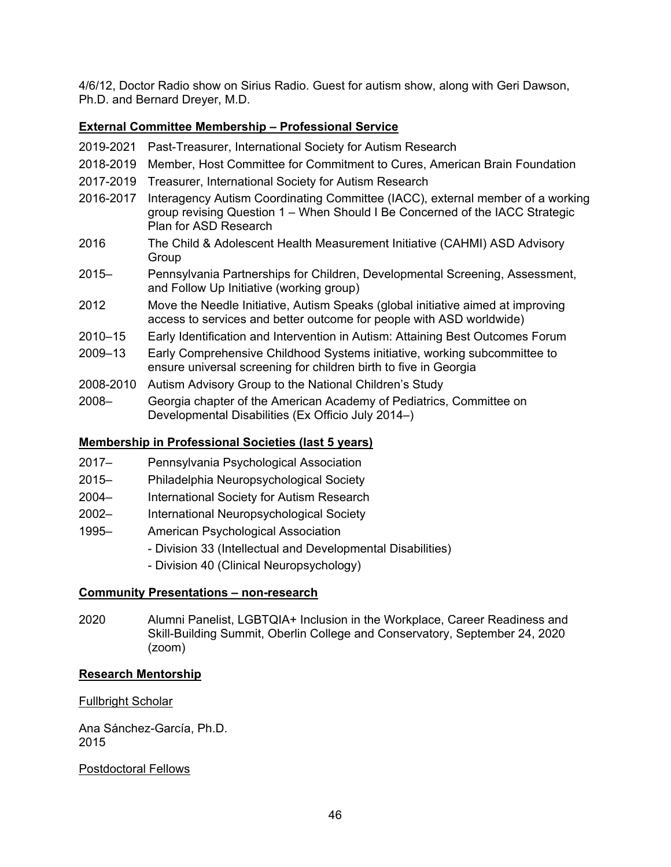4/6/12, Doctor Radio show on Sirius Radio. Guest for autism show, along with Geri Dawson, Ph.D. and Bernard Dreyer, M.D.

## **External Committee Membership – Professional Service**

- 2019-2021 Past-Treasurer, International Society for Autism Research
- 2018-2019 Member, Host Committee for Commitment to Cures, American Brain Foundation
- 2017-2019 Treasurer, International Society for Autism Research
- 2016-2017 Interagency Autism Coordinating Committee (IACC), external member of a working group revising Question 1 – When Should I Be Concerned of the IACC Strategic Plan for ASD Research
- 2016 The Child & Adolescent Health Measurement Initiative (CAHMI) ASD Advisory **Group**
- 2015– Pennsylvania Partnerships for Children, Developmental Screening, Assessment, and Follow Up Initiative (working group)
- 2012 Move the Needle Initiative, Autism Speaks (global initiative aimed at improving access to services and better outcome for people with ASD worldwide)
- 2010–15 Early Identification and Intervention in Autism: Attaining Best Outcomes Forum
- 2009–13 Early Comprehensive Childhood Systems initiative, working subcommittee to ensure universal screening for children birth to five in Georgia
- 2008-2010 Autism Advisory Group to the National Children's Study
- 2008– Georgia chapter of the American Academy of Pediatrics, Committee on Developmental Disabilities (Ex Officio July 2014–)

### **Membership in Professional Societies (last 5 years)**

- 2017– Pennsylvania Psychological Association
- 2015– Philadelphia Neuropsychological Society
- 2004– International Society for Autism Research
- 2002– International Neuropsychological Society
- 1995– American Psychological Association
	- Division 33 (Intellectual and Developmental Disabilities)
	- Division 40 (Clinical Neuropsychology)

#### **Community Presentations – non-research**

2020 Alumni Panelist, LGBTQIA+ Inclusion in the Workplace, Career Readiness and Skill-Building Summit, Oberlin College and Conservatory, September 24, 2020 (zoom)

#### **Research Mentorship**

#### Fullbright Scholar

Ana Sánchez-García, Ph.D. 2015

#### Postdoctoral Fellows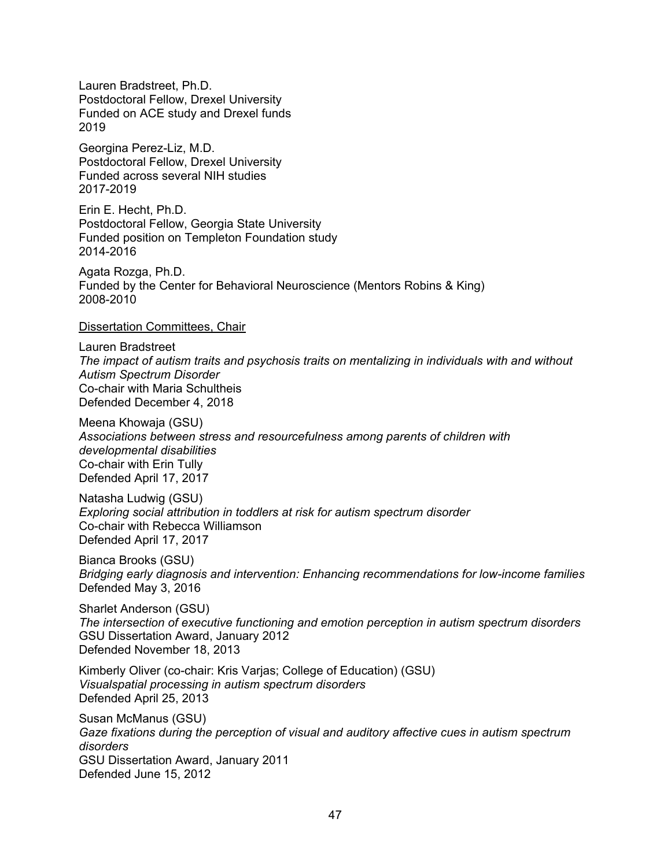Lauren Bradstreet, Ph.D. Postdoctoral Fellow, Drexel University Funded on ACE study and Drexel funds 2019

Georgina Perez-Liz, M.D. Postdoctoral Fellow, Drexel University Funded across several NIH studies 2017-2019

Erin E. Hecht, Ph.D. Postdoctoral Fellow, Georgia State University Funded position on Templeton Foundation study 2014-2016

Agata Rozga, Ph.D. Funded by the Center for Behavioral Neuroscience (Mentors Robins & King) 2008-2010

Dissertation Committees, Chair

Lauren Bradstreet *The impact of autism traits and psychosis traits on mentalizing in individuals with and without Autism Spectrum Disorder* Co-chair with Maria Schultheis Defended December 4, 2018

Meena Khowaja (GSU) *Associations between stress and resourcefulness among parents of children with developmental disabilities* Co-chair with Erin Tully Defended April 17, 2017

Natasha Ludwig (GSU) *Exploring social attribution in toddlers at risk for autism spectrum disorder* Co-chair with Rebecca Williamson Defended April 17, 2017

Bianca Brooks (GSU) *Bridging early diagnosis and intervention: Enhancing recommendations for low-income families* Defended May 3, 2016

Sharlet Anderson (GSU) *The intersection of executive functioning and emotion perception in autism spectrum disorders* GSU Dissertation Award, January 2012 Defended November 18, 2013

Kimberly Oliver (co-chair: Kris Varjas; College of Education) (GSU) *Visualspatial processing in autism spectrum disorders* Defended April 25, 2013

Susan McManus (GSU) *Gaze fixations during the perception of visual and auditory affective cues in autism spectrum disorders* GSU Dissertation Award, January 2011 Defended June 15, 2012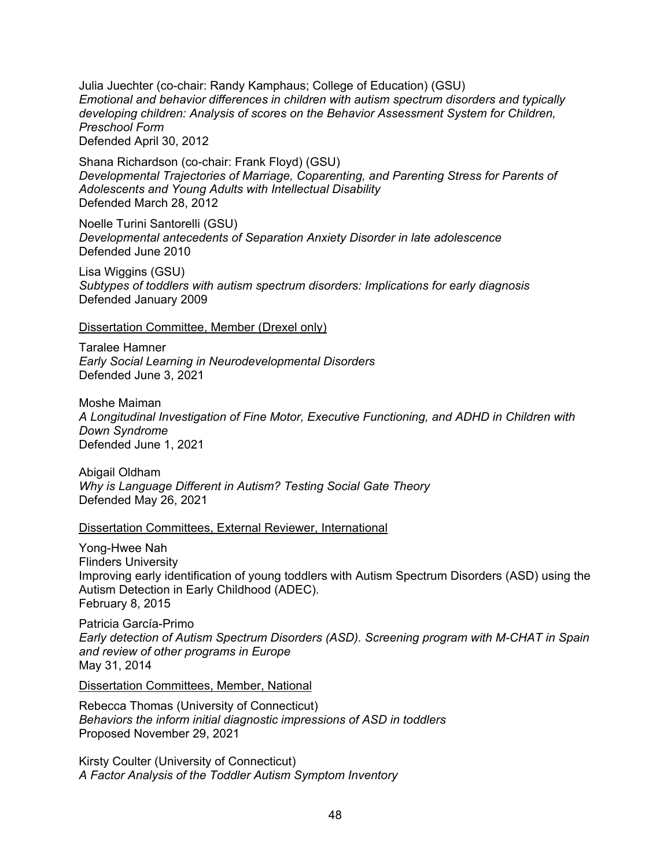Julia Juechter (co-chair: Randy Kamphaus; College of Education) (GSU) *Emotional and behavior differences in children with autism spectrum disorders and typically developing children: Analysis of scores on the Behavior Assessment System for Children, Preschool Form*  Defended April 30, 2012

Shana Richardson (co-chair: Frank Floyd) (GSU) *Developmental Trajectories of Marriage, Coparenting, and Parenting Stress for Parents of Adolescents and Young Adults with Intellectual Disability* Defended March 28, 2012

Noelle Turini Santorelli (GSU) *Developmental antecedents of Separation Anxiety Disorder in late adolescence* Defended June 2010

Lisa Wiggins (GSU) *Subtypes of toddlers with autism spectrum disorders: Implications for early diagnosis* Defended January 2009

Dissertation Committee, Member (Drexel only)

Taralee Hamner *Early Social Learning in Neurodevelopmental Disorders* Defended June 3, 2021

Moshe Maiman *A Longitudinal Investigation of Fine Motor, Executive Functioning, and ADHD in Children with Down Syndrome* Defended June 1, 2021

Abigail Oldham *Why is Language Different in Autism? Testing Social Gate Theory* Defended May 26, 2021

#### Dissertation Committees, External Reviewer, International

Yong-Hwee Nah Flinders University Improving early identification of young toddlers with Autism Spectrum Disorders (ASD) using the Autism Detection in Early Childhood (ADEC). February 8, 2015

Patricia García-Primo *Early detection of Autism Spectrum Disorders (ASD). Screening program with M-CHAT in Spain and review of other programs in Europe* May 31, 2014

Dissertation Committees, Member, National

Rebecca Thomas (University of Connecticut) *Behaviors the inform initial diagnostic impressions of ASD in toddlers* Proposed November 29, 2021

Kirsty Coulter (University of Connecticut) *A Factor Analysis of the Toddler Autism Symptom Inventory*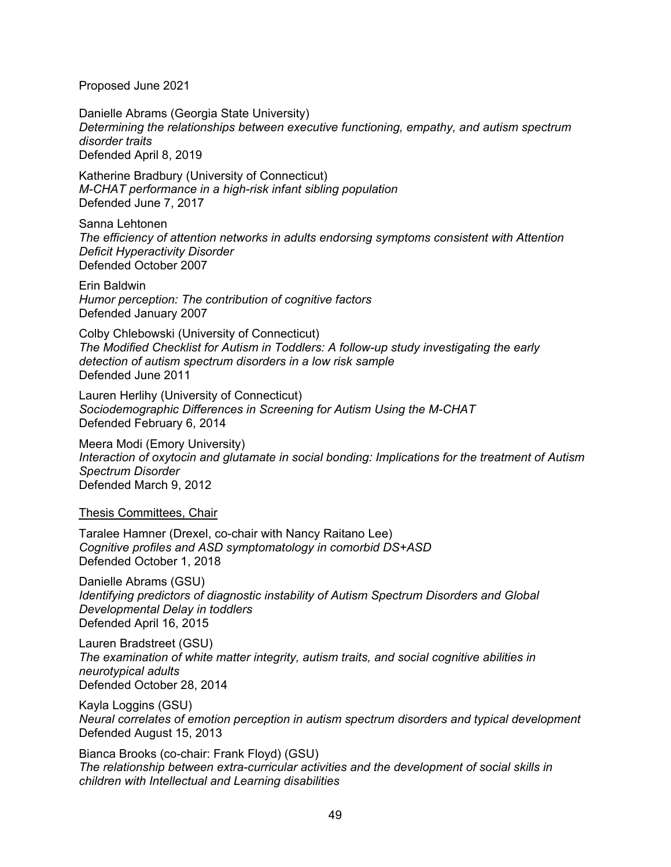Proposed June 2021

Danielle Abrams (Georgia State University) *Determining the relationships between executive functioning, empathy, and autism spectrum disorder traits* Defended April 8, 2019

Katherine Bradbury (University of Connecticut) *M-CHAT performance in a high-risk infant sibling population* Defended June 7, 2017

Sanna Lehtonen *The efficiency of attention networks in adults endorsing symptoms consistent with Attention Deficit Hyperactivity Disorder* Defended October 2007

Erin Baldwin *Humor perception: The contribution of cognitive factors* Defended January 2007

Colby Chlebowski (University of Connecticut) *The Modified Checklist for Autism in Toddlers: A follow-up study investigating the early detection of autism spectrum disorders in a low risk sample*  Defended June 2011

Lauren Herlihy (University of Connecticut) *Sociodemographic Differences in Screening for Autism Using the M-CHAT* Defended February 6, 2014

Meera Modi (Emory University) *Interaction of oxytocin and glutamate in social bonding: Implications for the treatment of Autism Spectrum Disorder* Defended March 9, 2012

Thesis Committees, Chair

Taralee Hamner (Drexel, co-chair with Nancy Raitano Lee) *Cognitive profiles and ASD symptomatology in comorbid DS+ASD* Defended October 1, 2018

Danielle Abrams (GSU) *Identifying predictors of diagnostic instability of Autism Spectrum Disorders and Global Developmental Delay in toddlers* Defended April 16, 2015

Lauren Bradstreet (GSU) *The examination of white matter integrity, autism traits, and social cognitive abilities in neurotypical adults* Defended October 28, 2014

Kayla Loggins (GSU) *Neural correlates of emotion perception in autism spectrum disorders and typical development* Defended August 15, 2013

Bianca Brooks (co-chair: Frank Floyd) (GSU) *The relationship between extra-curricular activities and the development of social skills in children with Intellectual and Learning disabilities*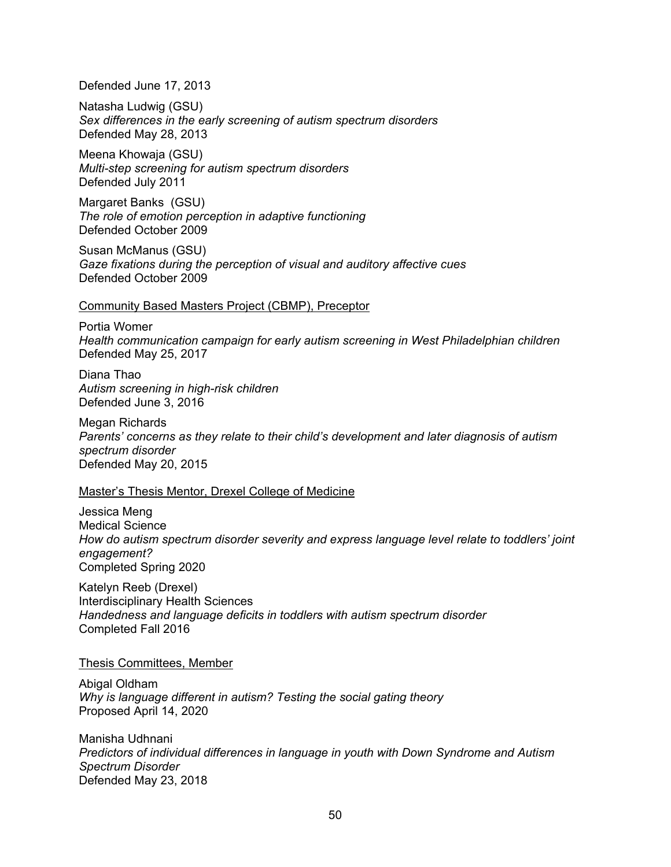Defended June 17, 2013

Natasha Ludwig (GSU) *Sex differences in the early screening of autism spectrum disorders* Defended May 28, 2013

Meena Khowaja (GSU) *Multi-step screening for autism spectrum disorders* Defended July 2011

Margaret Banks (GSU) *The role of emotion perception in adaptive functioning* Defended October 2009

Susan McManus (GSU) *Gaze fixations during the perception of visual and auditory affective cues* Defended October 2009

#### Community Based Masters Project (CBMP), Preceptor

Portia Womer *Health communication campaign for early autism screening in West Philadelphian children* Defended May 25, 2017

Diana Thao *Autism screening in high-risk children* Defended June 3, 2016

Megan Richards *Parents' concerns as they relate to their child's development and later diagnosis of autism spectrum disorder* Defended May 20, 2015

#### Master's Thesis Mentor, Drexel College of Medicine

Jessica Meng Medical Science *How do autism spectrum disorder severity and express language level relate to toddlers' joint engagement?* Completed Spring 2020

Katelyn Reeb (Drexel) Interdisciplinary Health Sciences *Handedness and language deficits in toddlers with autism spectrum disorder* Completed Fall 2016

#### Thesis Committees, Member

Abigal Oldham *Why is language different in autism? Testing the social gating theory* Proposed April 14, 2020

Manisha Udhnani *Predictors of individual differences in language in youth with Down Syndrome and Autism Spectrum Disorder* Defended May 23, 2018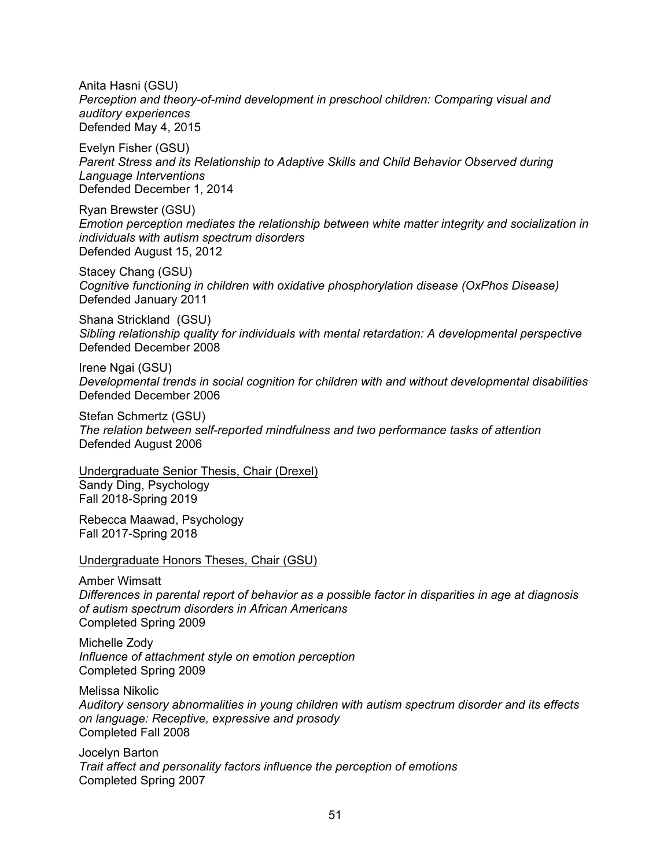Anita Hasni (GSU) *Perception and theory-of-mind development in preschool children: Comparing visual and auditory experiences* Defended May 4, 2015

Evelyn Fisher (GSU) *Parent Stress and its Relationship to Adaptive Skills and Child Behavior Observed during Language Interventions* Defended December 1, 2014

Ryan Brewster (GSU) *Emotion perception mediates the relationship between white matter integrity and socialization in individuals with autism spectrum disorders* Defended August 15, 2012

Stacey Chang (GSU) *Cognitive functioning in children with oxidative phosphorylation disease (OxPhos Disease)* Defended January 2011

Shana Strickland (GSU) *Sibling relationship quality for individuals with mental retardation: A developmental perspective* Defended December 2008

Irene Ngai (GSU) *Developmental trends in social cognition for children with and without developmental disabilities* Defended December 2006

Stefan Schmertz (GSU) *The relation between self-reported mindfulness and two performance tasks of attention* Defended August 2006

Undergraduate Senior Thesis, Chair (Drexel) Sandy Ding, Psychology Fall 2018-Spring 2019

Rebecca Maawad, Psychology Fall 2017-Spring 2018

Undergraduate Honors Theses, Chair (GSU)

Amber Wimsatt *Differences in parental report of behavior as a possible factor in disparities in age at diagnosis of autism spectrum disorders in African Americans* Completed Spring 2009

Michelle Zody *Influence of attachment style on emotion perception* Completed Spring 2009

Melissa Nikolic *Auditory sensory abnormalities in young children with autism spectrum disorder and its effects on language: Receptive, expressive and prosody* Completed Fall 2008

Jocelyn Barton *Trait affect and personality factors influence the perception of emotions* Completed Spring 2007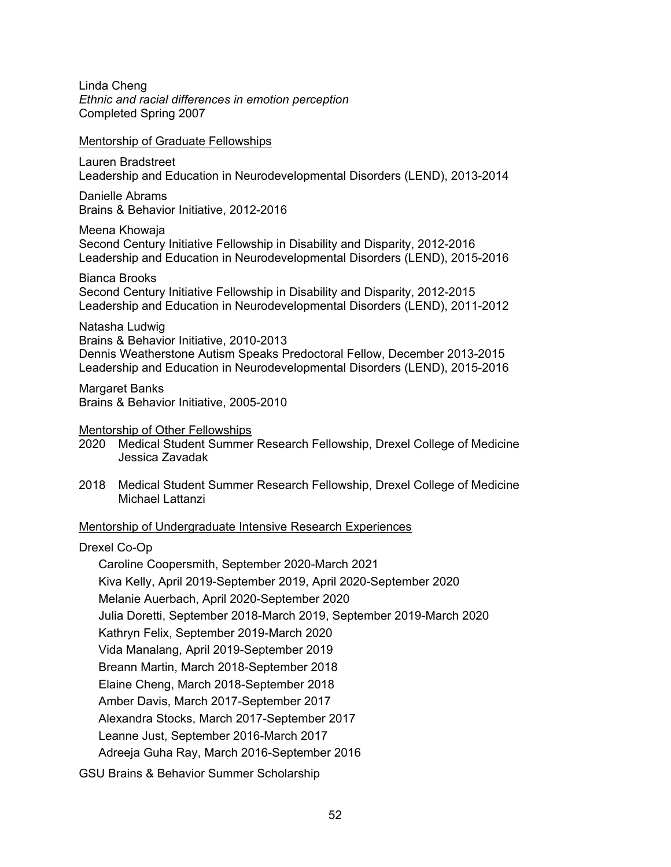Linda Cheng *Ethnic and racial differences in emotion perception* Completed Spring 2007

Mentorship of Graduate Fellowships

Lauren Bradstreet Leadership and Education in Neurodevelopmental Disorders (LEND), 2013-2014

Danielle Abrams Brains & Behavior Initiative, 2012-2016

Meena Khowaja Second Century Initiative Fellowship in Disability and Disparity, 2012-2016 Leadership and Education in Neurodevelopmental Disorders (LEND), 2015-2016

Bianca Brooks Second Century Initiative Fellowship in Disability and Disparity, 2012-2015 Leadership and Education in Neurodevelopmental Disorders (LEND), 2011-2012

Natasha Ludwig Brains & Behavior Initiative, 2010-2013

Dennis Weatherstone Autism Speaks Predoctoral Fellow, December 2013-2015 Leadership and Education in Neurodevelopmental Disorders (LEND), 2015-2016

Margaret Banks Brains & Behavior Initiative, 2005-2010

Mentorship of Other Fellowships

2020 Medical Student Summer Research Fellowship, Drexel College of Medicine Jessica Zavadak

2018 Medical Student Summer Research Fellowship, Drexel College of Medicine Michael Lattanzi

# Mentorship of Undergraduate Intensive Research Experiences

# Drexel Co-Op

Caroline Coopersmith, September 2020-March 2021 Kiva Kelly, April 2019-September 2019, April 2020-September 2020 Melanie Auerbach, April 2020-September 2020 Julia Doretti, September 2018-March 2019, September 2019-March 2020 Kathryn Felix, September 2019-March 2020 Vida Manalang, April 2019-September 2019 Breann Martin, March 2018-September 2018 Elaine Cheng, March 2018-September 2018 Amber Davis, March 2017-September 2017 Alexandra Stocks, March 2017-September 2017 Leanne Just, September 2016-March 2017 Adreeja Guha Ray, March 2016-September 2016 GSU Brains & Behavior Summer Scholarship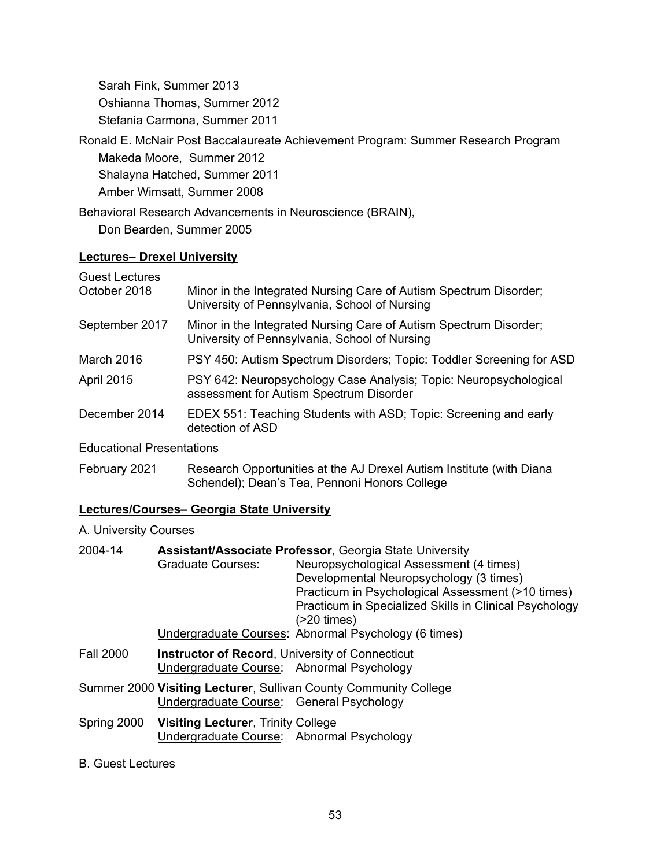Sarah Fink, Summer 2013 Oshianna Thomas, Summer 2012 Stefania Carmona, Summer 2011

Ronald E. McNair Post Baccalaureate Achievement Program: Summer Research Program

Makeda Moore, Summer 2012

Shalayna Hatched, Summer 2011

Amber Wimsatt, Summer 2008

Behavioral Research Advancements in Neuroscience (BRAIN),

Don Bearden, Summer 2005

# **Lectures– Drexel University**

| <b>Guest Lectures</b>            |                                                                                                                    |
|----------------------------------|--------------------------------------------------------------------------------------------------------------------|
| October 2018                     | Minor in the Integrated Nursing Care of Autism Spectrum Disorder;<br>University of Pennsylvania, School of Nursing |
| September 2017                   | Minor in the Integrated Nursing Care of Autism Spectrum Disorder;<br>University of Pennsylvania, School of Nursing |
| March 2016                       | PSY 450: Autism Spectrum Disorders; Topic: Toddler Screening for ASD                                               |
| <b>April 2015</b>                | PSY 642: Neuropsychology Case Analysis; Topic: Neuropsychological<br>assessment for Autism Spectrum Disorder       |
| December 2014                    | EDEX 551: Teaching Students with ASD; Topic: Screening and early<br>detection of ASD                               |
| <b>Educational Presentations</b> |                                                                                                                    |

ducational Presentations

February 2021 Research Opportunities at the AJ Drexel Autism Institute (with Diana Schendel); Dean's Tea, Pennoni Honors College

# **Lectures/Courses– Georgia State University**

A. University Courses

| 2004-14          | <b>Graduate Courses:</b>                                                                            | <b>Assistant/Associate Professor, Georgia State University</b><br>Neuropsychological Assessment (4 times)<br>Developmental Neuropsychology (3 times)<br>Practicum in Psychological Assessment (>10 times)<br>Practicum in Specialized Skills in Clinical Psychology<br>(20 times)<br>Undergraduate Courses: Abnormal Psychology (6 times) |
|------------------|-----------------------------------------------------------------------------------------------------|-------------------------------------------------------------------------------------------------------------------------------------------------------------------------------------------------------------------------------------------------------------------------------------------------------------------------------------------|
| <b>Fall 2000</b> | <b>Instructor of Record, University of Connecticut</b><br>Undergraduate Course: Abnormal Psychology |                                                                                                                                                                                                                                                                                                                                           |
|                  | Undergraduate Course: General Psychology                                                            | Summer 2000 Visiting Lecturer, Sullivan County Community College                                                                                                                                                                                                                                                                          |
|                  | Spring 2000 Visiting Lecturer, Trinity College<br>Undergraduate Course: Abnormal Psychology         |                                                                                                                                                                                                                                                                                                                                           |

B. Guest Lectures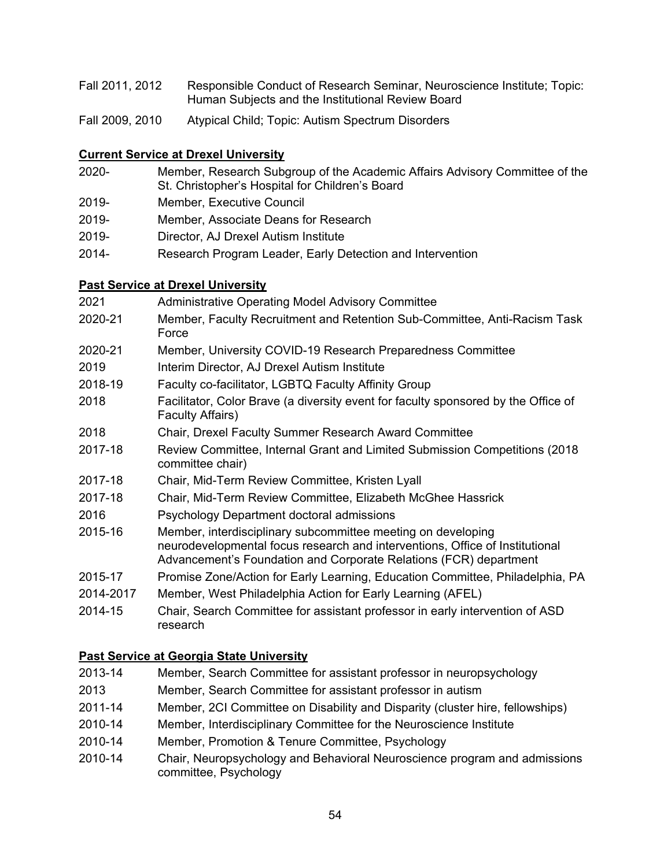| Fall 2011, 2012 | Responsible Conduct of Research Seminar, Neuroscience Institute; Topic: |
|-----------------|-------------------------------------------------------------------------|
|                 | Human Subjects and the Institutional Review Board                       |

Fall 2009, 2010 Atypical Child; Topic: Autism Spectrum Disorders

# **Current Service at Drexel University**

| 2020- | Member, Research Subgroup of the Academic Affairs Advisory Committee of the |
|-------|-----------------------------------------------------------------------------|
|       | St. Christopher's Hospital for Children's Board                             |

- 2019- Member, Executive Council
- 2019- Member, Associate Deans for Research
- 2019- Director, AJ Drexel Autism Institute
- 2014- Research Program Leader, Early Detection and Intervention

# **Past Service at Drexel University**

| 2021      | <b>Administrative Operating Model Advisory Committee</b>                                                                                                                                                          |
|-----------|-------------------------------------------------------------------------------------------------------------------------------------------------------------------------------------------------------------------|
| 2020-21   | Member, Faculty Recruitment and Retention Sub-Committee, Anti-Racism Task<br>Force                                                                                                                                |
| 2020-21   | Member, University COVID-19 Research Preparedness Committee                                                                                                                                                       |
| 2019      | Interim Director, AJ Drexel Autism Institute                                                                                                                                                                      |
| 2018-19   | Faculty co-facilitator, LGBTQ Faculty Affinity Group                                                                                                                                                              |
| 2018      | Facilitator, Color Brave (a diversity event for faculty sponsored by the Office of<br>Faculty Affairs)                                                                                                            |
| 2018      | Chair, Drexel Faculty Summer Research Award Committee                                                                                                                                                             |
| 2017-18   | Review Committee, Internal Grant and Limited Submission Competitions (2018)<br>committee chair)                                                                                                                   |
| 2017-18   | Chair, Mid-Term Review Committee, Kristen Lyall                                                                                                                                                                   |
| 2017-18   | Chair, Mid-Term Review Committee, Elizabeth McGhee Hassrick                                                                                                                                                       |
| 2016      | Psychology Department doctoral admissions                                                                                                                                                                         |
| 2015-16   | Member, interdisciplinary subcommittee meeting on developing<br>neurodevelopmental focus research and interventions, Office of Institutional<br>Advancement's Foundation and Corporate Relations (FCR) department |
| 2015-17   | Promise Zone/Action for Early Learning, Education Committee, Philadelphia, PA                                                                                                                                     |
| 2014-2017 | Member, West Philadelphia Action for Early Learning (AFEL)                                                                                                                                                        |
| 2014-15   | Chair, Search Committee for assistant professor in early intervention of ASD<br>research                                                                                                                          |

# **Past Service at Georgia State University**

| 2013-14 | Member, Search Committee for assistant professor in neuropsychology                                |
|---------|----------------------------------------------------------------------------------------------------|
| 2013    | Member, Search Committee for assistant professor in autism                                         |
| 2011-14 | Member, 2CI Committee on Disability and Disparity (cluster hire, fellowships)                      |
| 2010-14 | Member, Interdisciplinary Committee for the Neuroscience Institute                                 |
| 2010-14 | Member, Promotion & Tenure Committee, Psychology                                                   |
| 2010-14 | Chair, Neuropsychology and Behavioral Neuroscience program and admissions<br>committee, Psychology |